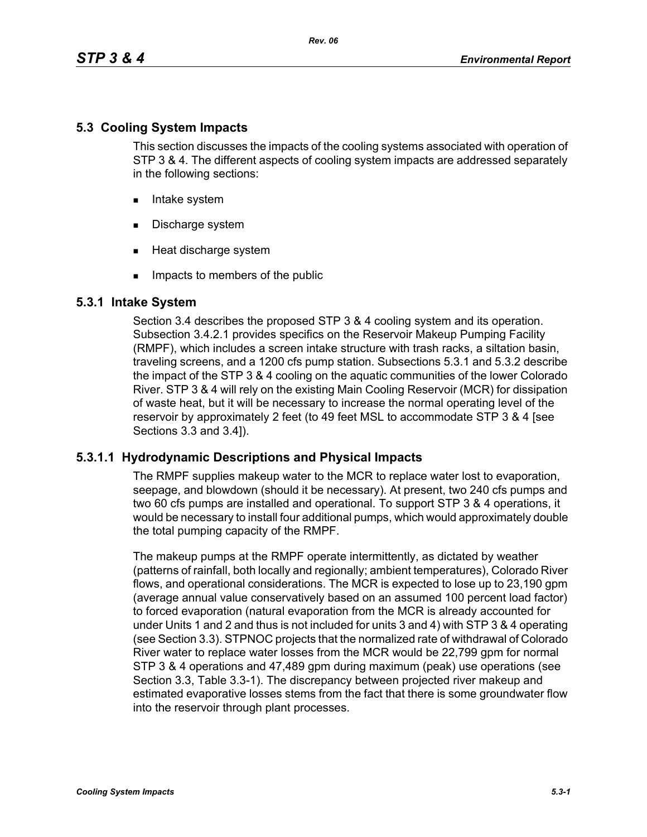# **5.3 Cooling System Impacts**

This section discusses the impacts of the cooling systems associated with operation of STP 3 & 4. The different aspects of cooling system impacts are addressed separately in the following sections:

- **Intake system**
- Discharge system
- **Heat discharge system**
- **IMPACTE THE MEMBER IMP** Impacts to members of the public

# **5.3.1 Intake System**

Section 3.4 describes the proposed STP 3 & 4 cooling system and its operation. Subsection 3.4.2.1 provides specifics on the Reservoir Makeup Pumping Facility (RMPF), which includes a screen intake structure with trash racks, a siltation basin, traveling screens, and a 1200 cfs pump station. Subsections 5.3.1 and 5.3.2 describe the impact of the STP 3 & 4 cooling on the aquatic communities of the lower Colorado River. STP 3 & 4 will rely on the existing Main Cooling Reservoir (MCR) for dissipation of waste heat, but it will be necessary to increase the normal operating level of the reservoir by approximately 2 feet (to 49 feet MSL to accommodate STP 3 & 4 [see Sections 3.3 and 3.4]).

# **5.3.1.1 Hydrodynamic Descriptions and Physical Impacts**

The RMPF supplies makeup water to the MCR to replace water lost to evaporation, seepage, and blowdown (should it be necessary). At present, two 240 cfs pumps and two 60 cfs pumps are installed and operational. To support STP 3 & 4 operations, it would be necessary to install four additional pumps, which would approximately double the total pumping capacity of the RMPF.

The makeup pumps at the RMPF operate intermittently, as dictated by weather (patterns of rainfall, both locally and regionally; ambient temperatures), Colorado River flows, and operational considerations. The MCR is expected to lose up to 23,190 gpm (average annual value conservatively based on an assumed 100 percent load factor) to forced evaporation (natural evaporation from the MCR is already accounted for under Units 1 and 2 and thus is not included for units 3 and 4) with STP 3 & 4 operating (see Section 3.3). STPNOC projects that the normalized rate of withdrawal of Colorado River water to replace water losses from the MCR would be 22,799 gpm for normal STP 3 & 4 operations and 47,489 gpm during maximum (peak) use operations (see Section 3.3, Table 3.3-1). The discrepancy between projected river makeup and estimated evaporative losses stems from the fact that there is some groundwater flow into the reservoir through plant processes.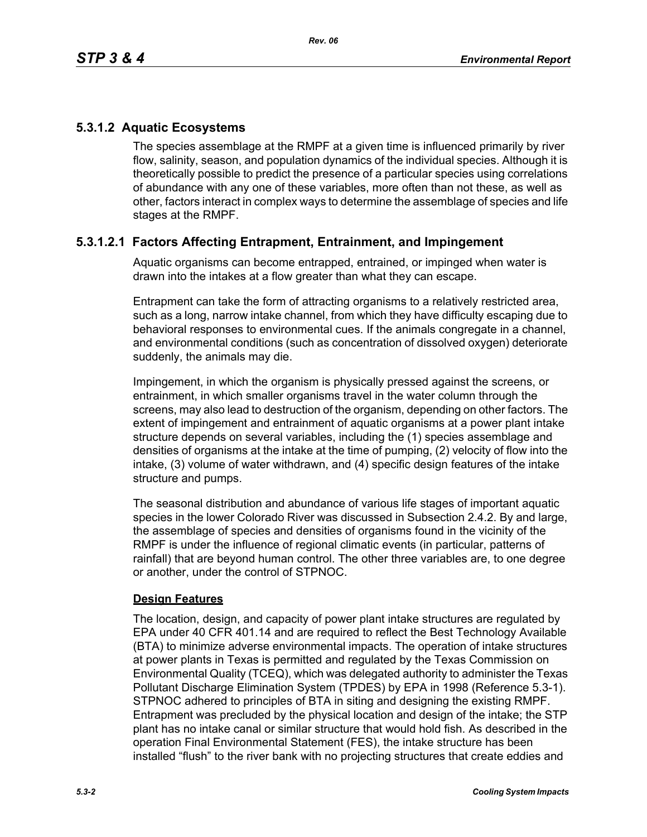# **5.3.1.2 Aquatic Ecosystems**

The species assemblage at the RMPF at a given time is influenced primarily by river flow, salinity, season, and population dynamics of the individual species. Although it is theoretically possible to predict the presence of a particular species using correlations of abundance with any one of these variables, more often than not these, as well as other, factors interact in complex ways to determine the assemblage of species and life stages at the RMPF.

# **5.3.1.2.1 Factors Affecting Entrapment, Entrainment, and Impingement**

Aquatic organisms can become entrapped, entrained, or impinged when water is drawn into the intakes at a flow greater than what they can escape.

Entrapment can take the form of attracting organisms to a relatively restricted area, such as a long, narrow intake channel, from which they have difficulty escaping due to behavioral responses to environmental cues. If the animals congregate in a channel, and environmental conditions (such as concentration of dissolved oxygen) deteriorate suddenly, the animals may die.

Impingement, in which the organism is physically pressed against the screens, or entrainment, in which smaller organisms travel in the water column through the screens, may also lead to destruction of the organism, depending on other factors. The extent of impingement and entrainment of aquatic organisms at a power plant intake structure depends on several variables, including the (1) species assemblage and densities of organisms at the intake at the time of pumping, (2) velocity of flow into the intake, (3) volume of water withdrawn, and (4) specific design features of the intake structure and pumps.

The seasonal distribution and abundance of various life stages of important aquatic species in the lower Colorado River was discussed in Subsection 2.4.2. By and large, the assemblage of species and densities of organisms found in the vicinity of the RMPF is under the influence of regional climatic events (in particular, patterns of rainfall) that are beyond human control. The other three variables are, to one degree or another, under the control of STPNOC.

## **Design Features**

The location, design, and capacity of power plant intake structures are regulated by EPA under 40 CFR 401.14 and are required to reflect the Best Technology Available (BTA) to minimize adverse environmental impacts. The operation of intake structures at power plants in Texas is permitted and regulated by the Texas Commission on Environmental Quality (TCEQ), which was delegated authority to administer the Texas Pollutant Discharge Elimination System (TPDES) by EPA in 1998 (Reference 5.3-1). STPNOC adhered to principles of BTA in siting and designing the existing RMPF. Entrapment was precluded by the physical location and design of the intake; the STP plant has no intake canal or similar structure that would hold fish. As described in the operation Final Environmental Statement (FES), the intake structure has been installed "flush" to the river bank with no projecting structures that create eddies and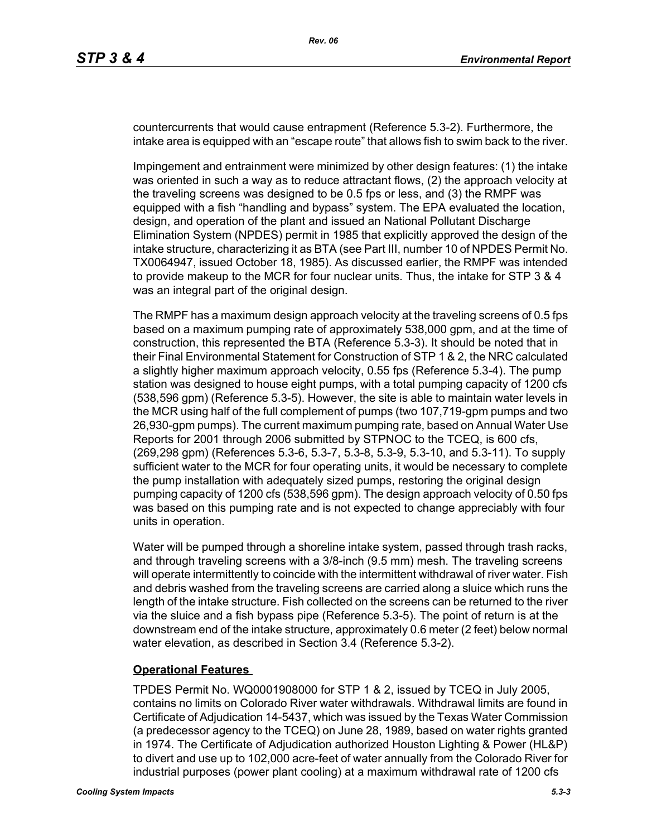countercurrents that would cause entrapment (Reference 5.3-2). Furthermore, the intake area is equipped with an "escape route" that allows fish to swim back to the river.

Impingement and entrainment were minimized by other design features: (1) the intake was oriented in such a way as to reduce attractant flows, (2) the approach velocity at the traveling screens was designed to be 0.5 fps or less, and (3) the RMPF was equipped with a fish "handling and bypass" system. The EPA evaluated the location, design, and operation of the plant and issued an National Pollutant Discharge Elimination System (NPDES) permit in 1985 that explicitly approved the design of the intake structure, characterizing it as BTA (see Part III, number 10 of NPDES Permit No. TX0064947, issued October 18, 1985). As discussed earlier, the RMPF was intended to provide makeup to the MCR for four nuclear units. Thus, the intake for STP 3 & 4 was an integral part of the original design.

The RMPF has a maximum design approach velocity at the traveling screens of 0.5 fps based on a maximum pumping rate of approximately 538,000 gpm, and at the time of construction, this represented the BTA (Reference 5.3-3). It should be noted that in their Final Environmental Statement for Construction of STP 1 & 2, the NRC calculated a slightly higher maximum approach velocity, 0.55 fps (Reference 5.3-4). The pump station was designed to house eight pumps, with a total pumping capacity of 1200 cfs (538,596 gpm) (Reference 5.3-5). However, the site is able to maintain water levels in the MCR using half of the full complement of pumps (two 107,719-gpm pumps and two 26,930-gpm pumps). The current maximum pumping rate, based on Annual Water Use Reports for 2001 through 2006 submitted by STPNOC to the TCEQ, is 600 cfs, (269,298 gpm) (References 5.3-6, 5.3-7, 5.3-8, 5.3-9, 5.3-10, and 5.3-11). To supply sufficient water to the MCR for four operating units, it would be necessary to complete the pump installation with adequately sized pumps, restoring the original design pumping capacity of 1200 cfs (538,596 gpm). The design approach velocity of 0.50 fps was based on this pumping rate and is not expected to change appreciably with four units in operation.

Water will be pumped through a shoreline intake system, passed through trash racks, and through traveling screens with a 3/8-inch (9.5 mm) mesh. The traveling screens will operate intermittently to coincide with the intermittent withdrawal of river water. Fish and debris washed from the traveling screens are carried along a sluice which runs the length of the intake structure. Fish collected on the screens can be returned to the river via the sluice and a fish bypass pipe (Reference 5.3-5). The point of return is at the downstream end of the intake structure, approximately 0.6 meter (2 feet) below normal water elevation, as described in Section 3.4 (Reference 5.3-2).

#### **Operational Features**

TPDES Permit No. WQ0001908000 for STP 1 & 2, issued by TCEQ in July 2005, contains no limits on Colorado River water withdrawals. Withdrawal limits are found in Certificate of Adjudication 14-5437, which was issued by the Texas Water Commission (a predecessor agency to the TCEQ) on June 28, 1989, based on water rights granted in 1974. The Certificate of Adjudication authorized Houston Lighting & Power (HL&P) to divert and use up to 102,000 acre-feet of water annually from the Colorado River for industrial purposes (power plant cooling) at a maximum withdrawal rate of 1200 cfs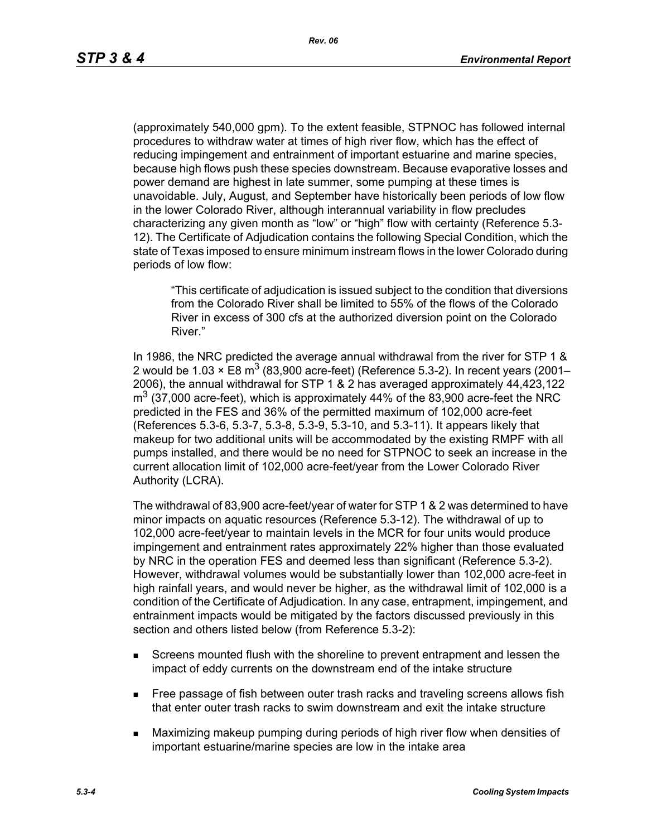(approximately 540,000 gpm). To the extent feasible, STPNOC has followed internal procedures to withdraw water at times of high river flow, which has the effect of reducing impingement and entrainment of important estuarine and marine species, because high flows push these species downstream. Because evaporative losses and power demand are highest in late summer, some pumping at these times is unavoidable. July, August, and September have historically been periods of low flow in the lower Colorado River, although interannual variability in flow precludes characterizing any given month as "low" or "high" flow with certainty (Reference 5.3- 12). The Certificate of Adjudication contains the following Special Condition, which the state of Texas imposed to ensure minimum instream flows in the lower Colorado during periods of low flow:

"This certificate of adjudication is issued subject to the condition that diversions from the Colorado River shall be limited to 55% of the flows of the Colorado River in excess of 300 cfs at the authorized diversion point on the Colorado River."

In 1986, the NRC predicted the average annual withdrawal from the river for STP 1 & 2 would be 1.03  $\times$  E8 m<sup>3</sup> (83,900 acre-feet) (Reference 5.3-2). In recent years (2001– 2006), the annual withdrawal for STP 1 & 2 has averaged approximately 44,423,122  $\text{m}^3$  (37,000 acre-feet), which is approximately 44% of the 83,900 acre-feet the NRC predicted in the FES and 36% of the permitted maximum of 102,000 acre-feet (References 5.3-6, 5.3-7, 5.3-8, 5.3-9, 5.3-10, and 5.3-11). It appears likely that makeup for two additional units will be accommodated by the existing RMPF with all pumps installed, and there would be no need for STPNOC to seek an increase in the current allocation limit of 102,000 acre-feet/year from the Lower Colorado River Authority (LCRA).

The withdrawal of 83,900 acre-feet/year of water for STP 1 & 2 was determined to have minor impacts on aquatic resources (Reference 5.3-12). The withdrawal of up to 102,000 acre-feet/year to maintain levels in the MCR for four units would produce impingement and entrainment rates approximately 22% higher than those evaluated by NRC in the operation FES and deemed less than significant (Reference 5.3-2). However, withdrawal volumes would be substantially lower than 102,000 acre-feet in high rainfall years, and would never be higher, as the withdrawal limit of 102,000 is a condition of the Certificate of Adjudication. In any case, entrapment, impingement, and entrainment impacts would be mitigated by the factors discussed previously in this section and others listed below (from Reference 5.3-2):

- Screens mounted flush with the shoreline to prevent entrapment and lessen the impact of eddy currents on the downstream end of the intake structure
- **Free passage of fish between outer trash racks and traveling screens allows fish** that enter outer trash racks to swim downstream and exit the intake structure
- Maximizing makeup pumping during periods of high river flow when densities of important estuarine/marine species are low in the intake area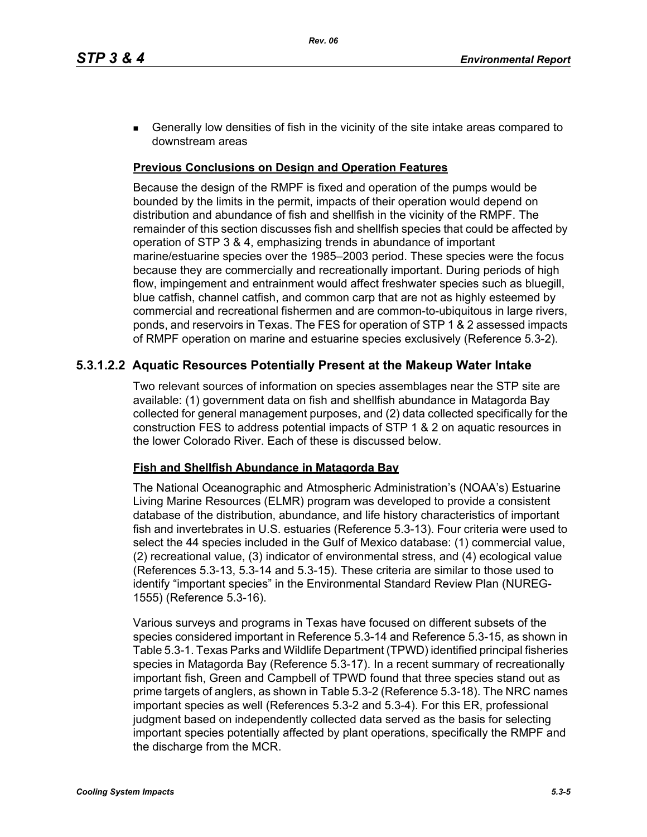**Generally low densities of fish in the vicinity of the site intake areas compared to** downstream areas

### **Previous Conclusions on Design and Operation Features**

Because the design of the RMPF is fixed and operation of the pumps would be bounded by the limits in the permit, impacts of their operation would depend on distribution and abundance of fish and shellfish in the vicinity of the RMPF. The remainder of this section discusses fish and shellfish species that could be affected by operation of STP 3 & 4, emphasizing trends in abundance of important marine/estuarine species over the 1985–2003 period. These species were the focus because they are commercially and recreationally important. During periods of high flow, impingement and entrainment would affect freshwater species such as bluegill, blue catfish, channel catfish, and common carp that are not as highly esteemed by commercial and recreational fishermen and are common-to-ubiquitous in large rivers, ponds, and reservoirs in Texas. The FES for operation of STP 1 & 2 assessed impacts of RMPF operation on marine and estuarine species exclusively (Reference 5.3-2).

# **5.3.1.2.2 Aquatic Resources Potentially Present at the Makeup Water Intake**

Two relevant sources of information on species assemblages near the STP site are available: (1) government data on fish and shellfish abundance in Matagorda Bay collected for general management purposes, and (2) data collected specifically for the construction FES to address potential impacts of STP 1 & 2 on aquatic resources in the lower Colorado River. Each of these is discussed below.

#### **Fish and Shellfish Abundance in Matagorda Bay**

The National Oceanographic and Atmospheric Administration's (NOAA's) Estuarine Living Marine Resources (ELMR) program was developed to provide a consistent database of the distribution, abundance, and life history characteristics of important fish and invertebrates in U.S. estuaries (Reference 5.3-13). Four criteria were used to select the 44 species included in the Gulf of Mexico database: (1) commercial value, (2) recreational value, (3) indicator of environmental stress, and (4) ecological value (References 5.3-13, 5.3-14 and 5.3-15). These criteria are similar to those used to identify "important species" in the Environmental Standard Review Plan (NUREG-1555) (Reference 5.3-16).

Various surveys and programs in Texas have focused on different subsets of the species considered important in Reference 5.3-14 and Reference 5.3-15, as shown in Table 5.3-1. Texas Parks and Wildlife Department (TPWD) identified principal fisheries species in Matagorda Bay (Reference 5.3-17). In a recent summary of recreationally important fish, Green and Campbell of TPWD found that three species stand out as prime targets of anglers, as shown in Table 5.3-2 (Reference 5.3-18). The NRC names important species as well (References 5.3-2 and 5.3-4). For this ER, professional judgment based on independently collected data served as the basis for selecting important species potentially affected by plant operations, specifically the RMPF and the discharge from the MCR.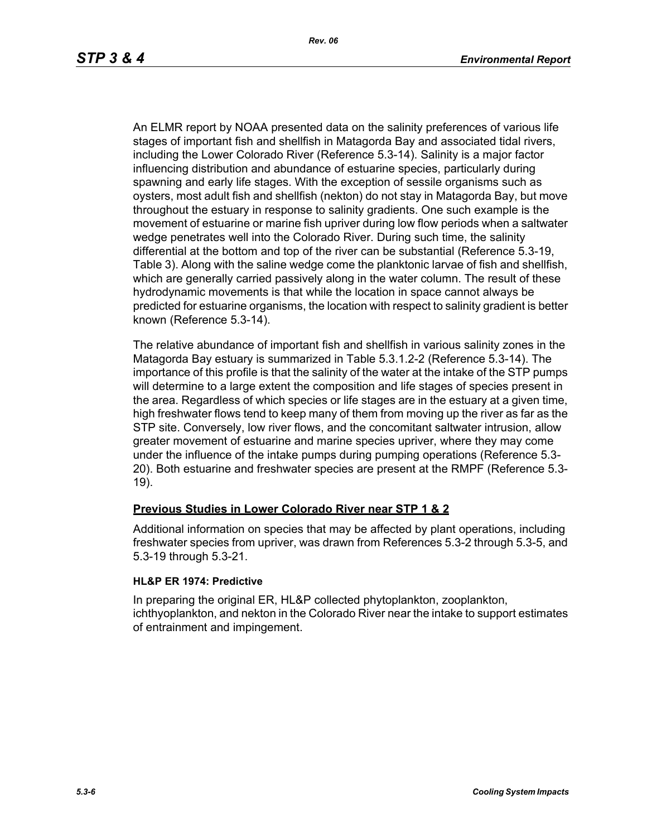An ELMR report by NOAA presented data on the salinity preferences of various life stages of important fish and shellfish in Matagorda Bay and associated tidal rivers, including the Lower Colorado River (Reference 5.3-14). Salinity is a major factor influencing distribution and abundance of estuarine species, particularly during spawning and early life stages. With the exception of sessile organisms such as oysters, most adult fish and shellfish (nekton) do not stay in Matagorda Bay, but move throughout the estuary in response to salinity gradients. One such example is the movement of estuarine or marine fish upriver during low flow periods when a saltwater wedge penetrates well into the Colorado River. During such time, the salinity differential at the bottom and top of the river can be substantial (Reference 5.3-19, Table 3). Along with the saline wedge come the planktonic larvae of fish and shellfish, which are generally carried passively along in the water column. The result of these hydrodynamic movements is that while the location in space cannot always be predicted for estuarine organisms, the location with respect to salinity gradient is better known (Reference 5.3-14).

The relative abundance of important fish and shellfish in various salinity zones in the Matagorda Bay estuary is summarized in Table 5.3.1.2-2 (Reference 5.3-14). The importance of this profile is that the salinity of the water at the intake of the STP pumps will determine to a large extent the composition and life stages of species present in the area. Regardless of which species or life stages are in the estuary at a given time, high freshwater flows tend to keep many of them from moving up the river as far as the STP site. Conversely, low river flows, and the concomitant saltwater intrusion, allow greater movement of estuarine and marine species upriver, where they may come under the influence of the intake pumps during pumping operations (Reference 5.3- 20). Both estuarine and freshwater species are present at the RMPF (Reference 5.3- 19).

## **Previous Studies in Lower Colorado River near STP 1 & 2**

Additional information on species that may be affected by plant operations, including freshwater species from upriver, was drawn from References 5.3-2 through 5.3-5, and 5.3-19 through 5.3-21.

#### **HL&P ER 1974: Predictive**

In preparing the original ER, HL&P collected phytoplankton, zooplankton, ichthyoplankton, and nekton in the Colorado River near the intake to support estimates of entrainment and impingement.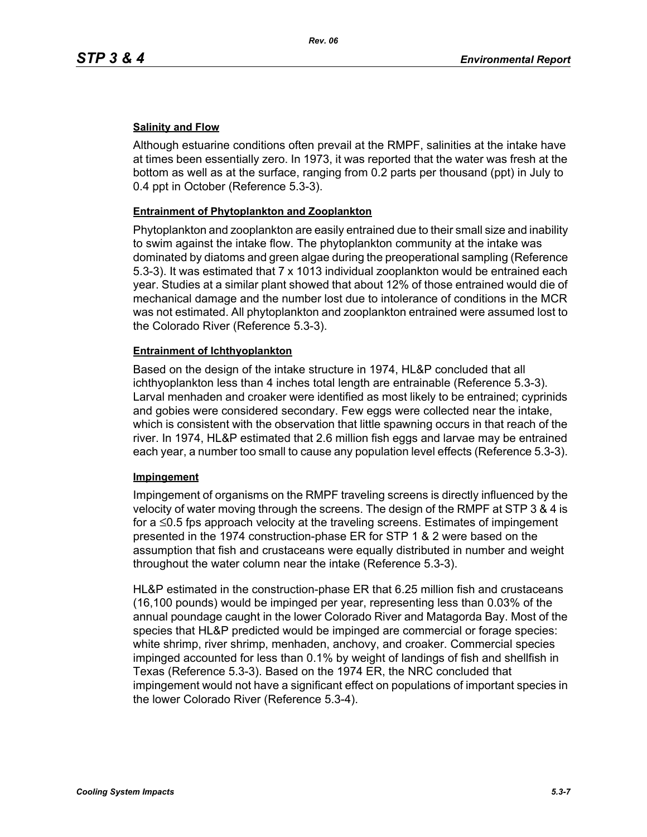### **Salinity and Flow**

Although estuarine conditions often prevail at the RMPF, salinities at the intake have at times been essentially zero. In 1973, it was reported that the water was fresh at the bottom as well as at the surface, ranging from 0.2 parts per thousand (ppt) in July to 0.4 ppt in October (Reference 5.3-3).

### **Entrainment of Phytoplankton and Zooplankton**

Phytoplankton and zooplankton are easily entrained due to their small size and inability to swim against the intake flow. The phytoplankton community at the intake was dominated by diatoms and green algae during the preoperational sampling (Reference 5.3-3). It was estimated that 7 x 1013 individual zooplankton would be entrained each year. Studies at a similar plant showed that about 12% of those entrained would die of mechanical damage and the number lost due to intolerance of conditions in the MCR was not estimated. All phytoplankton and zooplankton entrained were assumed lost to the Colorado River (Reference 5.3-3).

### **Entrainment of Ichthyoplankton**

Based on the design of the intake structure in 1974, HL&P concluded that all ichthyoplankton less than 4 inches total length are entrainable (Reference 5.3-3). Larval menhaden and croaker were identified as most likely to be entrained; cyprinids and gobies were considered secondary. Few eggs were collected near the intake, which is consistent with the observation that little spawning occurs in that reach of the river. In 1974, HL&P estimated that 2.6 million fish eggs and larvae may be entrained each year, a number too small to cause any population level effects (Reference 5.3-3).

#### **Impingement**

Impingement of organisms on the RMPF traveling screens is directly influenced by the velocity of water moving through the screens. The design of the RMPF at STP 3 & 4 is for a ≤0.5 fps approach velocity at the traveling screens. Estimates of impingement presented in the 1974 construction-phase ER for STP 1 & 2 were based on the assumption that fish and crustaceans were equally distributed in number and weight throughout the water column near the intake (Reference 5.3-3).

HL&P estimated in the construction-phase ER that 6.25 million fish and crustaceans (16,100 pounds) would be impinged per year, representing less than 0.03% of the annual poundage caught in the lower Colorado River and Matagorda Bay. Most of the species that HL&P predicted would be impinged are commercial or forage species: white shrimp, river shrimp, menhaden, anchovy, and croaker. Commercial species impinged accounted for less than 0.1% by weight of landings of fish and shellfish in Texas (Reference 5.3-3). Based on the 1974 ER, the NRC concluded that impingement would not have a significant effect on populations of important species in the lower Colorado River (Reference 5.3-4).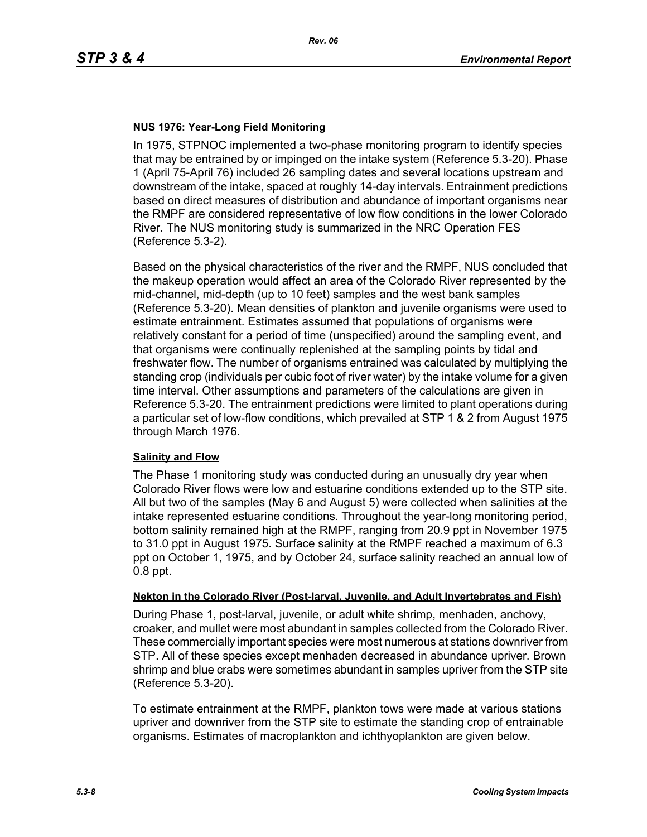### **NUS 1976: Year-Long Field Monitoring**

In 1975, STPNOC implemented a two-phase monitoring program to identify species that may be entrained by or impinged on the intake system (Reference 5.3-20). Phase 1 (April 75-April 76) included 26 sampling dates and several locations upstream and downstream of the intake, spaced at roughly 14-day intervals. Entrainment predictions based on direct measures of distribution and abundance of important organisms near the RMPF are considered representative of low flow conditions in the lower Colorado River. The NUS monitoring study is summarized in the NRC Operation FES (Reference 5.3-2).

Based on the physical characteristics of the river and the RMPF, NUS concluded that the makeup operation would affect an area of the Colorado River represented by the mid-channel, mid-depth (up to 10 feet) samples and the west bank samples (Reference 5.3-20). Mean densities of plankton and juvenile organisms were used to estimate entrainment. Estimates assumed that populations of organisms were relatively constant for a period of time (unspecified) around the sampling event, and that organisms were continually replenished at the sampling points by tidal and freshwater flow. The number of organisms entrained was calculated by multiplying the standing crop (individuals per cubic foot of river water) by the intake volume for a given time interval. Other assumptions and parameters of the calculations are given in Reference 5.3-20. The entrainment predictions were limited to plant operations during a particular set of low-flow conditions, which prevailed at STP 1 & 2 from August 1975 through March 1976.

#### **Salinity and Flow**

The Phase 1 monitoring study was conducted during an unusually dry year when Colorado River flows were low and estuarine conditions extended up to the STP site. All but two of the samples (May 6 and August 5) were collected when salinities at the intake represented estuarine conditions. Throughout the year-long monitoring period, bottom salinity remained high at the RMPF, ranging from 20.9 ppt in November 1975 to 31.0 ppt in August 1975. Surface salinity at the RMPF reached a maximum of 6.3 ppt on October 1, 1975, and by October 24, surface salinity reached an annual low of 0.8 ppt.

#### **Nekton in the Colorado River (Post-larval, Juvenile, and Adult Invertebrates and Fish)**

During Phase 1, post-larval, juvenile, or adult white shrimp, menhaden, anchovy, croaker, and mullet were most abundant in samples collected from the Colorado River. These commercially important species were most numerous at stations downriver from STP. All of these species except menhaden decreased in abundance upriver. Brown shrimp and blue crabs were sometimes abundant in samples upriver from the STP site (Reference 5.3-20).

To estimate entrainment at the RMPF, plankton tows were made at various stations upriver and downriver from the STP site to estimate the standing crop of entrainable organisms. Estimates of macroplankton and ichthyoplankton are given below.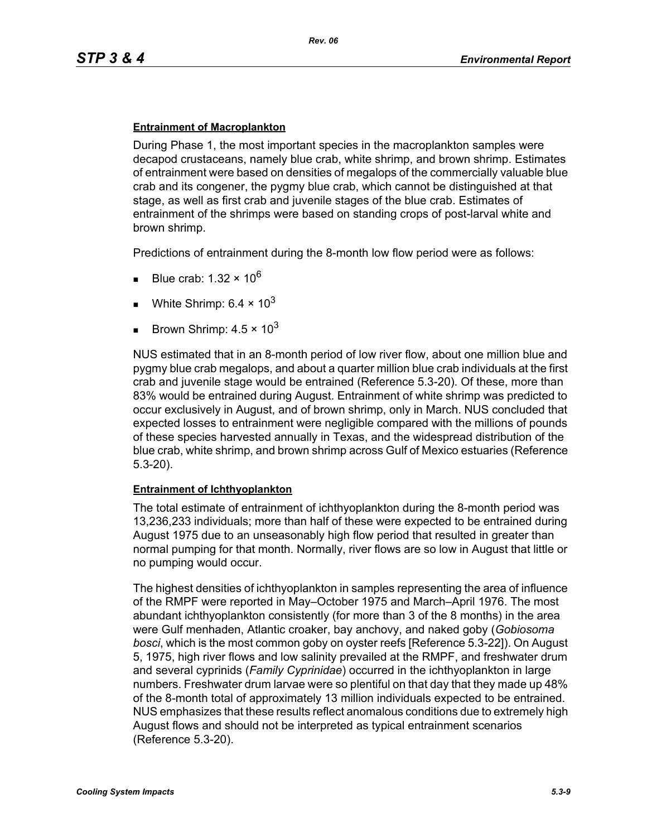### **Entrainment of Macroplankton**

During Phase 1, the most important species in the macroplankton samples were decapod crustaceans, namely blue crab, white shrimp, and brown shrimp. Estimates of entrainment were based on densities of megalops of the commercially valuable blue crab and its congener, the pygmy blue crab, which cannot be distinguished at that stage, as well as first crab and juvenile stages of the blue crab. Estimates of entrainment of the shrimps were based on standing crops of post-larval white and brown shrimp.

Predictions of entrainment during the 8-month low flow period were as follows:

- Blue crab: 1.32  $\times$  10<sup>6</sup>
- White Shrimp:  $6.4 \times 10^3$
- Brown Shrimp:  $4.5 \times 10^3$

NUS estimated that in an 8-month period of low river flow, about one million blue and pygmy blue crab megalops, and about a quarter million blue crab individuals at the first crab and juvenile stage would be entrained (Reference 5.3-20). Of these, more than 83% would be entrained during August. Entrainment of white shrimp was predicted to occur exclusively in August, and of brown shrimp, only in March. NUS concluded that expected losses to entrainment were negligible compared with the millions of pounds of these species harvested annually in Texas, and the widespread distribution of the blue crab, white shrimp, and brown shrimp across Gulf of Mexico estuaries (Reference 5.3-20).

#### **Entrainment of Ichthyoplankton**

The total estimate of entrainment of ichthyoplankton during the 8-month period was 13,236,233 individuals; more than half of these were expected to be entrained during August 1975 due to an unseasonably high flow period that resulted in greater than normal pumping for that month. Normally, river flows are so low in August that little or no pumping would occur.

The highest densities of ichthyoplankton in samples representing the area of influence of the RMPF were reported in May–October 1975 and March–April 1976. The most abundant ichthyoplankton consistently (for more than 3 of the 8 months) in the area were Gulf menhaden, Atlantic croaker, bay anchovy, and naked goby (*Gobiosoma bosci*, which is the most common goby on oyster reefs [Reference 5.3-22]). On August 5, 1975, high river flows and low salinity prevailed at the RMPF, and freshwater drum and several cyprinids (*Family Cyprinidae*) occurred in the ichthyoplankton in large numbers. Freshwater drum larvae were so plentiful on that day that they made up 48% of the 8-month total of approximately 13 million individuals expected to be entrained. NUS emphasizes that these results reflect anomalous conditions due to extremely high August flows and should not be interpreted as typical entrainment scenarios (Reference 5.3-20).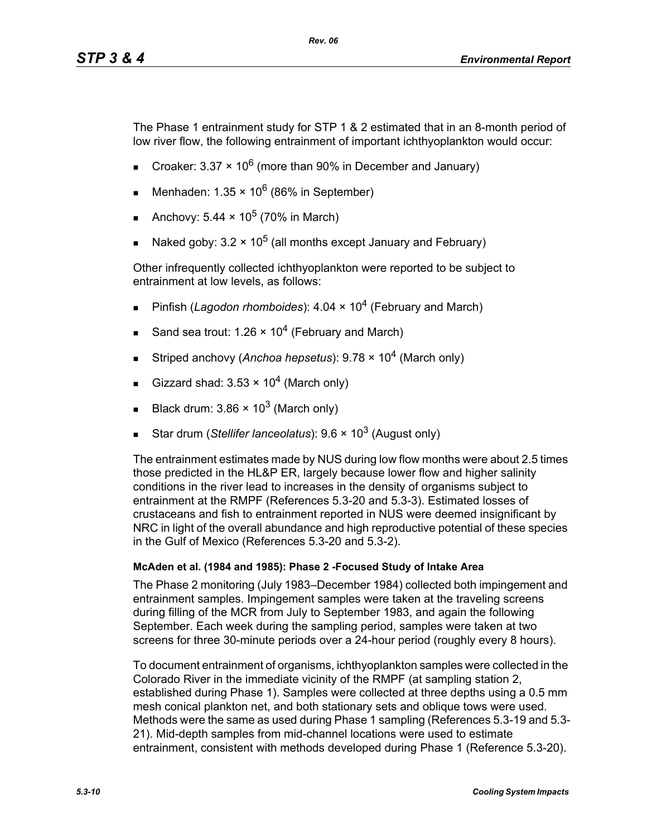The Phase 1 entrainment study for STP 1 & 2 estimated that in an 8-month period of low river flow, the following entrainment of important ichthyoplankton would occur:

Croaker: 3.37  $\times$  10<sup>6</sup> (more than 90% in December and January)

*Rev. 06*

- Menhaden:  $1.35 \times 10^6$  (86% in September)
- Anchovy:  $5.44 \times 10^5$  (70% in March)
- Naked goby:  $3.2 \times 10^5$  (all months except January and February)

Other infrequently collected ichthyoplankton were reported to be subject to entrainment at low levels, as follows:

- Pinfish (*Lagodon rhomboides*): 4.04 × 10<sup>4</sup> (February and March)
- Sand sea trout: 1.26  $\times$  10<sup>4</sup> (February and March)
- Striped anchovy (*Anchoa hepsetus*): 9.78 × 104 (March only)
- Gizzard shad:  $3.53 \times 10^4$  (March only)
- Black drum:  $3.86 \times 10^3$  (March only)
- Star drum (*Stellifer lanceolatus*): 9.6 × 10<sup>3</sup> (August only)

The entrainment estimates made by NUS during low flow months were about 2.5 times those predicted in the HL&P ER, largely because lower flow and higher salinity conditions in the river lead to increases in the density of organisms subject to entrainment at the RMPF (References 5.3-20 and 5.3-3). Estimated losses of crustaceans and fish to entrainment reported in NUS were deemed insignificant by NRC in light of the overall abundance and high reproductive potential of these species in the Gulf of Mexico (References 5.3-20 and 5.3-2).

#### **McAden et al. (1984 and 1985): Phase 2 -Focused Study of Intake Area**

The Phase 2 monitoring (July 1983–December 1984) collected both impingement and entrainment samples. Impingement samples were taken at the traveling screens during filling of the MCR from July to September 1983, and again the following September. Each week during the sampling period, samples were taken at two screens for three 30-minute periods over a 24-hour period (roughly every 8 hours).

To document entrainment of organisms, ichthyoplankton samples were collected in the Colorado River in the immediate vicinity of the RMPF (at sampling station 2, established during Phase 1). Samples were collected at three depths using a 0.5 mm mesh conical plankton net, and both stationary sets and oblique tows were used. Methods were the same as used during Phase 1 sampling (References 5.3-19 and 5.3- 21). Mid-depth samples from mid-channel locations were used to estimate entrainment, consistent with methods developed during Phase 1 (Reference 5.3-20).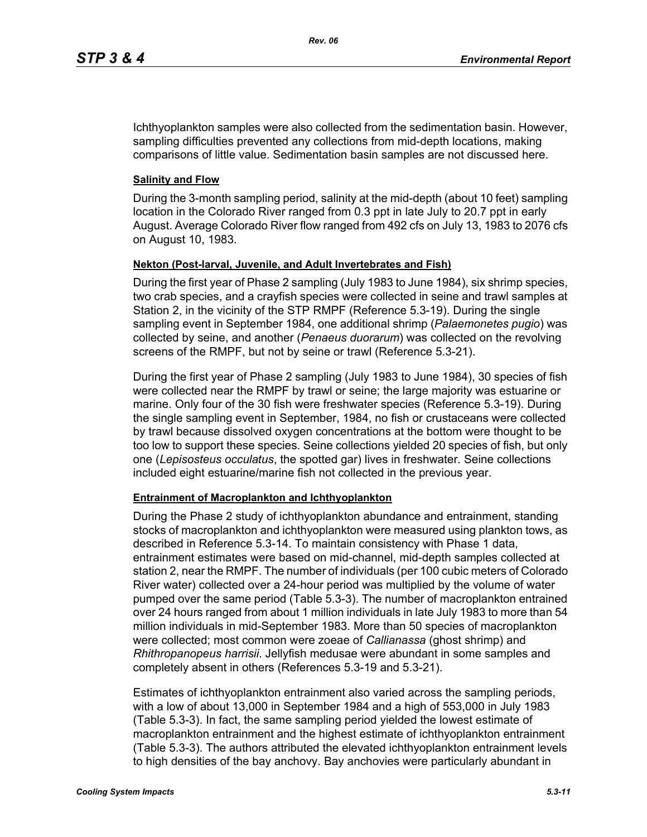Ichthyoplankton samples were also collected from the sedimentation basin. However, sampling difficulties prevented any collections from mid-depth locations, making comparisons of little value. Sedimentation basin samples are not discussed here.

### **Salinity and Flow**

During the 3-month sampling period, salinity at the mid-depth (about 10 feet) sampling location in the Colorado River ranged from 0.3 ppt in late July to 20.7 ppt in early August. Average Colorado River flow ranged from 492 cfs on July 13, 1983 to 2076 cfs on August 10, 1983.

## **Nekton (Post-larval, Juvenile, and Adult Invertebrates and Fish)**

During the first year of Phase 2 sampling (July 1983 to June 1984), six shrimp species, two crab species, and a crayfish species were collected in seine and trawl samples at Station 2, in the vicinity of the STP RMPF (Reference 5.3-19). During the single sampling event in September 1984, one additional shrimp (*Palaemonetes pugio*) was collected by seine, and another (*Penaeus duorarum*) was collected on the revolving screens of the RMPF, but not by seine or trawl (Reference 5.3-21).

During the first year of Phase 2 sampling (July 1983 to June 1984), 30 species of fish were collected near the RMPF by trawl or seine; the large majority was estuarine or marine. Only four of the 30 fish were freshwater species (Reference 5.3-19). During the single sampling event in September, 1984, no fish or crustaceans were collected by trawl because dissolved oxygen concentrations at the bottom were thought to be too low to support these species. Seine collections yielded 20 species of fish, but only one (*Lepisosteus occulatus*, the spotted gar) lives in freshwater. Seine collections included eight estuarine/marine fish not collected in the previous year.

#### **Entrainment of Macroplankton and Ichthyoplankton**

During the Phase 2 study of ichthyoplankton abundance and entrainment, standing stocks of macroplankton and ichthyoplankton were measured using plankton tows, as described in Reference 5.3-14. To maintain consistency with Phase 1 data, entrainment estimates were based on mid-channel, mid-depth samples collected at station 2, near the RMPF. The number of individuals (per 100 cubic meters of Colorado River water) collected over a 24-hour period was multiplied by the volume of water pumped over the same period (Table 5.3-3). The number of macroplankton entrained over 24 hours ranged from about 1 million individuals in late July 1983 to more than 54 million individuals in mid-September 1983. More than 50 species of macroplankton were collected; most common were zoeae of *Callianassa* (ghost shrimp) and *Rhithropanopeus harrisii*. Jellyfish medusae were abundant in some samples and completely absent in others (References 5.3-19 and 5.3-21).

Estimates of ichthyoplankton entrainment also varied across the sampling periods, with a low of about 13,000 in September 1984 and a high of 553,000 in July 1983 (Table 5.3-3). In fact, the same sampling period yielded the lowest estimate of macroplankton entrainment and the highest estimate of ichthyoplankton entrainment (Table 5.3-3). The authors attributed the elevated ichthyoplankton entrainment levels to high densities of the bay anchovy. Bay anchovies were particularly abundant in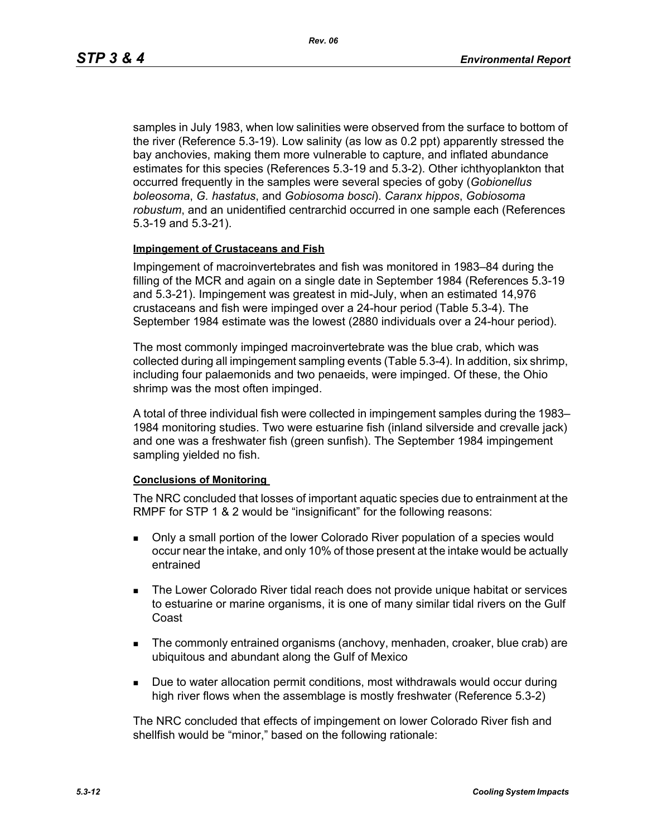samples in July 1983, when low salinities were observed from the surface to bottom of the river (Reference 5.3-19). Low salinity (as low as 0.2 ppt) apparently stressed the bay anchovies, making them more vulnerable to capture, and inflated abundance estimates for this species (References 5.3-19 and 5.3-2). Other ichthyoplankton that occurred frequently in the samples were several species of goby (*Gobionellus boleosoma*, *G. hastatus*, and *Gobiosoma bosci*). *Caranx hippos*, *Gobiosoma robustum*, and an unidentified centrarchid occurred in one sample each (References 5.3-19 and 5.3-21).

#### **Impingement of Crustaceans and Fish**

Impingement of macroinvertebrates and fish was monitored in 1983–84 during the filling of the MCR and again on a single date in September 1984 (References 5.3-19 and 5.3-21). Impingement was greatest in mid-July, when an estimated 14,976 crustaceans and fish were impinged over a 24-hour period (Table 5.3-4). The September 1984 estimate was the lowest (2880 individuals over a 24-hour period).

The most commonly impinged macroinvertebrate was the blue crab, which was collected during all impingement sampling events (Table 5.3-4). In addition, six shrimp, including four palaemonids and two penaeids, were impinged. Of these, the Ohio shrimp was the most often impinged.

A total of three individual fish were collected in impingement samples during the 1983– 1984 monitoring studies. Two were estuarine fish (inland silverside and crevalle jack) and one was a freshwater fish (green sunfish). The September 1984 impingement sampling yielded no fish.

#### **Conclusions of Monitoring**

The NRC concluded that losses of important aquatic species due to entrainment at the RMPF for STP 1 & 2 would be "insignificant" for the following reasons:

- Only a small portion of the lower Colorado River population of a species would occur near the intake, and only 10% of those present at the intake would be actually entrained
- **The Lower Colorado River tidal reach does not provide unique habitat or services** to estuarine or marine organisms, it is one of many similar tidal rivers on the Gulf Coast
- The commonly entrained organisms (anchovy, menhaden, croaker, blue crab) are ubiquitous and abundant along the Gulf of Mexico
- **Due to water allocation permit conditions, most withdrawals would occur during** high river flows when the assemblage is mostly freshwater (Reference 5.3-2)

The NRC concluded that effects of impingement on lower Colorado River fish and shellfish would be "minor," based on the following rationale: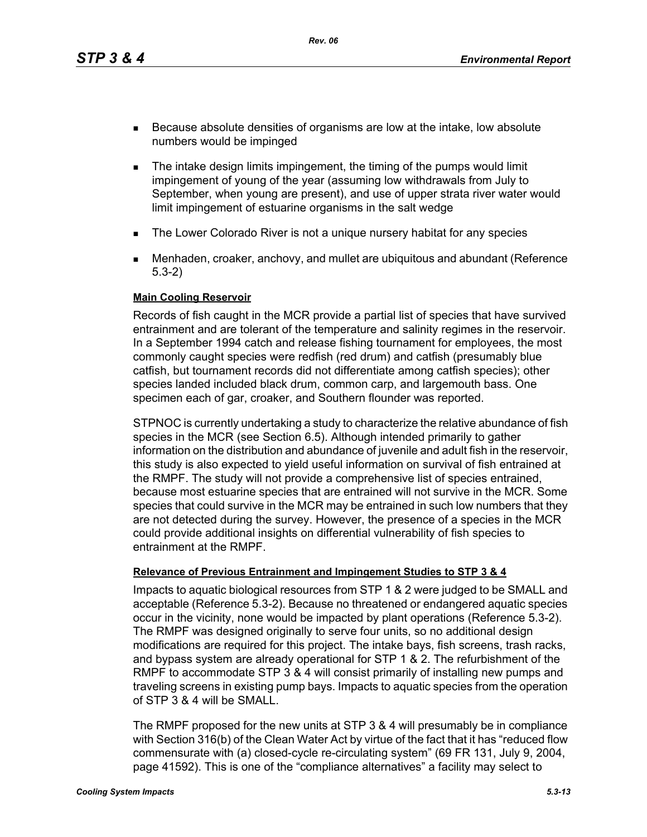*Rev. 06*

- Because absolute densities of organisms are low at the intake, low absolute numbers would be impinged
- **The intake design limits impingement, the timing of the pumps would limit** impingement of young of the year (assuming low withdrawals from July to September, when young are present), and use of upper strata river water would limit impingement of estuarine organisms in the salt wedge
- **The Lower Colorado River is not a unique nursery habitat for any species**
- Menhaden, croaker, anchovy, and mullet are ubiquitous and abundant (Reference 5.3-2)

### **Main Cooling Reservoir**

Records of fish caught in the MCR provide a partial list of species that have survived entrainment and are tolerant of the temperature and salinity regimes in the reservoir. In a September 1994 catch and release fishing tournament for employees, the most commonly caught species were redfish (red drum) and catfish (presumably blue catfish, but tournament records did not differentiate among catfish species); other species landed included black drum, common carp, and largemouth bass. One specimen each of gar, croaker, and Southern flounder was reported.

STPNOC is currently undertaking a study to characterize the relative abundance of fish species in the MCR (see Section 6.5). Although intended primarily to gather information on the distribution and abundance of juvenile and adult fish in the reservoir, this study is also expected to yield useful information on survival of fish entrained at the RMPF. The study will not provide a comprehensive list of species entrained, because most estuarine species that are entrained will not survive in the MCR. Some species that could survive in the MCR may be entrained in such low numbers that they are not detected during the survey. However, the presence of a species in the MCR could provide additional insights on differential vulnerability of fish species to entrainment at the RMPF.

## **Relevance of Previous Entrainment and Impingement Studies to STP 3 & 4**

Impacts to aquatic biological resources from STP 1 & 2 were judged to be SMALL and acceptable (Reference 5.3-2). Because no threatened or endangered aquatic species occur in the vicinity, none would be impacted by plant operations (Reference 5.3-2). The RMPF was designed originally to serve four units, so no additional design modifications are required for this project. The intake bays, fish screens, trash racks, and bypass system are already operational for STP 1 & 2. The refurbishment of the RMPF to accommodate STP 3 & 4 will consist primarily of installing new pumps and traveling screens in existing pump bays. Impacts to aquatic species from the operation of STP 3 & 4 will be SMALL.

The RMPF proposed for the new units at STP 3 & 4 will presumably be in compliance with Section 316(b) of the Clean Water Act by virtue of the fact that it has "reduced flow commensurate with (a) closed-cycle re-circulating system" (69 FR 131, July 9, 2004, page 41592). This is one of the "compliance alternatives" a facility may select to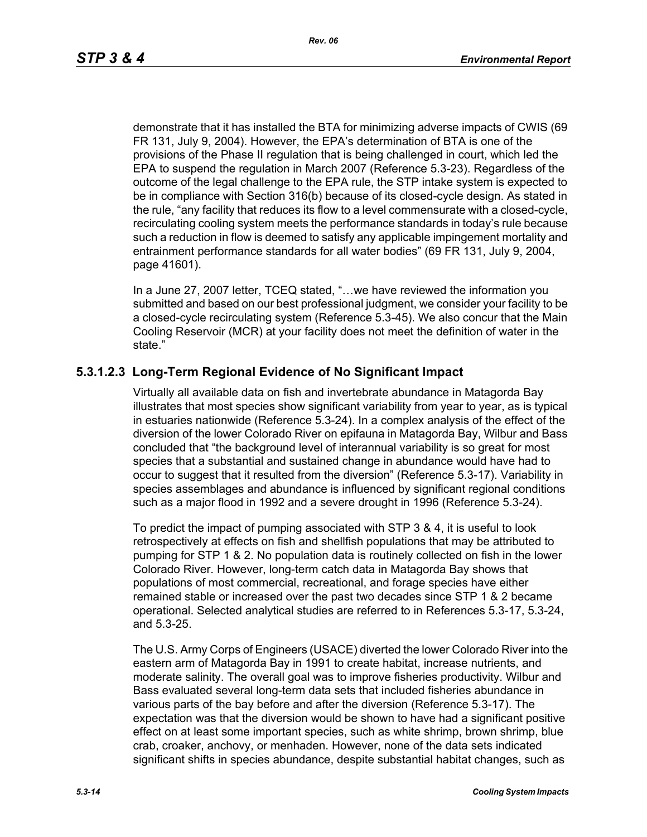demonstrate that it has installed the BTA for minimizing adverse impacts of CWIS (69 FR 131, July 9, 2004). However, the EPA's determination of BTA is one of the provisions of the Phase II regulation that is being challenged in court, which led the EPA to suspend the regulation in March 2007 (Reference 5.3-23). Regardless of the outcome of the legal challenge to the EPA rule, the STP intake system is expected to be in compliance with Section 316(b) because of its closed-cycle design. As stated in the rule, "any facility that reduces its flow to a level commensurate with a closed-cycle, recirculating cooling system meets the performance standards in today's rule because such a reduction in flow is deemed to satisfy any applicable impingement mortality and entrainment performance standards for all water bodies" (69 FR 131, July 9, 2004, page 41601).

In a June 27, 2007 letter, TCEQ stated, "…we have reviewed the information you submitted and based on our best professional judgment, we consider your facility to be a closed-cycle recirculating system (Reference 5.3-45). We also concur that the Main Cooling Reservoir (MCR) at your facility does not meet the definition of water in the state."

# **5.3.1.2.3 Long-Term Regional Evidence of No Significant Impact**

Virtually all available data on fish and invertebrate abundance in Matagorda Bay illustrates that most species show significant variability from year to year, as is typical in estuaries nationwide (Reference 5.3-24). In a complex analysis of the effect of the diversion of the lower Colorado River on epifauna in Matagorda Bay, Wilbur and Bass concluded that "the background level of interannual variability is so great for most species that a substantial and sustained change in abundance would have had to occur to suggest that it resulted from the diversion" (Reference 5.3-17). Variability in species assemblages and abundance is influenced by significant regional conditions such as a major flood in 1992 and a severe drought in 1996 (Reference 5.3-24).

To predict the impact of pumping associated with STP 3 & 4, it is useful to look retrospectively at effects on fish and shellfish populations that may be attributed to pumping for STP 1 & 2. No population data is routinely collected on fish in the lower Colorado River. However, long-term catch data in Matagorda Bay shows that populations of most commercial, recreational, and forage species have either remained stable or increased over the past two decades since STP 1 & 2 became operational. Selected analytical studies are referred to in References 5.3-17, 5.3-24, and 5.3-25.

The U.S. Army Corps of Engineers (USACE) diverted the lower Colorado River into the eastern arm of Matagorda Bay in 1991 to create habitat, increase nutrients, and moderate salinity. The overall goal was to improve fisheries productivity. Wilbur and Bass evaluated several long-term data sets that included fisheries abundance in various parts of the bay before and after the diversion (Reference 5.3-17). The expectation was that the diversion would be shown to have had a significant positive effect on at least some important species, such as white shrimp, brown shrimp, blue crab, croaker, anchovy, or menhaden. However, none of the data sets indicated significant shifts in species abundance, despite substantial habitat changes, such as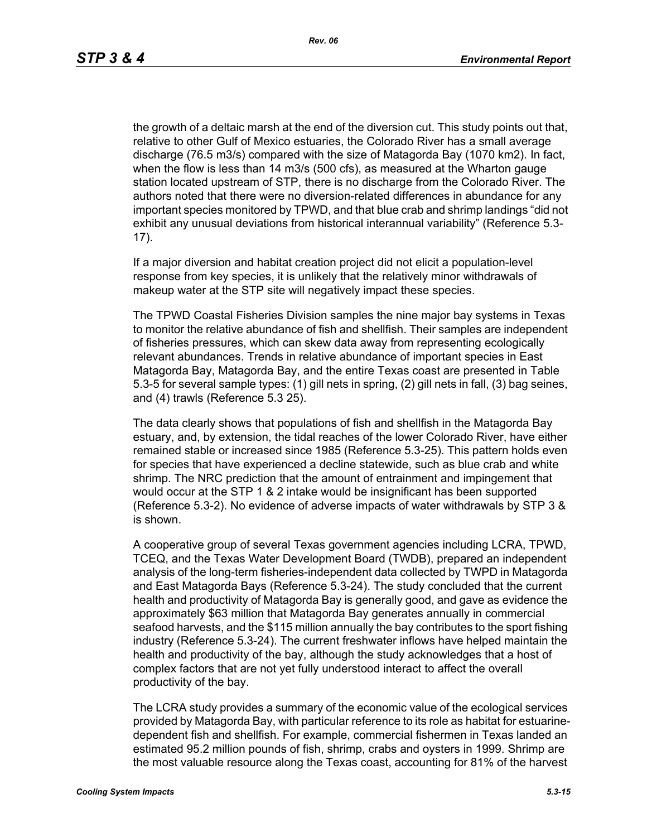the growth of a deltaic marsh at the end of the diversion cut. This study points out that, relative to other Gulf of Mexico estuaries, the Colorado River has a small average discharge (76.5 m3/s) compared with the size of Matagorda Bay (1070 km2). In fact, when the flow is less than 14 m3/s (500 cfs), as measured at the Wharton gauge station located upstream of STP, there is no discharge from the Colorado River. The authors noted that there were no diversion-related differences in abundance for any important species monitored by TPWD, and that blue crab and shrimp landings "did not exhibit any unusual deviations from historical interannual variability" (Reference 5.3- 17).

If a major diversion and habitat creation project did not elicit a population-level response from key species, it is unlikely that the relatively minor withdrawals of makeup water at the STP site will negatively impact these species.

The TPWD Coastal Fisheries Division samples the nine major bay systems in Texas to monitor the relative abundance of fish and shellfish. Their samples are independent of fisheries pressures, which can skew data away from representing ecologically relevant abundances. Trends in relative abundance of important species in East Matagorda Bay, Matagorda Bay, and the entire Texas coast are presented in Table 5.3-5 for several sample types: (1) gill nets in spring, (2) gill nets in fall, (3) bag seines, and (4) trawls (Reference 5.3 25).

The data clearly shows that populations of fish and shellfish in the Matagorda Bay estuary, and, by extension, the tidal reaches of the lower Colorado River, have either remained stable or increased since 1985 (Reference 5.3-25). This pattern holds even for species that have experienced a decline statewide, such as blue crab and white shrimp. The NRC prediction that the amount of entrainment and impingement that would occur at the STP 1 & 2 intake would be insignificant has been supported (Reference 5.3-2). No evidence of adverse impacts of water withdrawals by STP 3 & is shown.

A cooperative group of several Texas government agencies including LCRA, TPWD, TCEQ, and the Texas Water Development Board (TWDB), prepared an independent analysis of the long-term fisheries-independent data collected by TWPD in Matagorda and East Matagorda Bays (Reference 5.3-24). The study concluded that the current health and productivity of Matagorda Bay is generally good, and gave as evidence the approximately \$63 million that Matagorda Bay generates annually in commercial seafood harvests, and the \$115 million annually the bay contributes to the sport fishing industry (Reference 5.3-24). The current freshwater inflows have helped maintain the health and productivity of the bay, although the study acknowledges that a host of complex factors that are not yet fully understood interact to affect the overall productivity of the bay.

The LCRA study provides a summary of the economic value of the ecological services provided by Matagorda Bay, with particular reference to its role as habitat for estuarinedependent fish and shellfish. For example, commercial fishermen in Texas landed an estimated 95.2 million pounds of fish, shrimp, crabs and oysters in 1999. Shrimp are the most valuable resource along the Texas coast, accounting for 81% of the harvest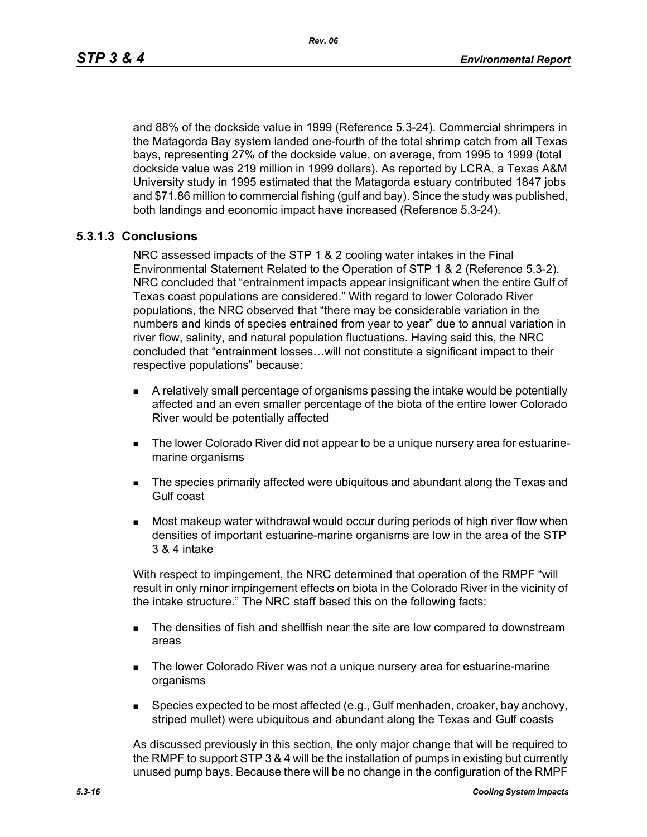and 88% of the dockside value in 1999 (Reference 5.3-24). Commercial shrimpers in the Matagorda Bay system landed one-fourth of the total shrimp catch from all Texas bays, representing 27% of the dockside value, on average, from 1995 to 1999 (total dockside value was 219 million in 1999 dollars). As reported by LCRA, a Texas A&M University study in 1995 estimated that the Matagorda estuary contributed 1847 jobs and \$71.86 million to commercial fishing (gulf and bay). Since the study was published, both landings and economic impact have increased (Reference 5.3-24).

# **5.3.1.3 Conclusions**

NRC assessed impacts of the STP 1 & 2 cooling water intakes in the Final Environmental Statement Related to the Operation of STP 1 & 2 (Reference 5.3-2). NRC concluded that "entrainment impacts appear insignificant when the entire Gulf of Texas coast populations are considered." With regard to lower Colorado River populations, the NRC observed that "there may be considerable variation in the numbers and kinds of species entrained from year to year" due to annual variation in river flow, salinity, and natural population fluctuations. Having said this, the NRC concluded that "entrainment losses…will not constitute a significant impact to their respective populations" because:

- A relatively small percentage of organisms passing the intake would be potentially affected and an even smaller percentage of the biota of the entire lower Colorado River would be potentially affected
- The lower Colorado River did not appear to be a unique nursery area for estuarinemarine organisms
- **The species primarily affected were ubiquitous and abundant along the Texas and** Gulf coast
- Most makeup water withdrawal would occur during periods of high river flow when densities of important estuarine-marine organisms are low in the area of the STP 3 & 4 intake

With respect to impingement, the NRC determined that operation of the RMPF "will result in only minor impingement effects on biota in the Colorado River in the vicinity of the intake structure." The NRC staff based this on the following facts:

- **The densities of fish and shellfish near the site are low compared to downstream** areas
- **The lower Colorado River was not a unique nursery area for estuarine-marine** organisms
- **Species expected to be most affected (e.g., Gulf menhaden, croaker, bay anchovy,** striped mullet) were ubiquitous and abundant along the Texas and Gulf coasts

As discussed previously in this section, the only major change that will be required to the RMPF to support STP 3 & 4 will be the installation of pumps in existing but currently unused pump bays. Because there will be no change in the configuration of the RMPF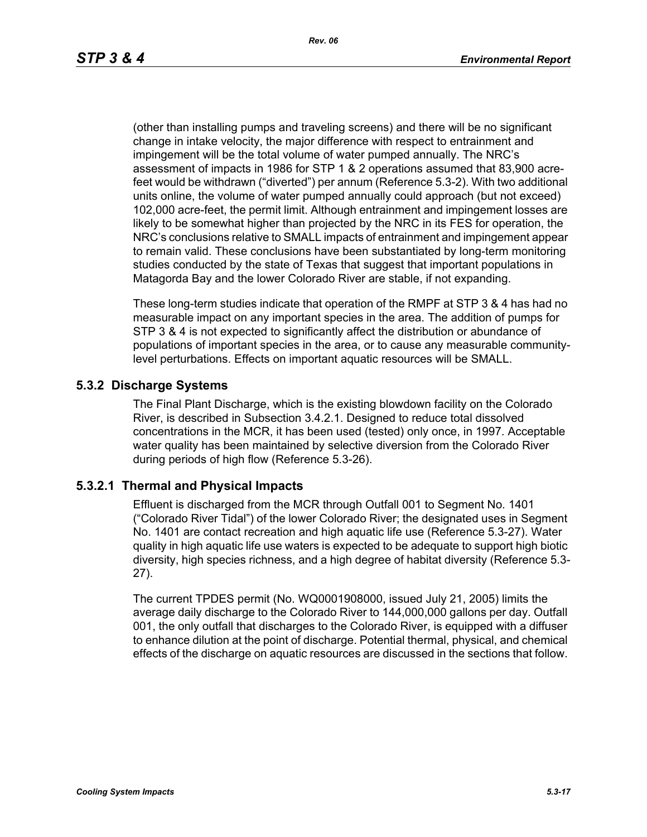(other than installing pumps and traveling screens) and there will be no significant change in intake velocity, the major difference with respect to entrainment and impingement will be the total volume of water pumped annually. The NRC's assessment of impacts in 1986 for STP 1 & 2 operations assumed that 83,900 acrefeet would be withdrawn ("diverted") per annum (Reference 5.3-2). With two additional units online, the volume of water pumped annually could approach (but not exceed) 102,000 acre-feet, the permit limit. Although entrainment and impingement losses are likely to be somewhat higher than projected by the NRC in its FES for operation, the NRC's conclusions relative to SMALL impacts of entrainment and impingement appear to remain valid. These conclusions have been substantiated by long-term monitoring studies conducted by the state of Texas that suggest that important populations in Matagorda Bay and the lower Colorado River are stable, if not expanding.

These long-term studies indicate that operation of the RMPF at STP 3 & 4 has had no measurable impact on any important species in the area. The addition of pumps for STP 3 & 4 is not expected to significantly affect the distribution or abundance of populations of important species in the area, or to cause any measurable communitylevel perturbations. Effects on important aquatic resources will be SMALL.

# **5.3.2 Discharge Systems**

The Final Plant Discharge, which is the existing blowdown facility on the Colorado River, is described in Subsection 3.4.2.1. Designed to reduce total dissolved concentrations in the MCR, it has been used (tested) only once, in 1997. Acceptable water quality has been maintained by selective diversion from the Colorado River during periods of high flow (Reference 5.3-26).

## **5.3.2.1 Thermal and Physical Impacts**

Effluent is discharged from the MCR through Outfall 001 to Segment No. 1401 ("Colorado River Tidal") of the lower Colorado River; the designated uses in Segment No. 1401 are contact recreation and high aquatic life use (Reference 5.3-27). Water quality in high aquatic life use waters is expected to be adequate to support high biotic diversity, high species richness, and a high degree of habitat diversity (Reference 5.3- 27).

The current TPDES permit (No. WQ0001908000, issued July 21, 2005) limits the average daily discharge to the Colorado River to 144,000,000 gallons per day. Outfall 001, the only outfall that discharges to the Colorado River, is equipped with a diffuser to enhance dilution at the point of discharge. Potential thermal, physical, and chemical effects of the discharge on aquatic resources are discussed in the sections that follow.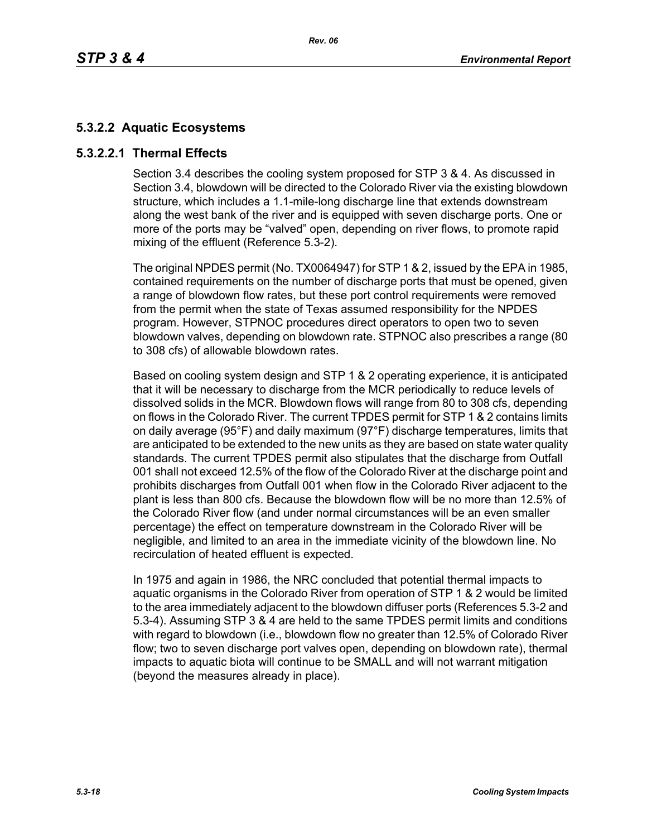# **5.3.2.2 Aquatic Ecosystems**

# **5.3.2.2.1 Thermal Effects**

Section 3.4 describes the cooling system proposed for STP 3 & 4. As discussed in Section 3.4, blowdown will be directed to the Colorado River via the existing blowdown structure, which includes a 1.1-mile-long discharge line that extends downstream along the west bank of the river and is equipped with seven discharge ports. One or more of the ports may be "valved" open, depending on river flows, to promote rapid mixing of the effluent (Reference 5.3-2).

The original NPDES permit (No. TX0064947) for STP 1 & 2, issued by the EPA in 1985, contained requirements on the number of discharge ports that must be opened, given a range of blowdown flow rates, but these port control requirements were removed from the permit when the state of Texas assumed responsibility for the NPDES program. However, STPNOC procedures direct operators to open two to seven blowdown valves, depending on blowdown rate. STPNOC also prescribes a range (80 to 308 cfs) of allowable blowdown rates.

Based on cooling system design and STP 1 & 2 operating experience, it is anticipated that it will be necessary to discharge from the MCR periodically to reduce levels of dissolved solids in the MCR. Blowdown flows will range from 80 to 308 cfs, depending on flows in the Colorado River. The current TPDES permit for STP 1 & 2 contains limits on daily average (95°F) and daily maximum (97°F) discharge temperatures, limits that are anticipated to be extended to the new units as they are based on state water quality standards. The current TPDES permit also stipulates that the discharge from Outfall 001 shall not exceed 12.5% of the flow of the Colorado River at the discharge point and prohibits discharges from Outfall 001 when flow in the Colorado River adjacent to the plant is less than 800 cfs. Because the blowdown flow will be no more than 12.5% of the Colorado River flow (and under normal circumstances will be an even smaller percentage) the effect on temperature downstream in the Colorado River will be negligible, and limited to an area in the immediate vicinity of the blowdown line. No recirculation of heated effluent is expected.

In 1975 and again in 1986, the NRC concluded that potential thermal impacts to aquatic organisms in the Colorado River from operation of STP 1 & 2 would be limited to the area immediately adjacent to the blowdown diffuser ports (References 5.3-2 and 5.3-4). Assuming STP 3 & 4 are held to the same TPDES permit limits and conditions with regard to blowdown (i.e., blowdown flow no greater than 12.5% of Colorado River flow; two to seven discharge port valves open, depending on blowdown rate), thermal impacts to aquatic biota will continue to be SMALL and will not warrant mitigation (beyond the measures already in place).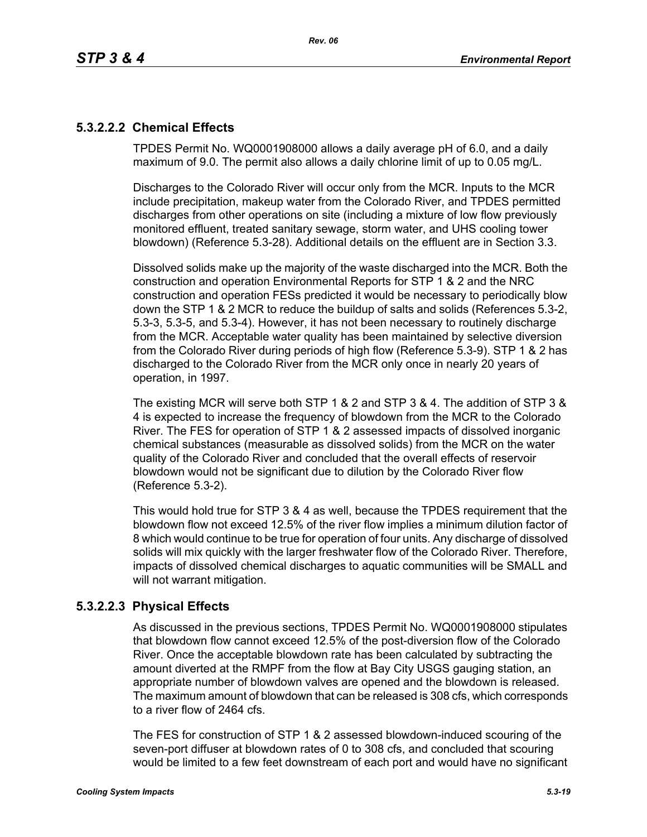# **5.3.2.2.2 Chemical Effects**

TPDES Permit No. WQ0001908000 allows a daily average pH of 6.0, and a daily maximum of 9.0. The permit also allows a daily chlorine limit of up to 0.05 mg/L.

Discharges to the Colorado River will occur only from the MCR. Inputs to the MCR include precipitation, makeup water from the Colorado River, and TPDES permitted discharges from other operations on site (including a mixture of low flow previously monitored effluent, treated sanitary sewage, storm water, and UHS cooling tower blowdown) (Reference 5.3-28). Additional details on the effluent are in Section 3.3.

Dissolved solids make up the majority of the waste discharged into the MCR. Both the construction and operation Environmental Reports for STP 1 & 2 and the NRC construction and operation FESs predicted it would be necessary to periodically blow down the STP 1 & 2 MCR to reduce the buildup of salts and solids (References 5.3-2, 5.3-3, 5.3-5, and 5.3-4). However, it has not been necessary to routinely discharge from the MCR. Acceptable water quality has been maintained by selective diversion from the Colorado River during periods of high flow (Reference 5.3-9). STP 1 & 2 has discharged to the Colorado River from the MCR only once in nearly 20 years of operation, in 1997.

The existing MCR will serve both STP 1 & 2 and STP 3 & 4. The addition of STP 3 & 4 is expected to increase the frequency of blowdown from the MCR to the Colorado River. The FES for operation of STP 1 & 2 assessed impacts of dissolved inorganic chemical substances (measurable as dissolved solids) from the MCR on the water quality of the Colorado River and concluded that the overall effects of reservoir blowdown would not be significant due to dilution by the Colorado River flow (Reference 5.3-2).

This would hold true for STP 3 & 4 as well, because the TPDES requirement that the blowdown flow not exceed 12.5% of the river flow implies a minimum dilution factor of 8 which would continue to be true for operation of four units. Any discharge of dissolved solids will mix quickly with the larger freshwater flow of the Colorado River. Therefore, impacts of dissolved chemical discharges to aquatic communities will be SMALL and will not warrant mitigation.

# **5.3.2.2.3 Physical Effects**

As discussed in the previous sections, TPDES Permit No. WQ0001908000 stipulates that blowdown flow cannot exceed 12.5% of the post-diversion flow of the Colorado River. Once the acceptable blowdown rate has been calculated by subtracting the amount diverted at the RMPF from the flow at Bay City USGS gauging station, an appropriate number of blowdown valves are opened and the blowdown is released. The maximum amount of blowdown that can be released is 308 cfs, which corresponds to a river flow of 2464 cfs.

The FES for construction of STP 1 & 2 assessed blowdown-induced scouring of the seven-port diffuser at blowdown rates of 0 to 308 cfs, and concluded that scouring would be limited to a few feet downstream of each port and would have no significant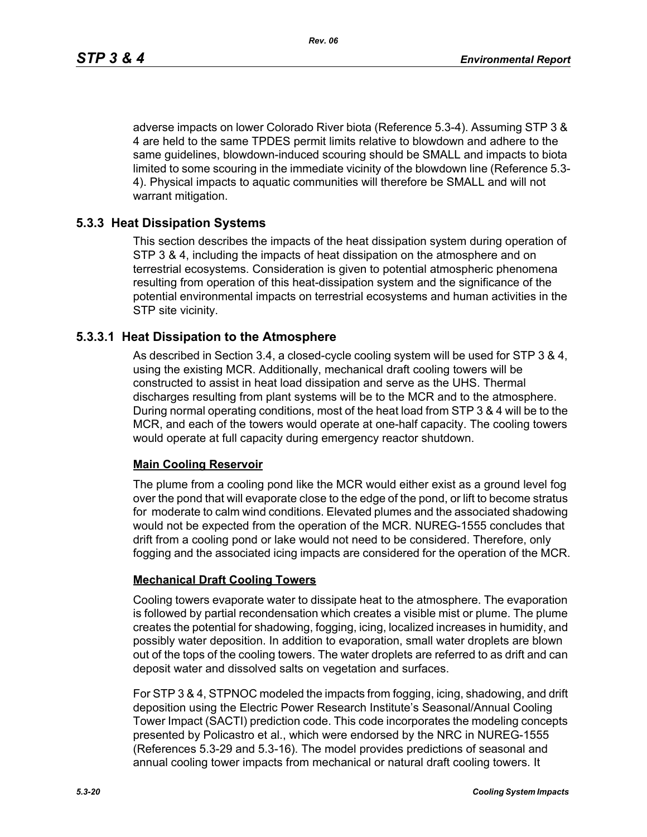adverse impacts on lower Colorado River biota (Reference 5.3-4). Assuming STP 3 & 4 are held to the same TPDES permit limits relative to blowdown and adhere to the same guidelines, blowdown-induced scouring should be SMALL and impacts to biota limited to some scouring in the immediate vicinity of the blowdown line (Reference 5.3- 4). Physical impacts to aquatic communities will therefore be SMALL and will not warrant mitigation.

# **5.3.3 Heat Dissipation Systems**

This section describes the impacts of the heat dissipation system during operation of STP 3 & 4, including the impacts of heat dissipation on the atmosphere and on terrestrial ecosystems. Consideration is given to potential atmospheric phenomena resulting from operation of this heat-dissipation system and the significance of the potential environmental impacts on terrestrial ecosystems and human activities in the STP site vicinity.

## **5.3.3.1 Heat Dissipation to the Atmosphere**

As described in Section 3.4, a closed-cycle cooling system will be used for STP 3 & 4, using the existing MCR. Additionally, mechanical draft cooling towers will be constructed to assist in heat load dissipation and serve as the UHS. Thermal discharges resulting from plant systems will be to the MCR and to the atmosphere. During normal operating conditions, most of the heat load from STP 3 & 4 will be to the MCR, and each of the towers would operate at one-half capacity. The cooling towers would operate at full capacity during emergency reactor shutdown.

## **Main Cooling Reservoir**

The plume from a cooling pond like the MCR would either exist as a ground level fog over the pond that will evaporate close to the edge of the pond, or lift to become stratus for moderate to calm wind conditions. Elevated plumes and the associated shadowing would not be expected from the operation of the MCR. NUREG-1555 concludes that drift from a cooling pond or lake would not need to be considered. Therefore, only fogging and the associated icing impacts are considered for the operation of the MCR.

## **Mechanical Draft Cooling Towers**

Cooling towers evaporate water to dissipate heat to the atmosphere. The evaporation is followed by partial recondensation which creates a visible mist or plume. The plume creates the potential for shadowing, fogging, icing, localized increases in humidity, and possibly water deposition. In addition to evaporation, small water droplets are blown out of the tops of the cooling towers. The water droplets are referred to as drift and can deposit water and dissolved salts on vegetation and surfaces.

For STP 3 & 4, STPNOC modeled the impacts from fogging, icing, shadowing, and drift deposition using the Electric Power Research Institute's Seasonal/Annual Cooling Tower Impact (SACTI) prediction code. This code incorporates the modeling concepts presented by Policastro et al., which were endorsed by the NRC in NUREG-1555 (References 5.3-29 and 5.3-16). The model provides predictions of seasonal and annual cooling tower impacts from mechanical or natural draft cooling towers. It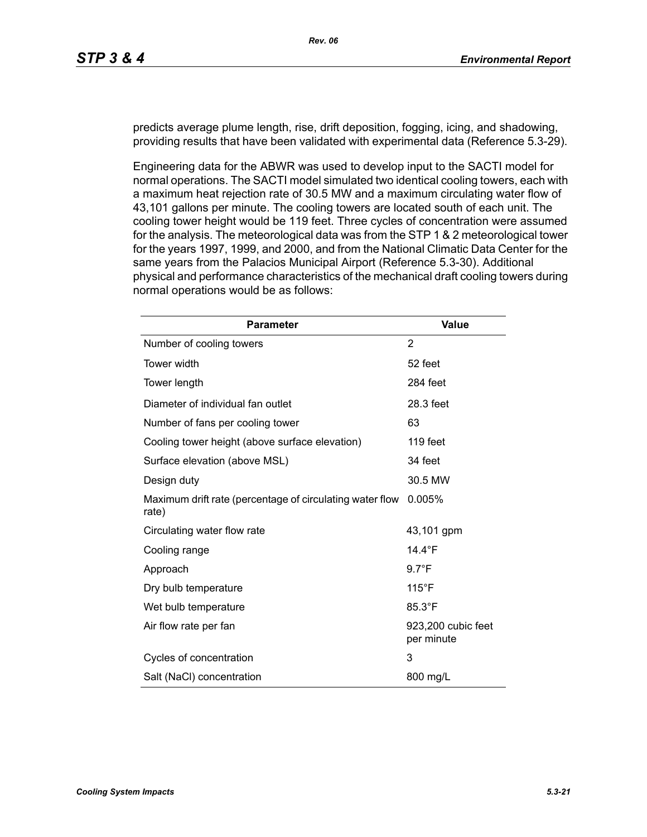predicts average plume length, rise, drift deposition, fogging, icing, and shadowing, providing results that have been validated with experimental data (Reference 5.3-29).

Engineering data for the ABWR was used to develop input to the SACTI model for normal operations. The SACTI model simulated two identical cooling towers, each with a maximum heat rejection rate of 30.5 MW and a maximum circulating water flow of 43,101 gallons per minute. The cooling towers are located south of each unit. The cooling tower height would be 119 feet. Three cycles of concentration were assumed for the analysis. The meteorological data was from the STP 1 & 2 meteorological tower for the years 1997, 1999, and 2000, and from the National Climatic Data Center for the same years from the Palacios Municipal Airport (Reference 5.3-30). Additional physical and performance characteristics of the mechanical draft cooling towers during normal operations would be as follows:

| <b>Parameter</b>                                                  | <b>Value</b>                     |
|-------------------------------------------------------------------|----------------------------------|
| Number of cooling towers                                          | 2                                |
| Tower width                                                       | 52 feet                          |
| Tower length                                                      | 284 feet                         |
| Diameter of individual fan outlet                                 | 28.3 feet                        |
| Number of fans per cooling tower                                  | 63                               |
| Cooling tower height (above surface elevation)                    | 119 feet                         |
| Surface elevation (above MSL)                                     | 34 feet                          |
| Design duty                                                       | 30.5 MW                          |
| Maximum drift rate (percentage of circulating water flow<br>rate) | 0.005%                           |
| Circulating water flow rate                                       | 43,101 gpm                       |
| Cooling range                                                     | 14.4 $\degree$ F                 |
| Approach                                                          | $9.7^{\circ}F$                   |
| Dry bulb temperature                                              | $115^{\circ}$ F                  |
| Wet bulb temperature                                              | 85.3°F                           |
| Air flow rate per fan                                             | 923,200 cubic feet<br>per minute |
| Cycles of concentration                                           | 3                                |
| Salt (NaCl) concentration                                         | 800 mg/L                         |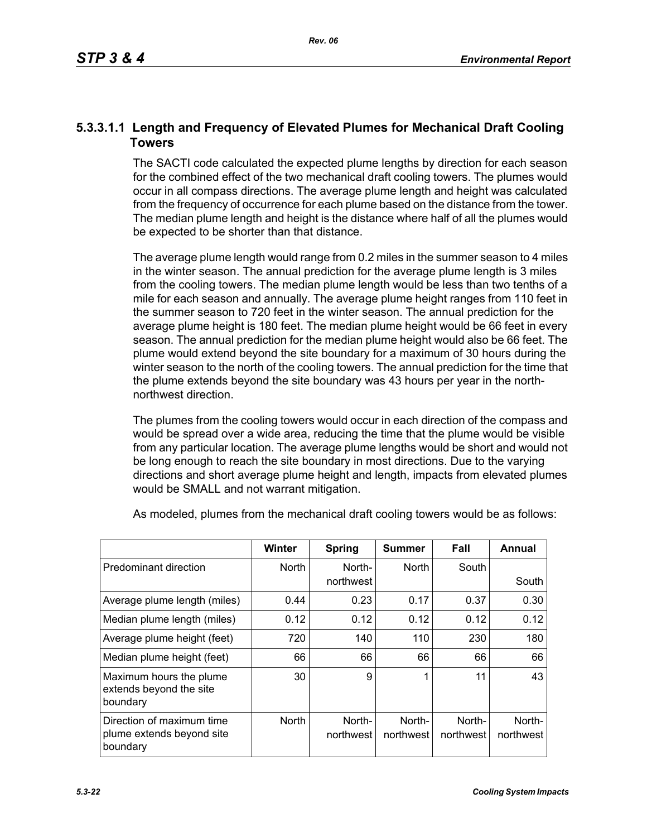# **5.3.3.1.1 Length and Frequency of Elevated Plumes for Mechanical Draft Cooling Towers**

The SACTI code calculated the expected plume lengths by direction for each season for the combined effect of the two mechanical draft cooling towers. The plumes would occur in all compass directions. The average plume length and height was calculated from the frequency of occurrence for each plume based on the distance from the tower. The median plume length and height is the distance where half of all the plumes would be expected to be shorter than that distance.

The average plume length would range from 0.2 miles in the summer season to 4 miles in the winter season. The annual prediction for the average plume length is 3 miles from the cooling towers. The median plume length would be less than two tenths of a mile for each season and annually. The average plume height ranges from 110 feet in the summer season to 720 feet in the winter season. The annual prediction for the average plume height is 180 feet. The median plume height would be 66 feet in every season. The annual prediction for the median plume height would also be 66 feet. The plume would extend beyond the site boundary for a maximum of 30 hours during the winter season to the north of the cooling towers. The annual prediction for the time that the plume extends beyond the site boundary was 43 hours per year in the northnorthwest direction.

The plumes from the cooling towers would occur in each direction of the compass and would be spread over a wide area, reducing the time that the plume would be visible from any particular location. The average plume lengths would be short and would not be long enough to reach the site boundary in most directions. Due to the varying directions and short average plume height and length, impacts from elevated plumes would be SMALL and not warrant mitigation.

|                                                                    | <b>Winter</b> | Spring              | Summer              | Fall                | Annual              |
|--------------------------------------------------------------------|---------------|---------------------|---------------------|---------------------|---------------------|
| Predominant direction                                              | <b>North</b>  | North-<br>northwest | <b>North</b>        | South               | South               |
| Average plume length (miles)                                       | 0.44          | 0.23                | 0.17                | 0.37                | 0.30                |
| Median plume length (miles)                                        | 0.12          | 0.12                | 0.12                | 0.12                | 0.12                |
| Average plume height (feet)                                        | 720           | 140                 | 110                 | 230                 | 180                 |
| Median plume height (feet)                                         | 66            | 66                  | 66                  | 66                  | 66                  |
| Maximum hours the plume<br>extends beyond the site<br>boundary     | 30            | 9                   | 1                   | 11                  | 43                  |
| Direction of maximum time<br>plume extends beyond site<br>boundary | <b>North</b>  | North-<br>northwest | North-<br>northwest | North-<br>northwest | North-<br>northwest |

As modeled, plumes from the mechanical draft cooling towers would be as follows: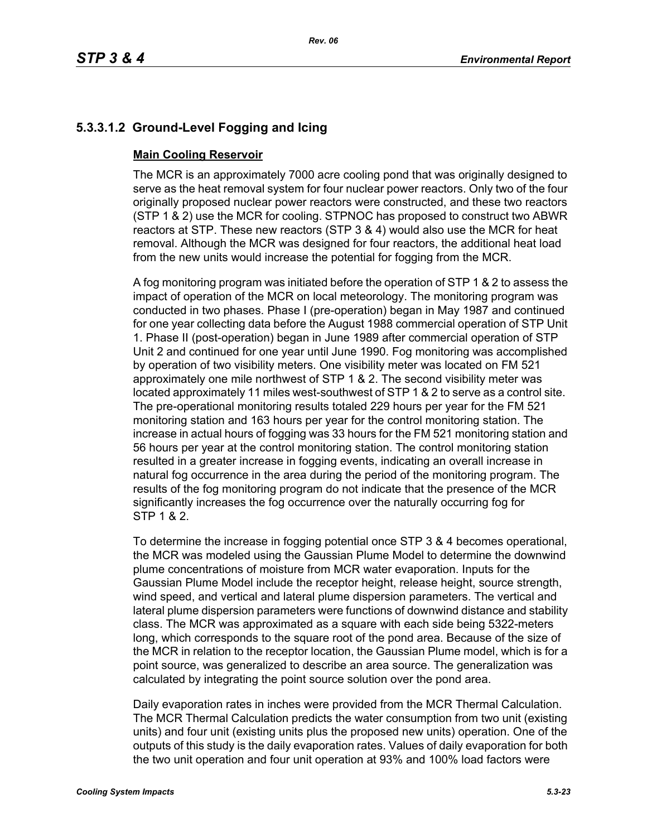# **5.3.3.1.2 Ground-Level Fogging and Icing**

# **Main Cooling Reservoir**

The MCR is an approximately 7000 acre cooling pond that was originally designed to serve as the heat removal system for four nuclear power reactors. Only two of the four originally proposed nuclear power reactors were constructed, and these two reactors (STP 1 & 2) use the MCR for cooling. STPNOC has proposed to construct two ABWR reactors at STP. These new reactors (STP 3 & 4) would also use the MCR for heat removal. Although the MCR was designed for four reactors, the additional heat load from the new units would increase the potential for fogging from the MCR.

A fog monitoring program was initiated before the operation of STP 1 & 2 to assess the impact of operation of the MCR on local meteorology. The monitoring program was conducted in two phases. Phase I (pre-operation) began in May 1987 and continued for one year collecting data before the August 1988 commercial operation of STP Unit 1. Phase II (post-operation) began in June 1989 after commercial operation of STP Unit 2 and continued for one year until June 1990. Fog monitoring was accomplished by operation of two visibility meters. One visibility meter was located on FM 521 approximately one mile northwest of STP 1 & 2. The second visibility meter was located approximately 11 miles west-southwest of STP 1 & 2 to serve as a control site. The pre-operational monitoring results totaled 229 hours per year for the FM 521 monitoring station and 163 hours per year for the control monitoring station. The increase in actual hours of fogging was 33 hours for the FM 521 monitoring station and 56 hours per year at the control monitoring station. The control monitoring station resulted in a greater increase in fogging events, indicating an overall increase in natural fog occurrence in the area during the period of the monitoring program. The results of the fog monitoring program do not indicate that the presence of the MCR significantly increases the fog occurrence over the naturally occurring fog for STP 1 & 2.

To determine the increase in fogging potential once STP 3 & 4 becomes operational, the MCR was modeled using the Gaussian Plume Model to determine the downwind plume concentrations of moisture from MCR water evaporation. Inputs for the Gaussian Plume Model include the receptor height, release height, source strength, wind speed, and vertical and lateral plume dispersion parameters. The vertical and lateral plume dispersion parameters were functions of downwind distance and stability class. The MCR was approximated as a square with each side being 5322-meters long, which corresponds to the square root of the pond area. Because of the size of the MCR in relation to the receptor location, the Gaussian Plume model, which is for a point source, was generalized to describe an area source. The generalization was calculated by integrating the point source solution over the pond area.

Daily evaporation rates in inches were provided from the MCR Thermal Calculation. The MCR Thermal Calculation predicts the water consumption from two unit (existing units) and four unit (existing units plus the proposed new units) operation. One of the outputs of this study is the daily evaporation rates. Values of daily evaporation for both the two unit operation and four unit operation at 93% and 100% load factors were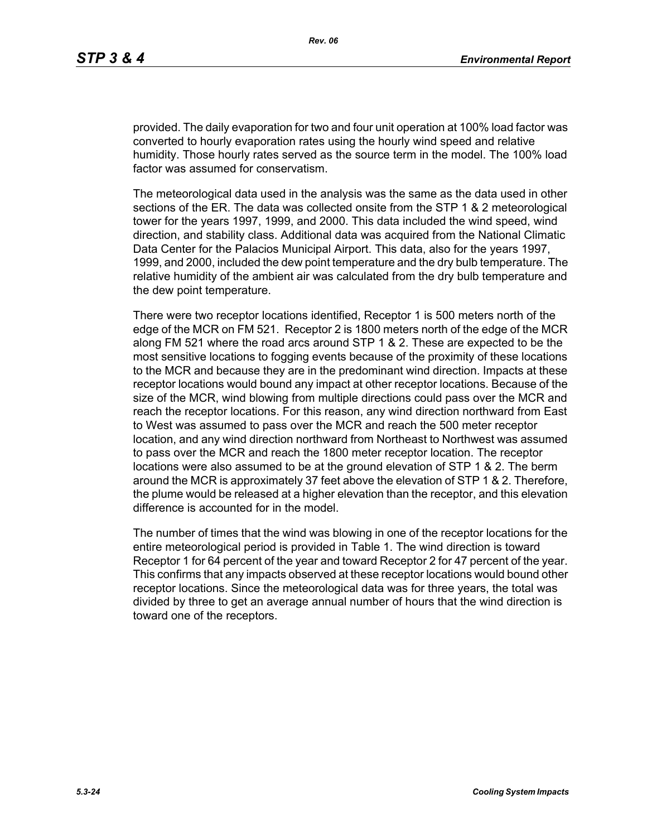provided. The daily evaporation for two and four unit operation at 100% load factor was converted to hourly evaporation rates using the hourly wind speed and relative humidity. Those hourly rates served as the source term in the model. The 100% load factor was assumed for conservatism.

The meteorological data used in the analysis was the same as the data used in other sections of the ER. The data was collected onsite from the STP 1 & 2 meteorological tower for the years 1997, 1999, and 2000. This data included the wind speed, wind direction, and stability class. Additional data was acquired from the National Climatic Data Center for the Palacios Municipal Airport. This data, also for the years 1997, 1999, and 2000, included the dew point temperature and the dry bulb temperature. The relative humidity of the ambient air was calculated from the dry bulb temperature and the dew point temperature.

There were two receptor locations identified, Receptor 1 is 500 meters north of the edge of the MCR on FM 521. Receptor 2 is 1800 meters north of the edge of the MCR along FM 521 where the road arcs around STP 1 & 2. These are expected to be the most sensitive locations to fogging events because of the proximity of these locations to the MCR and because they are in the predominant wind direction. Impacts at these receptor locations would bound any impact at other receptor locations. Because of the size of the MCR, wind blowing from multiple directions could pass over the MCR and reach the receptor locations. For this reason, any wind direction northward from East to West was assumed to pass over the MCR and reach the 500 meter receptor location, and any wind direction northward from Northeast to Northwest was assumed to pass over the MCR and reach the 1800 meter receptor location. The receptor locations were also assumed to be at the ground elevation of STP 1 & 2. The berm around the MCR is approximately 37 feet above the elevation of STP 1 & 2. Therefore, the plume would be released at a higher elevation than the receptor, and this elevation difference is accounted for in the model.

The number of times that the wind was blowing in one of the receptor locations for the entire meteorological period is provided in Table 1. The wind direction is toward Receptor 1 for 64 percent of the year and toward Receptor 2 for 47 percent of the year. This confirms that any impacts observed at these receptor locations would bound other receptor locations. Since the meteorological data was for three years, the total was divided by three to get an average annual number of hours that the wind direction is toward one of the receptors.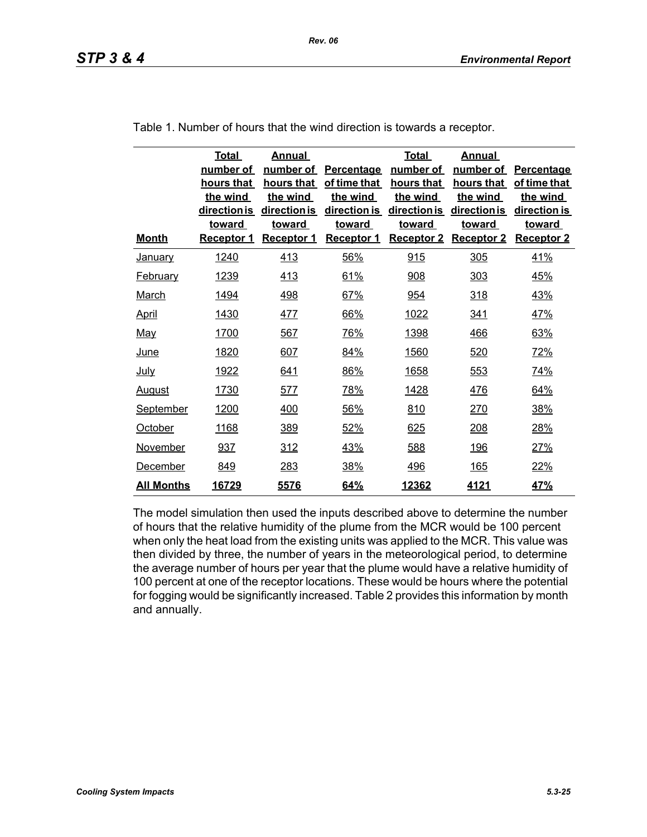| <b>Month</b>      | <b>Total</b><br>number of<br>hours that<br>the wind<br>direction is<br><b>toward</b><br>Receptor 1 | <b>Annual</b><br>number of<br>hours that<br>the wind<br>direction is<br>toward<br><b>Receptor 1</b> | Percentage<br>of time that<br>the wind<br>direction is<br><b>toward</b><br><b>Receptor 1</b> | <b>Total</b><br>number of<br>hours that<br>the wind<br>direction is<br><b>toward</b><br><b>Receptor 2</b> | <b>Annual</b><br>number of<br>hours that<br>the wind<br>direction is<br>toward<br><b>Receptor 2</b> | Percentage<br>of time that<br>the wind<br>direction is<br><b>toward</b><br><b>Receptor 2</b> |
|-------------------|----------------------------------------------------------------------------------------------------|-----------------------------------------------------------------------------------------------------|----------------------------------------------------------------------------------------------|-----------------------------------------------------------------------------------------------------------|-----------------------------------------------------------------------------------------------------|----------------------------------------------------------------------------------------------|
| <b>January</b>    | 1240                                                                                               | 413                                                                                                 | 56%                                                                                          | 915                                                                                                       | 305                                                                                                 | 41%                                                                                          |
| <b>February</b>   | 1239                                                                                               | 413                                                                                                 | 61%                                                                                          | 908                                                                                                       | 303                                                                                                 | 45%                                                                                          |
| <b>March</b>      | <u>1494</u>                                                                                        | <u>498</u>                                                                                          | 67%                                                                                          | 954                                                                                                       | <u>318</u>                                                                                          | <u>43%</u>                                                                                   |
| <b>April</b>      | 1430                                                                                               | <u>477</u>                                                                                          | 66%                                                                                          | 1022                                                                                                      | <u>341</u>                                                                                          | <u>47%</u>                                                                                   |
| <u>May</u>        | 1700                                                                                               | 567                                                                                                 | 76%                                                                                          | 1398                                                                                                      | 466                                                                                                 | 63%                                                                                          |
| <u>June</u>       | 1820                                                                                               | 607                                                                                                 | 84%                                                                                          | 1560                                                                                                      | 520                                                                                                 | 72%                                                                                          |
| <u>July</u>       | 1922                                                                                               | 641                                                                                                 | 86%                                                                                          | 1658                                                                                                      | 553                                                                                                 | 74%                                                                                          |
| <u>August</u>     | 1730                                                                                               | 577                                                                                                 | 78%                                                                                          | 1428                                                                                                      | 476                                                                                                 | 64%                                                                                          |
| <b>September</b>  | 1200                                                                                               | 400                                                                                                 | 56%                                                                                          | 810                                                                                                       | 270                                                                                                 | 38%                                                                                          |
| October           | 1168                                                                                               | 389                                                                                                 | 52%                                                                                          | 625                                                                                                       | 208                                                                                                 | 28%                                                                                          |
| November          | 937                                                                                                | 312                                                                                                 | 43%                                                                                          | 588                                                                                                       | <u>196</u>                                                                                          | 27%                                                                                          |
| December          | 849                                                                                                | 283                                                                                                 | 38%                                                                                          | <u>496</u>                                                                                                | <u>165</u>                                                                                          | 22%                                                                                          |
| <u>All Months</u> | 16729                                                                                              | 5576                                                                                                | 64%                                                                                          | 12362                                                                                                     | 4121                                                                                                | 47%                                                                                          |

Table 1. Number of hours that the wind direction is towards a receptor.

The model simulation then used the inputs described above to determine the number of hours that the relative humidity of the plume from the MCR would be 100 percent when only the heat load from the existing units was applied to the MCR. This value was then divided by three, the number of years in the meteorological period, to determine the average number of hours per year that the plume would have a relative humidity of 100 percent at one of the receptor locations. These would be hours where the potential for fogging would be significantly increased. Table 2 provides this information by month and annually.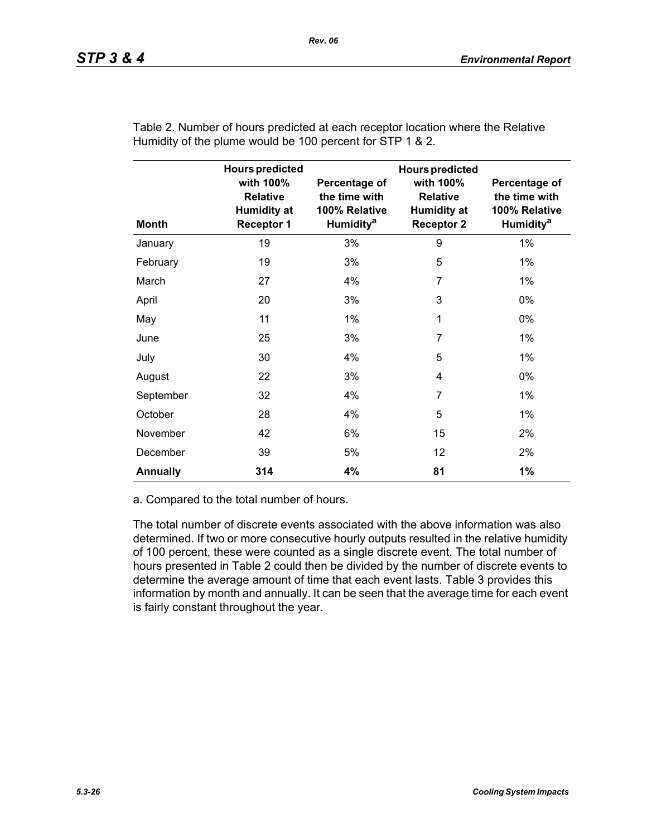| <b>Month</b>    | <b>Hours predicted</b><br>with 100%<br><b>Relative</b><br><b>Humidity at</b><br><b>Receptor 1</b> | Percentage of<br>the time with<br>100% Relative<br>Humidity <sup>a</sup> | <b>Hours predicted</b><br>with 100%<br><b>Relative</b><br><b>Humidity at</b><br><b>Receptor 2</b> | Percentage of<br>the time with<br>100% Relative<br><b>Humidity<sup>a</sup></b> |
|-----------------|---------------------------------------------------------------------------------------------------|--------------------------------------------------------------------------|---------------------------------------------------------------------------------------------------|--------------------------------------------------------------------------------|
| January         | 19                                                                                                | 3%                                                                       | 9                                                                                                 | $1\%$                                                                          |
| February        | 19                                                                                                | 3%                                                                       | 5                                                                                                 | $1\%$                                                                          |
| March           | 27                                                                                                | 4%                                                                       | 7                                                                                                 | 1%                                                                             |
| April           | 20                                                                                                | 3%                                                                       | 3                                                                                                 | 0%                                                                             |
| May             | 11                                                                                                | $1\%$                                                                    | 1                                                                                                 | 0%                                                                             |
| June            | 25                                                                                                | 3%                                                                       | 7                                                                                                 | $1\%$                                                                          |
| July            | 30                                                                                                | 4%                                                                       | 5                                                                                                 | $1\%$                                                                          |
| August          | 22                                                                                                | 3%                                                                       | 4                                                                                                 | 0%                                                                             |
| September       | 32                                                                                                | 4%                                                                       | 7                                                                                                 | 1%                                                                             |
| October         | 28                                                                                                | 4%                                                                       | 5                                                                                                 | $1\%$                                                                          |
| November        | 42                                                                                                | 6%                                                                       | 15                                                                                                | 2%                                                                             |
| December        | 39                                                                                                | 5%                                                                       | 12                                                                                                | 2%                                                                             |
| <b>Annually</b> | 314                                                                                               | 4%                                                                       | 81                                                                                                | 1%                                                                             |

Table 2. Number of hours predicted at each receptor location where the Relative Humidity of the plume would be 100 percent for STP 1 & 2.

a. Compared to the total number of hours.

The total number of discrete events associated with the above information was also determined. If two or more consecutive hourly outputs resulted in the relative humidity of 100 percent, these were counted as a single discrete event. The total number of hours presented in Table 2 could then be divided by the number of discrete events to determine the average amount of time that each event lasts. Table 3 provides this information by month and annually. It can be seen that the average time for each event is fairly constant throughout the year.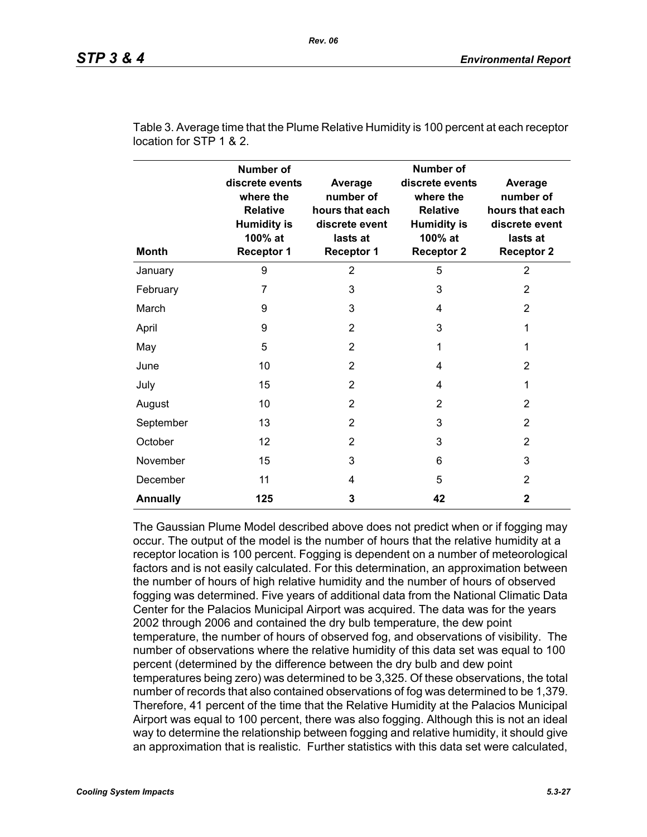| <b>Month</b>    | <b>Number of</b><br>discrete events<br>where the<br><b>Relative</b><br><b>Humidity is</b><br>100% at<br><b>Receptor 1</b> | Average<br>number of<br>hours that each<br>discrete event<br>lasts at<br><b>Receptor 1</b> | <b>Number of</b><br>discrete events<br>where the<br><b>Relative</b><br><b>Humidity is</b><br>100% at<br><b>Receptor 2</b> | Average<br>number of<br>hours that each<br>discrete event<br>lasts at<br><b>Receptor 2</b> |
|-----------------|---------------------------------------------------------------------------------------------------------------------------|--------------------------------------------------------------------------------------------|---------------------------------------------------------------------------------------------------------------------------|--------------------------------------------------------------------------------------------|
| January         | 9                                                                                                                         | $\overline{2}$                                                                             | 5                                                                                                                         | $\overline{2}$                                                                             |
| February        | 7                                                                                                                         | 3                                                                                          | 3                                                                                                                         | 2                                                                                          |
| March           | 9                                                                                                                         | 3                                                                                          | 4                                                                                                                         | $\overline{2}$                                                                             |
| April           | 9                                                                                                                         | $\overline{2}$                                                                             | 3                                                                                                                         | 1                                                                                          |
| May             | 5                                                                                                                         | $\overline{2}$                                                                             | 1                                                                                                                         | 1                                                                                          |
| June            | 10                                                                                                                        | $\overline{2}$                                                                             | 4                                                                                                                         | 2                                                                                          |
| July            | 15                                                                                                                        | 2                                                                                          | 4                                                                                                                         | 1                                                                                          |
| August          | 10                                                                                                                        | $\overline{2}$                                                                             | $\overline{2}$                                                                                                            | 2                                                                                          |
| September       | 13                                                                                                                        | 2                                                                                          | 3                                                                                                                         | 2                                                                                          |
| October         | 12                                                                                                                        | 2                                                                                          | 3                                                                                                                         | $\overline{2}$                                                                             |
| November        | 15                                                                                                                        | 3                                                                                          | 6                                                                                                                         | 3                                                                                          |
| December        | 11                                                                                                                        | 4                                                                                          | 5                                                                                                                         | 2                                                                                          |
| <b>Annually</b> | 125                                                                                                                       | 3                                                                                          | 42                                                                                                                        | 2                                                                                          |

Table 3. Average time that the Plume Relative Humidity is 100 percent at each receptor location for STP 1 & 2.

The Gaussian Plume Model described above does not predict when or if fogging may occur. The output of the model is the number of hours that the relative humidity at a receptor location is 100 percent. Fogging is dependent on a number of meteorological factors and is not easily calculated. For this determination, an approximation between the number of hours of high relative humidity and the number of hours of observed fogging was determined. Five years of additional data from the National Climatic Data Center for the Palacios Municipal Airport was acquired. The data was for the years 2002 through 2006 and contained the dry bulb temperature, the dew point temperature, the number of hours of observed fog, and observations of visibility. The number of observations where the relative humidity of this data set was equal to 100 percent (determined by the difference between the dry bulb and dew point temperatures being zero) was determined to be 3,325. Of these observations, the total number of records that also contained observations of fog was determined to be 1,379. Therefore, 41 percent of the time that the Relative Humidity at the Palacios Municipal Airport was equal to 100 percent, there was also fogging. Although this is not an ideal way to determine the relationship between fogging and relative humidity, it should give an approximation that is realistic. Further statistics with this data set were calculated,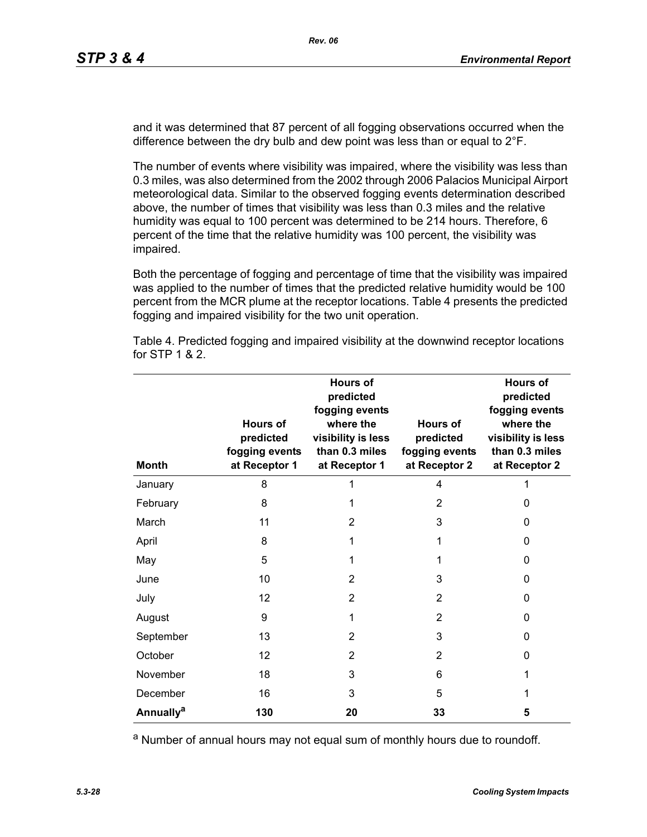and it was determined that 87 percent of all fogging observations occurred when the difference between the dry bulb and dew point was less than or equal to 2°F.

The number of events where visibility was impaired, where the visibility was less than 0.3 miles, was also determined from the 2002 through 2006 Palacios Municipal Airport meteorological data. Similar to the observed fogging events determination described above, the number of times that visibility was less than 0.3 miles and the relative humidity was equal to 100 percent was determined to be 214 hours. Therefore, 6 percent of the time that the relative humidity was 100 percent, the visibility was impaired.

Both the percentage of fogging and percentage of time that the visibility was impaired was applied to the number of times that the predicted relative humidity would be 100 percent from the MCR plume at the receptor locations. Table 4 presents the predicted fogging and impaired visibility for the two unit operation.

| <b>Month</b>          | <b>Hours of</b><br>predicted<br>fogging events<br>at Receptor 1 | <b>Hours of</b><br>predicted<br>fogging events<br>where the<br>visibility is less<br>than 0.3 miles<br>at Receptor 1 | Hours of<br>predicted<br>fogging events<br>at Receptor 2 | <b>Hours of</b><br>predicted<br>fogging events<br>where the<br>visibility is less<br>than 0.3 miles<br>at Receptor 2 |
|-----------------------|-----------------------------------------------------------------|----------------------------------------------------------------------------------------------------------------------|----------------------------------------------------------|----------------------------------------------------------------------------------------------------------------------|
| January               | 8                                                               | 1                                                                                                                    | 4                                                        |                                                                                                                      |
| February              | 8                                                               | 1                                                                                                                    | $\overline{2}$                                           | 0                                                                                                                    |
| March                 | 11                                                              | 2                                                                                                                    | 3                                                        | 0                                                                                                                    |
| April                 | 8                                                               | 1                                                                                                                    | 1                                                        | 0                                                                                                                    |
| May                   | 5                                                               | 1                                                                                                                    | 1                                                        | 0                                                                                                                    |
| June                  | 10                                                              | $\overline{2}$                                                                                                       | 3                                                        | 0                                                                                                                    |
| July                  | 12                                                              | $\overline{2}$                                                                                                       | 2                                                        | 0                                                                                                                    |
| August                | 9                                                               | 1                                                                                                                    | $\overline{2}$                                           | 0                                                                                                                    |
| September             | 13                                                              | $\overline{2}$                                                                                                       | 3                                                        | 0                                                                                                                    |
| October               | 12                                                              | 2                                                                                                                    | 2                                                        | 0                                                                                                                    |
| November              | 18                                                              | 3                                                                                                                    | 6                                                        | 1                                                                                                                    |
| December              | 16                                                              | 3                                                                                                                    | 5                                                        | 1                                                                                                                    |
| Annually <sup>a</sup> | 130                                                             | 20                                                                                                                   | 33                                                       | 5                                                                                                                    |

Table 4. Predicted fogging and impaired visibility at the downwind receptor locations for STP 1 & 2.

a Number of annual hours may not equal sum of monthly hours due to roundoff.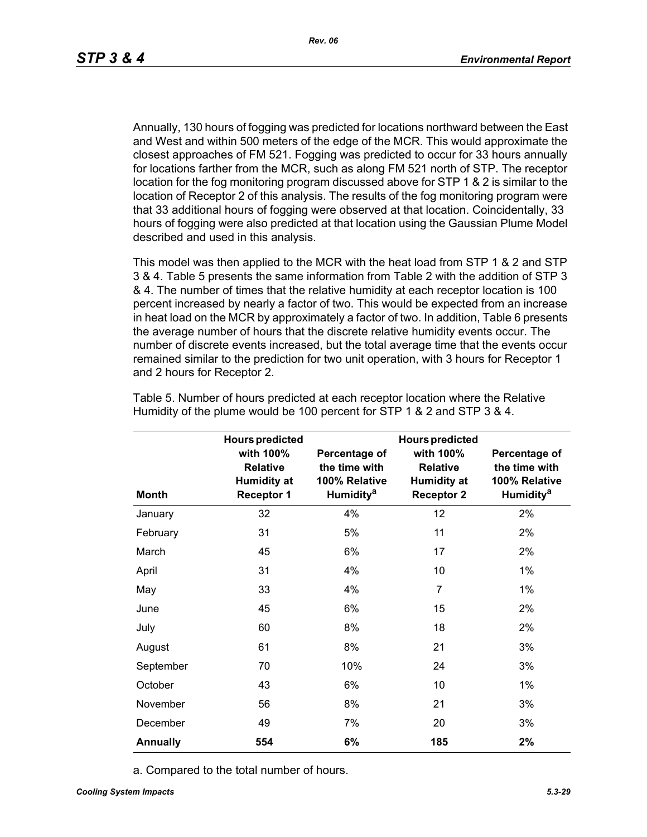Annually, 130 hours of fogging was predicted for locations northward between the East and West and within 500 meters of the edge of the MCR. This would approximate the closest approaches of FM 521. Fogging was predicted to occur for 33 hours annually for locations farther from the MCR, such as along FM 521 north of STP. The receptor location for the fog monitoring program discussed above for STP 1 & 2 is similar to the location of Receptor 2 of this analysis. The results of the fog monitoring program were that 33 additional hours of fogging were observed at that location. Coincidentally, 33 hours of fogging were also predicted at that location using the Gaussian Plume Model described and used in this analysis.

This model was then applied to the MCR with the heat load from STP 1 & 2 and STP 3 & 4. Table 5 presents the same information from Table 2 with the addition of STP 3 & 4. The number of times that the relative humidity at each receptor location is 100 percent increased by nearly a factor of two. This would be expected from an increase in heat load on the MCR by approximately a factor of two. In addition, Table 6 presents the average number of hours that the discrete relative humidity events occur. The number of discrete events increased, but the total average time that the events occur remained similar to the prediction for two unit operation, with 3 hours for Receptor 1 and 2 hours for Receptor 2.

|                 | <b>Hours predicted</b>                                                  |                                                                          | <b>Hours predicted</b>                                                  |                                                                                |
|-----------------|-------------------------------------------------------------------------|--------------------------------------------------------------------------|-------------------------------------------------------------------------|--------------------------------------------------------------------------------|
| <b>Month</b>    | with 100%<br><b>Relative</b><br><b>Humidity at</b><br><b>Receptor 1</b> | Percentage of<br>the time with<br>100% Relative<br>Humidity <sup>a</sup> | with 100%<br><b>Relative</b><br><b>Humidity at</b><br><b>Receptor 2</b> | Percentage of<br>the time with<br>100% Relative<br><b>Humidity<sup>a</sup></b> |
| January         | 32                                                                      | 4%                                                                       | 12                                                                      | 2%                                                                             |
| February        | 31                                                                      | 5%                                                                       | 11                                                                      | 2%                                                                             |
| March           | 45                                                                      | 6%                                                                       | 17                                                                      | 2%                                                                             |
| April           | 31                                                                      | 4%                                                                       | 10                                                                      | $1\%$                                                                          |
| May             | 33                                                                      | 4%                                                                       | $\overline{7}$                                                          | $1\%$                                                                          |
| June            | 45                                                                      | 6%                                                                       | 15                                                                      | 2%                                                                             |
| July            | 60                                                                      | 8%                                                                       | 18                                                                      | 2%                                                                             |
| August          | 61                                                                      | 8%                                                                       | 21                                                                      | 3%                                                                             |
| September       | 70                                                                      | 10%                                                                      | 24                                                                      | 3%                                                                             |
| October         | 43                                                                      | 6%                                                                       | 10                                                                      | $1\%$                                                                          |
| November        | 56                                                                      | 8%                                                                       | 21                                                                      | 3%                                                                             |
| December        | 49                                                                      | 7%                                                                       | 20                                                                      | 3%                                                                             |
| <b>Annually</b> | 554                                                                     | 6%                                                                       | 185                                                                     | 2%                                                                             |

Table 5. Number of hours predicted at each receptor location where the Relative Humidity of the plume would be 100 percent for STP 1 & 2 and STP 3 & 4.

a. Compared to the total number of hours.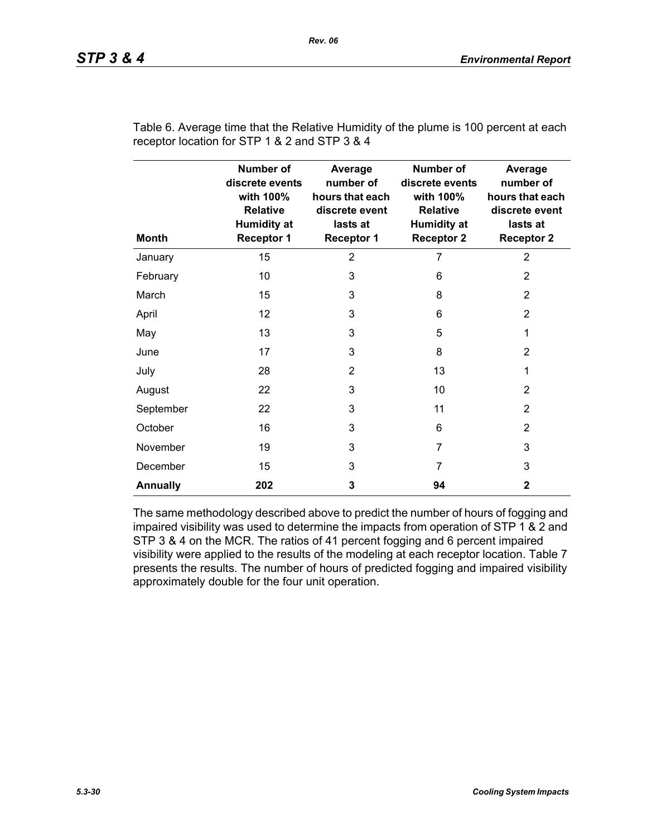| <b>Month</b>    | <b>Number of</b><br>discrete events<br>with 100%<br><b>Relative</b><br><b>Humidity at</b><br><b>Receptor 1</b> | Average<br>number of<br>hours that each<br>discrete event<br>lasts at<br><b>Receptor 1</b> | <b>Number of</b><br>discrete events<br>with 100%<br><b>Relative</b><br><b>Humidity at</b><br><b>Receptor 2</b> | Average<br>number of<br>hours that each<br>discrete event<br>lasts at<br><b>Receptor 2</b> |
|-----------------|----------------------------------------------------------------------------------------------------------------|--------------------------------------------------------------------------------------------|----------------------------------------------------------------------------------------------------------------|--------------------------------------------------------------------------------------------|
| January         | 15                                                                                                             | $\overline{2}$                                                                             | 7                                                                                                              | $\overline{2}$                                                                             |
| February        | 10                                                                                                             | 3                                                                                          | 6                                                                                                              | 2                                                                                          |
| March           | 15                                                                                                             | 3                                                                                          | 8                                                                                                              | 2                                                                                          |
| April           | 12                                                                                                             | 3                                                                                          | 6                                                                                                              | 2                                                                                          |
| May             | 13                                                                                                             | 3                                                                                          | 5                                                                                                              | 1                                                                                          |
| June            | 17                                                                                                             | 3                                                                                          | 8                                                                                                              | $\overline{2}$                                                                             |
| July            | 28                                                                                                             | $\overline{2}$                                                                             | 13                                                                                                             | 1                                                                                          |
| August          | 22                                                                                                             | 3                                                                                          | 10                                                                                                             | 2                                                                                          |
| September       | 22                                                                                                             | 3                                                                                          | 11                                                                                                             | 2                                                                                          |
| October         | 16                                                                                                             | 3                                                                                          | 6                                                                                                              | 2                                                                                          |
| November        | 19                                                                                                             | 3                                                                                          | $\overline{7}$                                                                                                 | 3                                                                                          |
| December        | 15                                                                                                             | 3                                                                                          | $\overline{7}$                                                                                                 | 3                                                                                          |
| <b>Annually</b> | 202                                                                                                            | 3                                                                                          | 94                                                                                                             | $\mathbf{2}$                                                                               |

Table 6. Average time that the Relative Humidity of the plume is 100 percent at each receptor location for STP 1 & 2 and STP 3 & 4

The same methodology described above to predict the number of hours of fogging and impaired visibility was used to determine the impacts from operation of STP 1 & 2 and STP 3 & 4 on the MCR. The ratios of 41 percent fogging and 6 percent impaired visibility were applied to the results of the modeling at each receptor location. Table 7 presents the results. The number of hours of predicted fogging and impaired visibility approximately double for the four unit operation.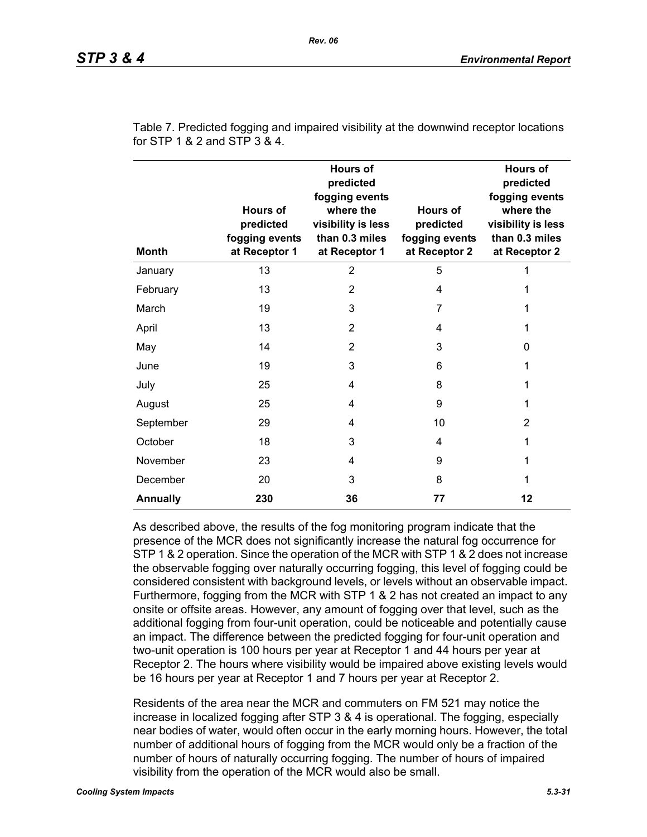| <b>Month</b>    | <b>Hours of</b><br>predicted<br>fogging events<br>at Receptor 1 | <b>Hours of</b><br>predicted<br>fogging events<br>where the<br>visibility is less<br>than 0.3 miles<br>at Receptor 1 | Hours of<br>predicted<br>fogging events<br>at Receptor 2 | <b>Hours of</b><br>predicted<br>fogging events<br>where the<br>visibility is less<br>than 0.3 miles<br>at Receptor 2 |
|-----------------|-----------------------------------------------------------------|----------------------------------------------------------------------------------------------------------------------|----------------------------------------------------------|----------------------------------------------------------------------------------------------------------------------|
| January         | 13                                                              | $\overline{2}$                                                                                                       | 5                                                        | 1                                                                                                                    |
| February        | 13                                                              | 2                                                                                                                    | 4                                                        | 1                                                                                                                    |
| March           | 19                                                              | 3                                                                                                                    | 7                                                        | 1                                                                                                                    |
| April           | 13                                                              | $\overline{2}$                                                                                                       | 4                                                        | 1                                                                                                                    |
| May             | 14                                                              | 2                                                                                                                    | 3                                                        | 0                                                                                                                    |
| June            | 19                                                              | 3                                                                                                                    | 6                                                        | 1                                                                                                                    |
| July            | 25                                                              | 4                                                                                                                    | 8                                                        | 1                                                                                                                    |
| August          | 25                                                              | 4                                                                                                                    | 9                                                        | 1                                                                                                                    |
| September       | 29                                                              | 4                                                                                                                    | 10                                                       | 2                                                                                                                    |
| October         | 18                                                              | 3                                                                                                                    | 4                                                        | 1                                                                                                                    |
| November        | 23                                                              | 4                                                                                                                    | 9                                                        | 1                                                                                                                    |
| December        | 20                                                              | 3                                                                                                                    | 8                                                        | 1                                                                                                                    |
| <b>Annually</b> | 230                                                             | 36                                                                                                                   | 77                                                       | 12                                                                                                                   |

Table 7. Predicted fogging and impaired visibility at the downwind receptor locations for STP 1 & 2 and STP 3 & 4.

As described above, the results of the fog monitoring program indicate that the presence of the MCR does not significantly increase the natural fog occurrence for STP 1 & 2 operation. Since the operation of the MCR with STP 1 & 2 does not increase the observable fogging over naturally occurring fogging, this level of fogging could be considered consistent with background levels, or levels without an observable impact. Furthermore, fogging from the MCR with STP 1 & 2 has not created an impact to any onsite or offsite areas. However, any amount of fogging over that level, such as the additional fogging from four-unit operation, could be noticeable and potentially cause an impact. The difference between the predicted fogging for four-unit operation and two-unit operation is 100 hours per year at Receptor 1 and 44 hours per year at Receptor 2. The hours where visibility would be impaired above existing levels would be 16 hours per year at Receptor 1 and 7 hours per year at Receptor 2.

Residents of the area near the MCR and commuters on FM 521 may notice the increase in localized fogging after STP 3 & 4 is operational. The fogging, especially near bodies of water, would often occur in the early morning hours. However, the total number of additional hours of fogging from the MCR would only be a fraction of the number of hours of naturally occurring fogging. The number of hours of impaired visibility from the operation of the MCR would also be small.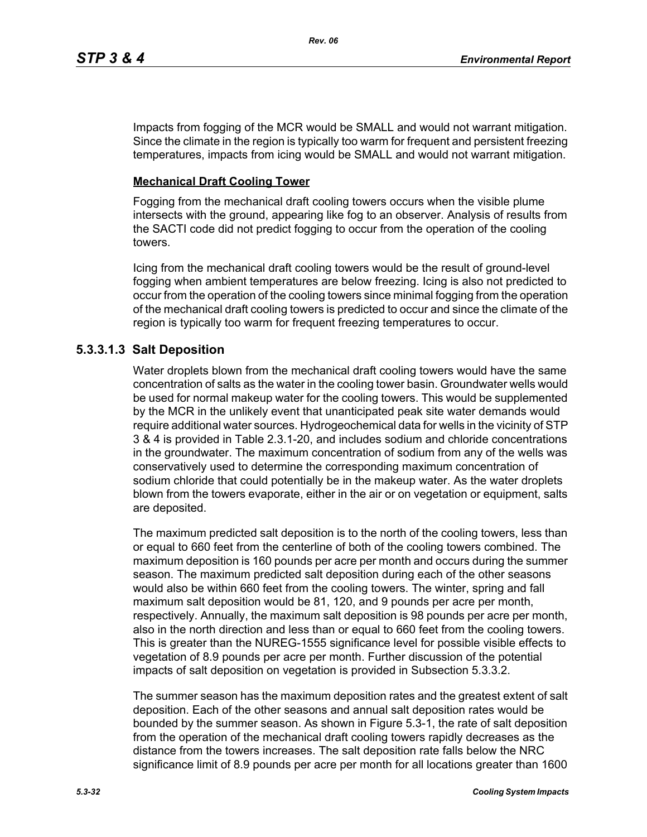Impacts from fogging of the MCR would be SMALL and would not warrant mitigation. Since the climate in the region is typically too warm for frequent and persistent freezing temperatures, impacts from icing would be SMALL and would not warrant mitigation.

# **Mechanical Draft Cooling Tower**

Fogging from the mechanical draft cooling towers occurs when the visible plume intersects with the ground, appearing like fog to an observer. Analysis of results from the SACTI code did not predict fogging to occur from the operation of the cooling towers.

Icing from the mechanical draft cooling towers would be the result of ground-level fogging when ambient temperatures are below freezing. Icing is also not predicted to occur from the operation of the cooling towers since minimal fogging from the operation of the mechanical draft cooling towers is predicted to occur and since the climate of the region is typically too warm for frequent freezing temperatures to occur.

# **5.3.3.1.3 Salt Deposition**

Water droplets blown from the mechanical draft cooling towers would have the same concentration of salts as the water in the cooling tower basin. Groundwater wells would be used for normal makeup water for the cooling towers. This would be supplemented by the MCR in the unlikely event that unanticipated peak site water demands would require additional water sources. Hydrogeochemical data for wells in the vicinity of STP 3 & 4 is provided in Table 2.3.1-20, and includes sodium and chloride concentrations in the groundwater. The maximum concentration of sodium from any of the wells was conservatively used to determine the corresponding maximum concentration of sodium chloride that could potentially be in the makeup water. As the water droplets blown from the towers evaporate, either in the air or on vegetation or equipment, salts are deposited.

The maximum predicted salt deposition is to the north of the cooling towers, less than or equal to 660 feet from the centerline of both of the cooling towers combined. The maximum deposition is 160 pounds per acre per month and occurs during the summer season. The maximum predicted salt deposition during each of the other seasons would also be within 660 feet from the cooling towers. The winter, spring and fall maximum salt deposition would be 81, 120, and 9 pounds per acre per month, respectively. Annually, the maximum salt deposition is 98 pounds per acre per month, also in the north direction and less than or equal to 660 feet from the cooling towers. This is greater than the NUREG-1555 significance level for possible visible effects to vegetation of 8.9 pounds per acre per month. Further discussion of the potential impacts of salt deposition on vegetation is provided in Subsection 5.3.3.2.

The summer season has the maximum deposition rates and the greatest extent of salt deposition. Each of the other seasons and annual salt deposition rates would be bounded by the summer season. As shown in Figure 5.3-1, the rate of salt deposition from the operation of the mechanical draft cooling towers rapidly decreases as the distance from the towers increases. The salt deposition rate falls below the NRC significance limit of 8.9 pounds per acre per month for all locations greater than 1600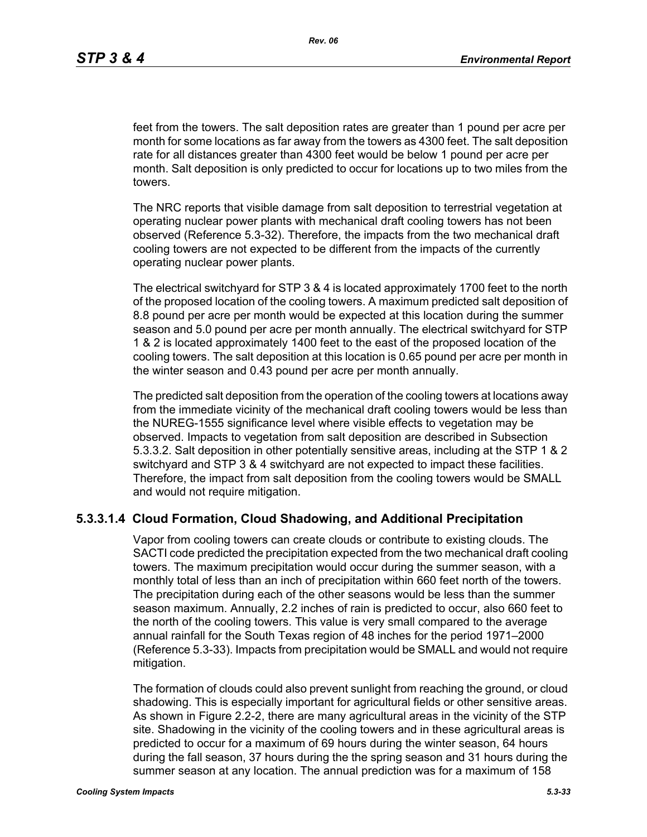feet from the towers. The salt deposition rates are greater than 1 pound per acre per month for some locations as far away from the towers as 4300 feet. The salt deposition rate for all distances greater than 4300 feet would be below 1 pound per acre per month. Salt deposition is only predicted to occur for locations up to two miles from the towers.

The NRC reports that visible damage from salt deposition to terrestrial vegetation at operating nuclear power plants with mechanical draft cooling towers has not been observed (Reference 5.3-32). Therefore, the impacts from the two mechanical draft cooling towers are not expected to be different from the impacts of the currently operating nuclear power plants.

The electrical switchyard for STP 3 & 4 is located approximately 1700 feet to the north of the proposed location of the cooling towers. A maximum predicted salt deposition of 8.8 pound per acre per month would be expected at this location during the summer season and 5.0 pound per acre per month annually. The electrical switchyard for STP 1 & 2 is located approximately 1400 feet to the east of the proposed location of the cooling towers. The salt deposition at this location is 0.65 pound per acre per month in the winter season and 0.43 pound per acre per month annually.

The predicted salt deposition from the operation of the cooling towers at locations away from the immediate vicinity of the mechanical draft cooling towers would be less than the NUREG-1555 significance level where visible effects to vegetation may be observed. Impacts to vegetation from salt deposition are described in Subsection 5.3.3.2. Salt deposition in other potentially sensitive areas, including at the STP 1 & 2 switchyard and STP 3 & 4 switchyard are not expected to impact these facilities. Therefore, the impact from salt deposition from the cooling towers would be SMALL and would not require mitigation.

# **5.3.3.1.4 Cloud Formation, Cloud Shadowing, and Additional Precipitation**

Vapor from cooling towers can create clouds or contribute to existing clouds. The SACTI code predicted the precipitation expected from the two mechanical draft cooling towers. The maximum precipitation would occur during the summer season, with a monthly total of less than an inch of precipitation within 660 feet north of the towers. The precipitation during each of the other seasons would be less than the summer season maximum. Annually, 2.2 inches of rain is predicted to occur, also 660 feet to the north of the cooling towers. This value is very small compared to the average annual rainfall for the South Texas region of 48 inches for the period 1971–2000 (Reference 5.3-33). Impacts from precipitation would be SMALL and would not require mitigation.

The formation of clouds could also prevent sunlight from reaching the ground, or cloud shadowing. This is especially important for agricultural fields or other sensitive areas. As shown in Figure 2.2-2, there are many agricultural areas in the vicinity of the STP site. Shadowing in the vicinity of the cooling towers and in these agricultural areas is predicted to occur for a maximum of 69 hours during the winter season, 64 hours during the fall season, 37 hours during the the spring season and 31 hours during the summer season at any location. The annual prediction was for a maximum of 158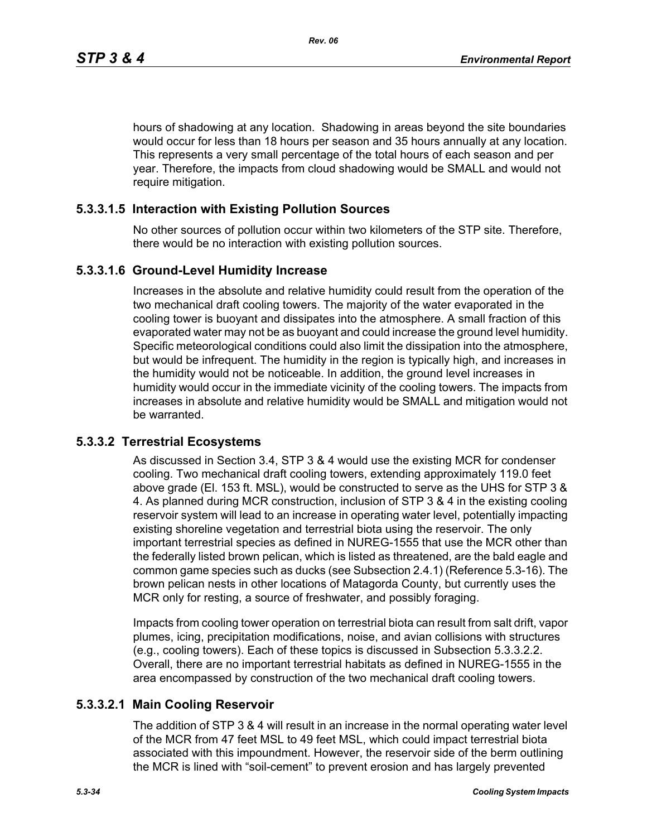hours of shadowing at any location. Shadowing in areas beyond the site boundaries would occur for less than 18 hours per season and 35 hours annually at any location. This represents a very small percentage of the total hours of each season and per year. Therefore, the impacts from cloud shadowing would be SMALL and would not require mitigation.

# **5.3.3.1.5 Interaction with Existing Pollution Sources**

No other sources of pollution occur within two kilometers of the STP site. Therefore, there would be no interaction with existing pollution sources.

## **5.3.3.1.6 Ground-Level Humidity Increase**

Increases in the absolute and relative humidity could result from the operation of the two mechanical draft cooling towers. The majority of the water evaporated in the cooling tower is buoyant and dissipates into the atmosphere. A small fraction of this evaporated water may not be as buoyant and could increase the ground level humidity. Specific meteorological conditions could also limit the dissipation into the atmosphere, but would be infrequent. The humidity in the region is typically high, and increases in the humidity would not be noticeable. In addition, the ground level increases in humidity would occur in the immediate vicinity of the cooling towers. The impacts from increases in absolute and relative humidity would be SMALL and mitigation would not be warranted.

# **5.3.3.2 Terrestrial Ecosystems**

As discussed in Section 3.4, STP 3 & 4 would use the existing MCR for condenser cooling. Two mechanical draft cooling towers, extending approximately 119.0 feet above grade (El. 153 ft. MSL), would be constructed to serve as the UHS for STP 3 & 4. As planned during MCR construction, inclusion of STP 3 & 4 in the existing cooling reservoir system will lead to an increase in operating water level, potentially impacting existing shoreline vegetation and terrestrial biota using the reservoir. The only important terrestrial species as defined in NUREG-1555 that use the MCR other than the federally listed brown pelican, which is listed as threatened, are the bald eagle and common game species such as ducks (see Subsection 2.4.1) (Reference 5.3-16). The brown pelican nests in other locations of Matagorda County, but currently uses the MCR only for resting, a source of freshwater, and possibly foraging.

Impacts from cooling tower operation on terrestrial biota can result from salt drift, vapor plumes, icing, precipitation modifications, noise, and avian collisions with structures (e.g., cooling towers). Each of these topics is discussed in Subsection 5.3.3.2.2. Overall, there are no important terrestrial habitats as defined in NUREG-1555 in the area encompassed by construction of the two mechanical draft cooling towers.

# **5.3.3.2.1 Main Cooling Reservoir**

The addition of STP 3 & 4 will result in an increase in the normal operating water level of the MCR from 47 feet MSL to 49 feet MSL, which could impact terrestrial biota associated with this impoundment. However, the reservoir side of the berm outlining the MCR is lined with "soil-cement" to prevent erosion and has largely prevented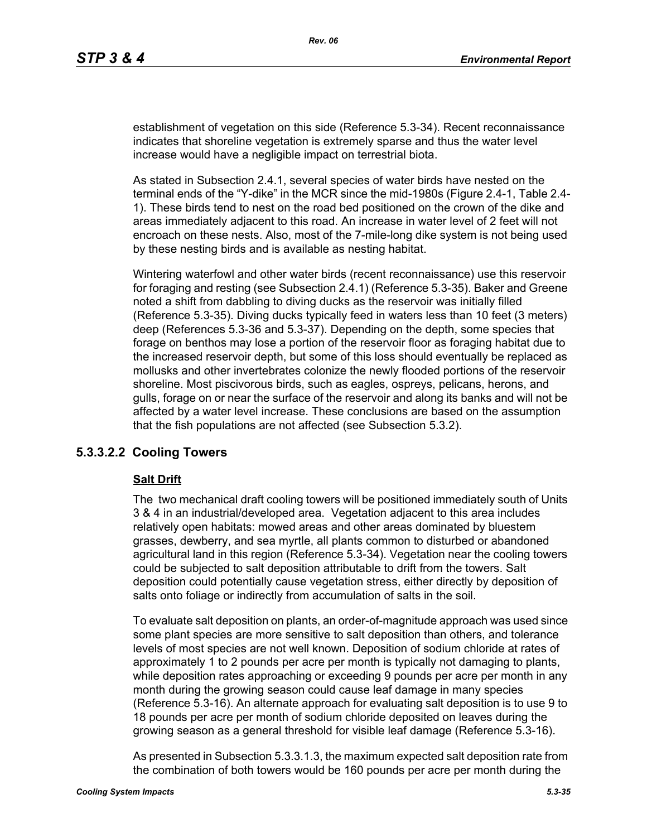establishment of vegetation on this side (Reference 5.3-34). Recent reconnaissance indicates that shoreline vegetation is extremely sparse and thus the water level increase would have a negligible impact on terrestrial biota.

As stated in Subsection 2.4.1, several species of water birds have nested on the terminal ends of the "Y-dike" in the MCR since the mid-1980s (Figure 2.4-1, Table 2.4- 1). These birds tend to nest on the road bed positioned on the crown of the dike and areas immediately adjacent to this road. An increase in water level of 2 feet will not encroach on these nests. Also, most of the 7-mile-long dike system is not being used by these nesting birds and is available as nesting habitat.

Wintering waterfowl and other water birds (recent reconnaissance) use this reservoir for foraging and resting (see Subsection 2.4.1) (Reference 5.3-35). Baker and Greene noted a shift from dabbling to diving ducks as the reservoir was initially filled (Reference 5.3-35). Diving ducks typically feed in waters less than 10 feet (3 meters) deep (References 5.3-36 and 5.3-37). Depending on the depth, some species that forage on benthos may lose a portion of the reservoir floor as foraging habitat due to the increased reservoir depth, but some of this loss should eventually be replaced as mollusks and other invertebrates colonize the newly flooded portions of the reservoir shoreline. Most piscivorous birds, such as eagles, ospreys, pelicans, herons, and gulls, forage on or near the surface of the reservoir and along its banks and will not be affected by a water level increase. These conclusions are based on the assumption that the fish populations are not affected (see Subsection 5.3.2).

# **5.3.3.2.2 Cooling Towers**

#### **Salt Drift**

The two mechanical draft cooling towers will be positioned immediately south of Units 3 & 4 in an industrial/developed area. Vegetation adjacent to this area includes relatively open habitats: mowed areas and other areas dominated by bluestem grasses, dewberry, and sea myrtle, all plants common to disturbed or abandoned agricultural land in this region (Reference 5.3-34). Vegetation near the cooling towers could be subjected to salt deposition attributable to drift from the towers. Salt deposition could potentially cause vegetation stress, either directly by deposition of salts onto foliage or indirectly from accumulation of salts in the soil.

To evaluate salt deposition on plants, an order-of-magnitude approach was used since some plant species are more sensitive to salt deposition than others, and tolerance levels of most species are not well known. Deposition of sodium chloride at rates of approximately 1 to 2 pounds per acre per month is typically not damaging to plants, while deposition rates approaching or exceeding 9 pounds per acre per month in any month during the growing season could cause leaf damage in many species (Reference 5.3-16). An alternate approach for evaluating salt deposition is to use 9 to 18 pounds per acre per month of sodium chloride deposited on leaves during the growing season as a general threshold for visible leaf damage (Reference 5.3-16).

As presented in Subsection 5.3.3.1.3, the maximum expected salt deposition rate from the combination of both towers would be 160 pounds per acre per month during the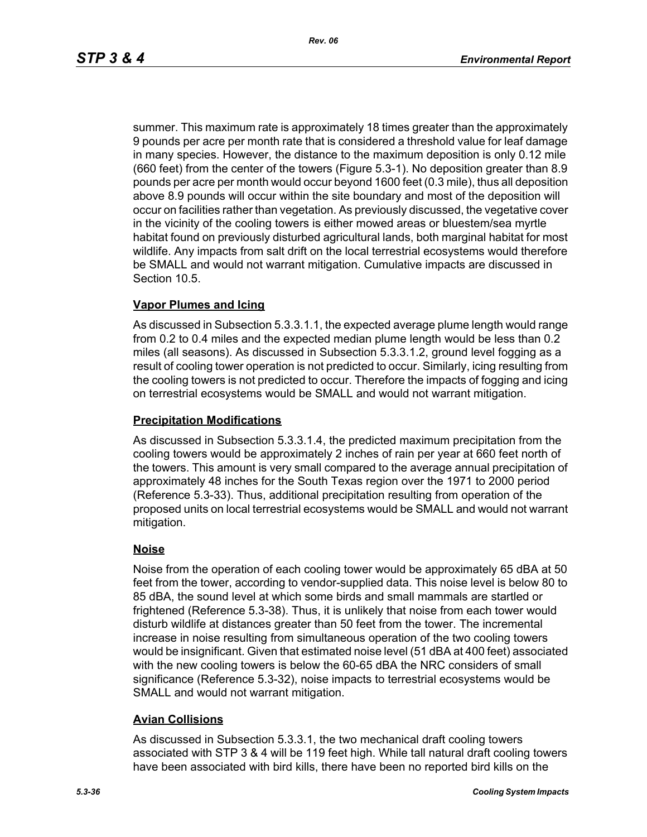summer. This maximum rate is approximately 18 times greater than the approximately 9 pounds per acre per month rate that is considered a threshold value for leaf damage in many species. However, the distance to the maximum deposition is only 0.12 mile (660 feet) from the center of the towers (Figure 5.3-1). No deposition greater than 8.9 pounds per acre per month would occur beyond 1600 feet (0.3 mile), thus all deposition above 8.9 pounds will occur within the site boundary and most of the deposition will occur on facilities rather than vegetation. As previously discussed, the vegetative cover in the vicinity of the cooling towers is either mowed areas or bluestem/sea myrtle habitat found on previously disturbed agricultural lands, both marginal habitat for most wildlife. Any impacts from salt drift on the local terrestrial ecosystems would therefore be SMALL and would not warrant mitigation. Cumulative impacts are discussed in Section 10.5.

## **Vapor Plumes and Icing**

As discussed in Subsection 5.3.3.1.1, the expected average plume length would range from 0.2 to 0.4 miles and the expected median plume length would be less than 0.2 miles (all seasons). As discussed in Subsection 5.3.3.1.2, ground level fogging as a result of cooling tower operation is not predicted to occur. Similarly, icing resulting from the cooling towers is not predicted to occur. Therefore the impacts of fogging and icing on terrestrial ecosystems would be SMALL and would not warrant mitigation.

#### **Precipitation Modifications**

As discussed in Subsection 5.3.3.1.4, the predicted maximum precipitation from the cooling towers would be approximately 2 inches of rain per year at 660 feet north of the towers. This amount is very small compared to the average annual precipitation of approximately 48 inches for the South Texas region over the 1971 to 2000 period (Reference 5.3-33). Thus, additional precipitation resulting from operation of the proposed units on local terrestrial ecosystems would be SMALL and would not warrant mitigation.

## **Noise**

Noise from the operation of each cooling tower would be approximately 65 dBA at 50 feet from the tower, according to vendor-supplied data. This noise level is below 80 to 85 dBA, the sound level at which some birds and small mammals are startled or frightened (Reference 5.3-38). Thus, it is unlikely that noise from each tower would disturb wildlife at distances greater than 50 feet from the tower. The incremental increase in noise resulting from simultaneous operation of the two cooling towers would be insignificant. Given that estimated noise level (51 dBA at 400 feet) associated with the new cooling towers is below the 60-65 dBA the NRC considers of small significance (Reference 5.3-32), noise impacts to terrestrial ecosystems would be SMALL and would not warrant mitigation.

## **Avian Collisions**

As discussed in Subsection 5.3.3.1, the two mechanical draft cooling towers associated with STP 3 & 4 will be 119 feet high. While tall natural draft cooling towers have been associated with bird kills, there have been no reported bird kills on the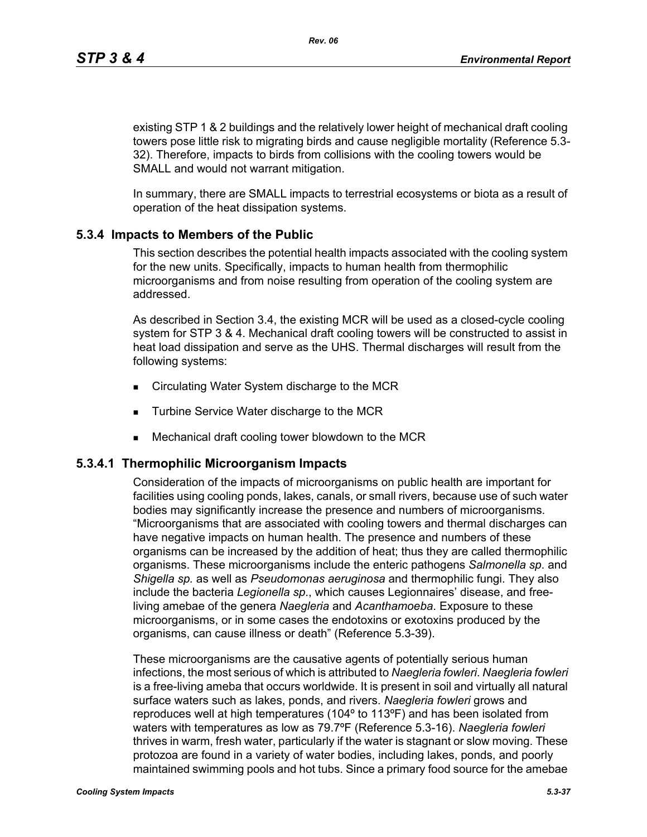existing STP 1 & 2 buildings and the relatively lower height of mechanical draft cooling towers pose little risk to migrating birds and cause negligible mortality (Reference 5.3- 32). Therefore, impacts to birds from collisions with the cooling towers would be SMALL and would not warrant mitigation.

In summary, there are SMALL impacts to terrestrial ecosystems or biota as a result of operation of the heat dissipation systems.

## **5.3.4 Impacts to Members of the Public**

This section describes the potential health impacts associated with the cooling system for the new units. Specifically, impacts to human health from thermophilic microorganisms and from noise resulting from operation of the cooling system are addressed.

As described in Section 3.4, the existing MCR will be used as a closed-cycle cooling system for STP 3 & 4. Mechanical draft cooling towers will be constructed to assist in heat load dissipation and serve as the UHS. Thermal discharges will result from the following systems:

- Circulating Water System discharge to the MCR
- **Turbine Service Water discharge to the MCR**
- Mechanical draft cooling tower blowdown to the MCR

#### **5.3.4.1 Thermophilic Microorganism Impacts**

Consideration of the impacts of microorganisms on public health are important for facilities using cooling ponds, lakes, canals, or small rivers, because use of such water bodies may significantly increase the presence and numbers of microorganisms. "Microorganisms that are associated with cooling towers and thermal discharges can have negative impacts on human health. The presence and numbers of these organisms can be increased by the addition of heat; thus they are called thermophilic organisms. These microorganisms include the enteric pathogens *Salmonella sp*. and *Shigella sp.* as well as *Pseudomonas aeruginosa* and thermophilic fungi. They also include the bacteria *Legionella sp*., which causes Legionnaires' disease, and freeliving amebae of the genera *Naegleria* and *Acanthamoeba*. Exposure to these microorganisms, or in some cases the endotoxins or exotoxins produced by the organisms, can cause illness or death" (Reference 5.3-39).

These microorganisms are the causative agents of potentially serious human infections, the most serious of which is attributed to *Naegleria fowleri*. *Naegleria fowleri* is a free-living ameba that occurs worldwide. It is present in soil and virtually all natural surface waters such as lakes, ponds, and rivers. *Naegleria fowleri* grows and reproduces well at high temperatures (104º to 113ºF) and has been isolated from waters with temperatures as low as 79.7ºF (Reference 5.3-16). *Naegleria fowleri* thrives in warm, fresh water, particularly if the water is stagnant or slow moving. These protozoa are found in a variety of water bodies, including lakes, ponds, and poorly maintained swimming pools and hot tubs. Since a primary food source for the amebae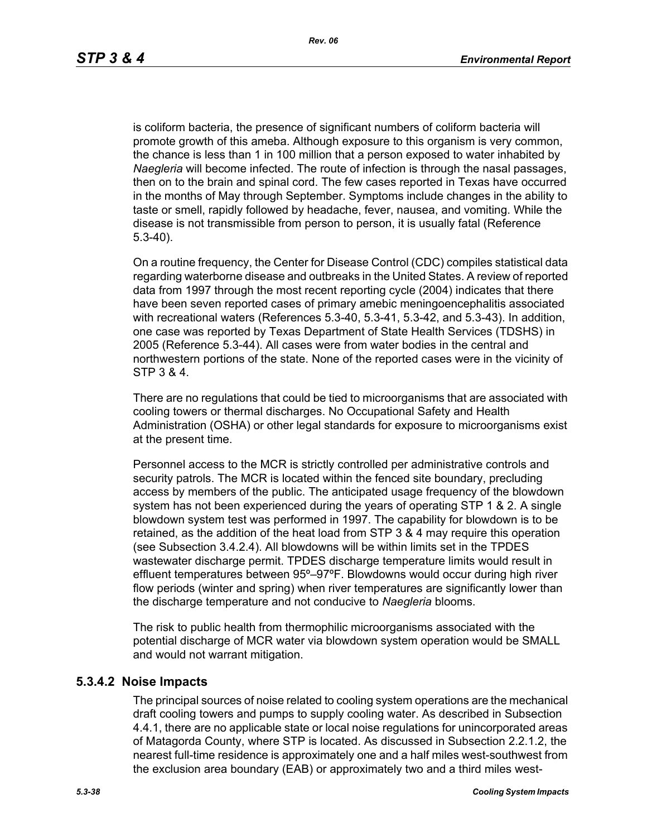is coliform bacteria, the presence of significant numbers of coliform bacteria will promote growth of this ameba. Although exposure to this organism is very common, the chance is less than 1 in 100 million that a person exposed to water inhabited by *Naegleria* will become infected. The route of infection is through the nasal passages, then on to the brain and spinal cord. The few cases reported in Texas have occurred in the months of May through September. Symptoms include changes in the ability to taste or smell, rapidly followed by headache, fever, nausea, and vomiting. While the disease is not transmissible from person to person, it is usually fatal (Reference 5.3-40).

On a routine frequency, the Center for Disease Control (CDC) compiles statistical data regarding waterborne disease and outbreaks in the United States. A review of reported data from 1997 through the most recent reporting cycle (2004) indicates that there have been seven reported cases of primary amebic meningoencephalitis associated with recreational waters (References 5.3-40, 5.3-41, 5.3-42, and 5.3-43). In addition, one case was reported by Texas Department of State Health Services (TDSHS) in 2005 (Reference 5.3-44). All cases were from water bodies in the central and northwestern portions of the state. None of the reported cases were in the vicinity of STP 3 & 4.

There are no regulations that could be tied to microorganisms that are associated with cooling towers or thermal discharges. No Occupational Safety and Health Administration (OSHA) or other legal standards for exposure to microorganisms exist at the present time.

Personnel access to the MCR is strictly controlled per administrative controls and security patrols. The MCR is located within the fenced site boundary, precluding access by members of the public. The anticipated usage frequency of the blowdown system has not been experienced during the years of operating STP 1 & 2. A single blowdown system test was performed in 1997. The capability for blowdown is to be retained, as the addition of the heat load from STP 3 & 4 may require this operation (see Subsection 3.4.2.4). All blowdowns will be within limits set in the TPDES wastewater discharge permit. TPDES discharge temperature limits would result in effluent temperatures between 95º–97ºF. Blowdowns would occur during high river flow periods (winter and spring) when river temperatures are significantly lower than the discharge temperature and not conducive to *Naegleria* blooms.

The risk to public health from thermophilic microorganisms associated with the potential discharge of MCR water via blowdown system operation would be SMALL and would not warrant mitigation.

#### **5.3.4.2 Noise Impacts**

The principal sources of noise related to cooling system operations are the mechanical draft cooling towers and pumps to supply cooling water. As described in Subsection 4.4.1, there are no applicable state or local noise regulations for unincorporated areas of Matagorda County, where STP is located. As discussed in Subsection 2.2.1.2, the nearest full-time residence is approximately one and a half miles west-southwest from the exclusion area boundary (EAB) or approximately two and a third miles west-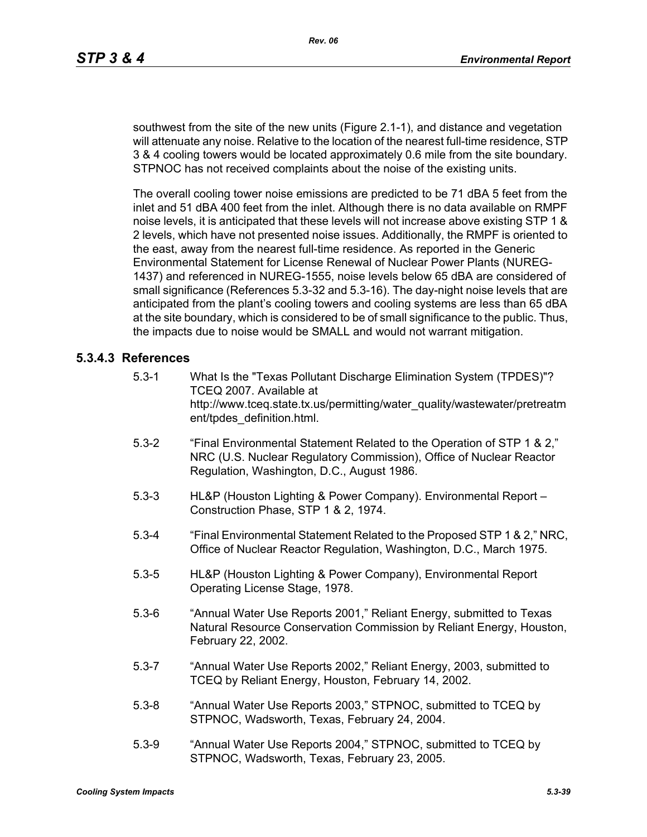southwest from the site of the new units (Figure 2.1-1), and distance and vegetation will attenuate any noise. Relative to the location of the nearest full-time residence, STP 3 & 4 cooling towers would be located approximately 0.6 mile from the site boundary. STPNOC has not received complaints about the noise of the existing units.

The overall cooling tower noise emissions are predicted to be 71 dBA 5 feet from the inlet and 51 dBA 400 feet from the inlet. Although there is no data available on RMPF noise levels, it is anticipated that these levels will not increase above existing STP 1 & 2 levels, which have not presented noise issues. Additionally, the RMPF is oriented to the east, away from the nearest full-time residence. As reported in the Generic Environmental Statement for License Renewal of Nuclear Power Plants (NUREG-1437) and referenced in NUREG-1555, noise levels below 65 dBA are considered of small significance (References 5.3-32 and 5.3-16). The day-night noise levels that are anticipated from the plant's cooling towers and cooling systems are less than 65 dBA at the site boundary, which is considered to be of small significance to the public. Thus, the impacts due to noise would be SMALL and would not warrant mitigation.

## **5.3.4.3 References**

- 5.3-1 What Is the "Texas Pollutant Discharge Elimination System (TPDES)"? TCEQ 2007. Available at http://www.tceq.state.tx.us/permitting/water\_quality/wastewater/pretreatm ent/tpdes\_definition.html.
- 5.3-2 "Final Environmental Statement Related to the Operation of STP 1 & 2," NRC (U.S. Nuclear Regulatory Commission), Office of Nuclear Reactor Regulation, Washington, D.C., August 1986.
- 5.3-3 HL&P (Houston Lighting & Power Company). Environmental Report Construction Phase, STP 1 & 2, 1974.
- 5.3-4 "Final Environmental Statement Related to the Proposed STP 1 & 2," NRC, Office of Nuclear Reactor Regulation, Washington, D.C., March 1975.
- 5.3-5 HL&P (Houston Lighting & Power Company), Environmental Report Operating License Stage, 1978.
- 5.3-6 "Annual Water Use Reports 2001," Reliant Energy, submitted to Texas Natural Resource Conservation Commission by Reliant Energy, Houston, February 22, 2002.
- 5.3-7 "Annual Water Use Reports 2002," Reliant Energy, 2003, submitted to TCEQ by Reliant Energy, Houston, February 14, 2002.
- 5.3-8 "Annual Water Use Reports 2003," STPNOC, submitted to TCEQ by STPNOC, Wadsworth, Texas, February 24, 2004.
- 5.3-9 "Annual Water Use Reports 2004," STPNOC, submitted to TCEQ by STPNOC, Wadsworth, Texas, February 23, 2005.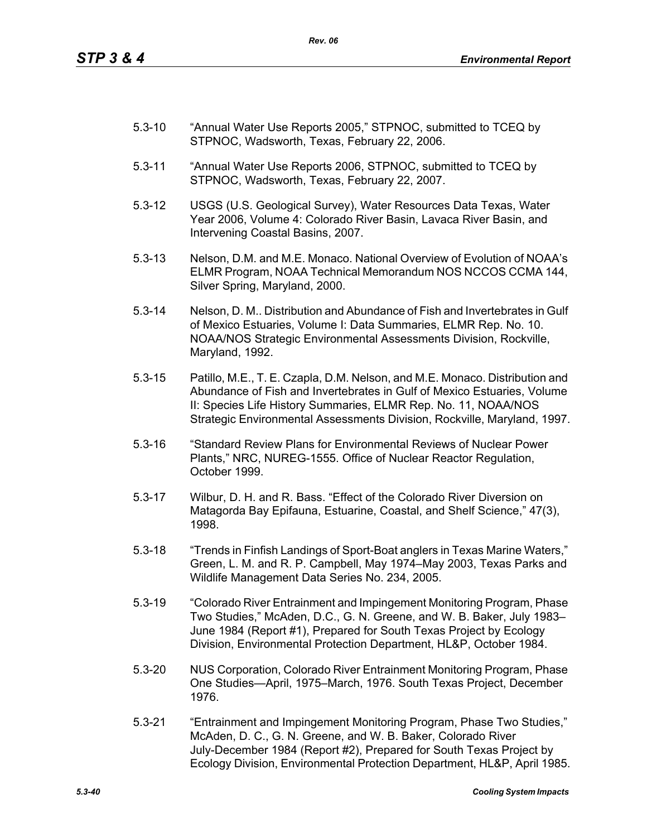- 5.3-10 "Annual Water Use Reports 2005," STPNOC, submitted to TCEQ by STPNOC, Wadsworth, Texas, February 22, 2006.
- 5.3-11 "Annual Water Use Reports 2006, STPNOC, submitted to TCEQ by STPNOC, Wadsworth, Texas, February 22, 2007.
- 5.3-12 USGS (U.S. Geological Survey), Water Resources Data Texas, Water Year 2006, Volume 4: Colorado River Basin, Lavaca River Basin, and Intervening Coastal Basins, 2007.
- 5.3-13 Nelson, D.M. and M.E. Monaco. National Overview of Evolution of NOAA's ELMR Program, NOAA Technical Memorandum NOS NCCOS CCMA 144, Silver Spring, Maryland, 2000.
- 5.3-14 Nelson, D. M.. Distribution and Abundance of Fish and Invertebrates in Gulf of Mexico Estuaries, Volume I: Data Summaries, ELMR Rep. No. 10. NOAA/NOS Strategic Environmental Assessments Division, Rockville, Maryland, 1992.
- 5.3-15 Patillo, M.E., T. E. Czapla, D.M. Nelson, and M.E. Monaco. Distribution and Abundance of Fish and Invertebrates in Gulf of Mexico Estuaries, Volume II: Species Life History Summaries, ELMR Rep. No. 11, NOAA/NOS Strategic Environmental Assessments Division, Rockville, Maryland, 1997.
- 5.3-16 "Standard Review Plans for Environmental Reviews of Nuclear Power Plants," NRC, NUREG-1555. Office of Nuclear Reactor Regulation, October 1999.
- 5.3-17 Wilbur, D. H. and R. Bass. "Effect of the Colorado River Diversion on Matagorda Bay Epifauna, Estuarine, Coastal, and Shelf Science," 47(3), 1998.
- 5.3-18 "Trends in Finfish Landings of Sport-Boat anglers in Texas Marine Waters," Green, L. M. and R. P. Campbell, May 1974–May 2003, Texas Parks and Wildlife Management Data Series No. 234, 2005.
- 5.3-19 "Colorado River Entrainment and Impingement Monitoring Program, Phase Two Studies," McAden, D.C., G. N. Greene, and W. B. Baker, July 1983– June 1984 (Report #1), Prepared for South Texas Project by Ecology Division, Environmental Protection Department, HL&P, October 1984.
- 5.3-20 NUS Corporation, Colorado River Entrainment Monitoring Program, Phase One Studies—April, 1975–March, 1976. South Texas Project, December 1976.
- 5.3-21 "Entrainment and Impingement Monitoring Program, Phase Two Studies," McAden, D. C., G. N. Greene, and W. B. Baker, Colorado River July-December 1984 (Report #2), Prepared for South Texas Project by Ecology Division, Environmental Protection Department, HL&P, April 1985.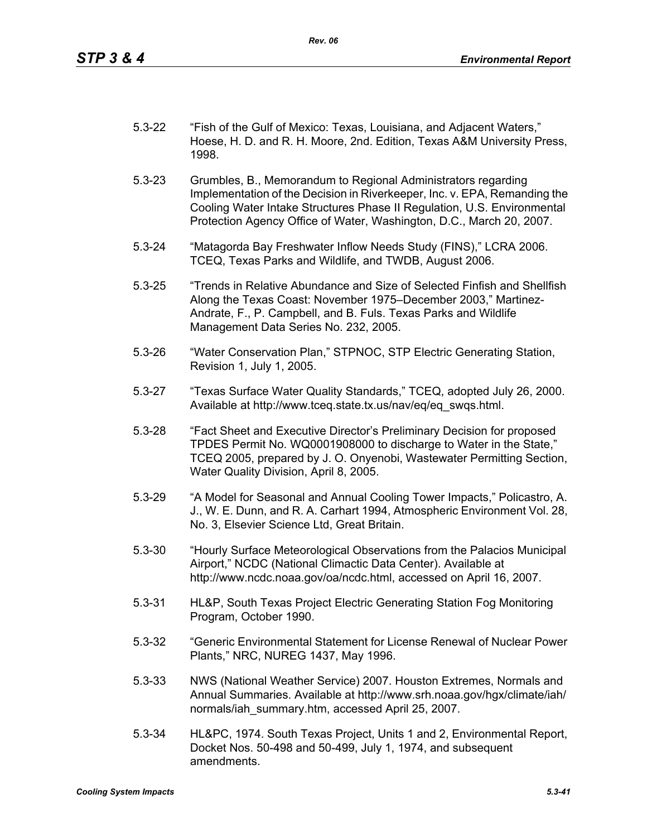| $5.3 - 22$ | "Fish of the Gulf of Mexico: Texas, Louisiana, and Adjacent Waters,"    |
|------------|-------------------------------------------------------------------------|
|            | Hoese, H. D. and R. H. Moore, 2nd. Edition, Texas A&M University Press, |
|            | 1998.                                                                   |

- 5.3-23 Grumbles, B., Memorandum to Regional Administrators regarding Implementation of the Decision in Riverkeeper, Inc. v. EPA, Remanding the Cooling Water Intake Structures Phase II Regulation, U.S. Environmental Protection Agency Office of Water, Washington, D.C., March 20, 2007.
- 5.3-24 "Matagorda Bay Freshwater Inflow Needs Study (FINS)," LCRA 2006. TCEQ, Texas Parks and Wildlife, and TWDB, August 2006.
- 5.3-25 "Trends in Relative Abundance and Size of Selected Finfish and Shellfish Along the Texas Coast: November 1975–December 2003," Martinez-Andrate, F., P. Campbell, and B. Fuls. Texas Parks and Wildlife Management Data Series No. 232, 2005.
- 5.3-26 "Water Conservation Plan," STPNOC, STP Electric Generating Station, Revision 1, July 1, 2005.
- 5.3-27 "Texas Surface Water Quality Standards," TCEQ, adopted July 26, 2000. Available at http://www.tceq.state.tx.us/nav/eq/eq\_swqs.html.
- 5.3-28 "Fact Sheet and Executive Director's Preliminary Decision for proposed TPDES Permit No. WQ0001908000 to discharge to Water in the State," TCEQ 2005, prepared by J. O. Onyenobi, Wastewater Permitting Section, Water Quality Division, April 8, 2005.
- 5.3-29 "A Model for Seasonal and Annual Cooling Tower Impacts," Policastro, A. J., W. E. Dunn, and R. A. Carhart 1994, Atmospheric Environment Vol. 28, No. 3, Elsevier Science Ltd, Great Britain.
- 5.3-30 "Hourly Surface Meteorological Observations from the Palacios Municipal Airport," NCDC (National Climactic Data Center). Available at http://www.ncdc.noaa.gov/oa/ncdc.html, accessed on April 16, 2007.
- 5.3-31 HL&P, South Texas Project Electric Generating Station Fog Monitoring Program, October 1990.
- 5.3-32 "Generic Environmental Statement for License Renewal of Nuclear Power Plants," NRC, NUREG 1437, May 1996.
- 5.3-33 NWS (National Weather Service) 2007. Houston Extremes, Normals and Annual Summaries. Available at http://www.srh.noaa.gov/hgx/climate/iah/ normals/iah\_summary.htm, accessed April 25, 2007.
- 5.3-34 HL&PC, 1974. South Texas Project, Units 1 and 2, Environmental Report, Docket Nos. 50-498 and 50-499, July 1, 1974, and subsequent amendments.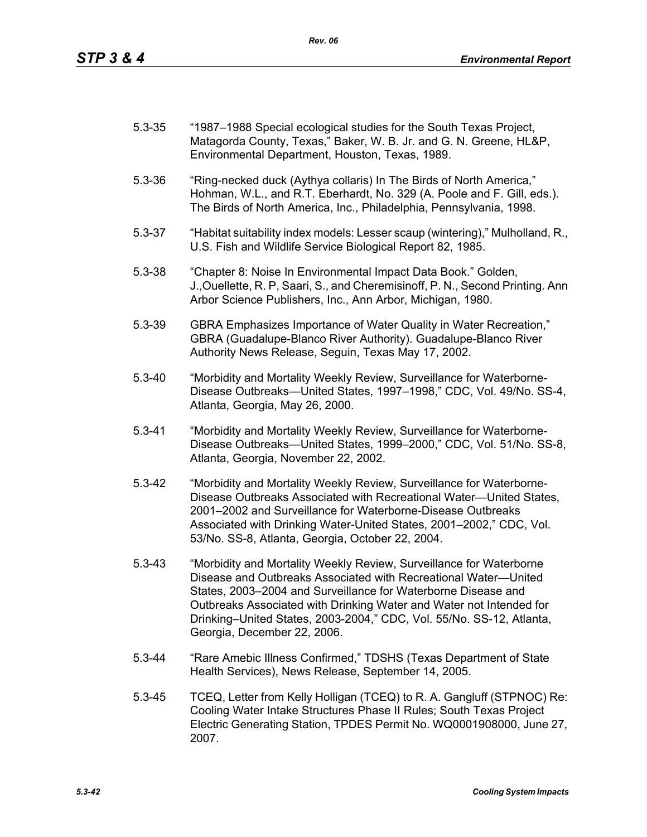| $5.3 - 35$ | "1987–1988 Special ecological studies for the South Texas Project, |
|------------|--------------------------------------------------------------------|
|            | Matagorda County, Texas," Baker, W. B. Jr. and G. N. Greene, HL&P, |
|            | Environmental Department, Houston, Texas, 1989.                    |

- 5.3-36 "Ring-necked duck (Aythya collaris) In The Birds of North America," Hohman, W.L., and R.T. Eberhardt, No. 329 (A. Poole and F. Gill, eds.). The Birds of North America, Inc., Philadelphia, Pennsylvania, 1998.
- 5.3-37 "Habitat suitability index models: Lesser scaup (wintering)," Mulholland, R., U.S. Fish and Wildlife Service Biological Report 82, 1985.
- 5.3-38 "Chapter 8: Noise In Environmental Impact Data Book." Golden, J.,Ouellette, R. P, Saari, S., and Cheremisinoff, P. N., Second Printing. Ann Arbor Science Publishers, Inc., Ann Arbor, Michigan, 1980.
- 5.3-39 GBRA Emphasizes Importance of Water Quality in Water Recreation," GBRA (Guadalupe-Blanco River Authority). Guadalupe-Blanco River Authority News Release, Seguin, Texas May 17, 2002.
- 5.3-40 "Morbidity and Mortality Weekly Review, Surveillance for Waterborne-Disease Outbreaks—United States, 1997–1998," CDC, Vol. 49/No. SS-4, Atlanta, Georgia, May 26, 2000.
- 5.3-41 "Morbidity and Mortality Weekly Review, Surveillance for Waterborne-Disease Outbreaks—United States, 1999–2000," CDC, Vol. 51/No. SS-8, Atlanta, Georgia, November 22, 2002.
- 5.3-42 "Morbidity and Mortality Weekly Review, Surveillance for Waterborne-Disease Outbreaks Associated with Recreational Water—United States, 2001–2002 and Surveillance for Waterborne-Disease Outbreaks Associated with Drinking Water-United States, 2001–2002," CDC, Vol. 53/No. SS-8, Atlanta, Georgia, October 22, 2004.
- 5.3-43 "Morbidity and Mortality Weekly Review, Surveillance for Waterborne Disease and Outbreaks Associated with Recreational Water—United States, 2003–2004 and Surveillance for Waterborne Disease and Outbreaks Associated with Drinking Water and Water not Intended for Drinking–United States, 2003-2004," CDC, Vol. 55/No. SS-12, Atlanta, Georgia, December 22, 2006.
- 5.3-44 "Rare Amebic Illness Confirmed," TDSHS (Texas Department of State Health Services), News Release, September 14, 2005.
- 5.3-45 TCEQ, Letter from Kelly Holligan (TCEQ) to R. A. Gangluff (STPNOC) Re: Cooling Water Intake Structures Phase II Rules; South Texas Project Electric Generating Station, TPDES Permit No. WQ0001908000, June 27, 2007.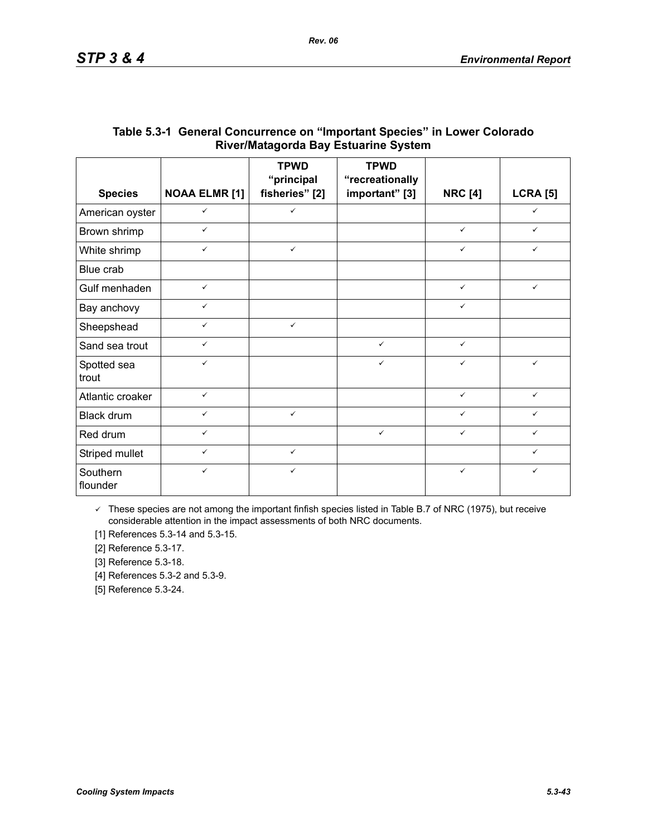|                      |                      | <b>TPWD</b><br>"principal | <b>TPWD</b><br>"recreationally |                |                 |
|----------------------|----------------------|---------------------------|--------------------------------|----------------|-----------------|
| <b>Species</b>       | <b>NOAA ELMR [1]</b> | fisheries" [2]            | important" [3]                 | <b>NRC [4]</b> | <b>LCRA [5]</b> |
| American oyster      | $\checkmark$         | $\checkmark$              |                                |                | $\checkmark$    |
| Brown shrimp         | $\checkmark$         |                           |                                | $\checkmark$   | $\checkmark$    |
| White shrimp         | $\checkmark$         | $\checkmark$              |                                | $\checkmark$   | ✓               |
| Blue crab            |                      |                           |                                |                |                 |
| Gulf menhaden        | $\checkmark$         |                           |                                | $\checkmark$   | $\checkmark$    |
| Bay anchovy          | $\checkmark$         |                           |                                | $\checkmark$   |                 |
| Sheepshead           | $\checkmark$         | $\checkmark$              |                                |                |                 |
| Sand sea trout       | $\checkmark$         |                           | $\checkmark$                   | $\checkmark$   |                 |
| Spotted sea<br>trout | $\checkmark$         |                           | $\checkmark$                   | $\checkmark$   | $\checkmark$    |
| Atlantic croaker     | $\checkmark$         |                           |                                | $\checkmark$   | $\checkmark$    |
| Black drum           | $\checkmark$         | $\checkmark$              |                                | $\checkmark$   | ✓               |
| Red drum             | $\checkmark$         |                           | $\checkmark$                   | $\checkmark$   | ✓               |
| Striped mullet       | $\checkmark$         | $\checkmark$              |                                |                | ✓               |
| Southern<br>flounder | $\checkmark$         | $\checkmark$              |                                | $\checkmark$   | ✓               |

# **Table 5.3-1 General Concurrence on "Important Species" in Lower Colorado River/Matagorda Bay Estuarine System**

 $\checkmark$  These species are not among the important finfish species listed in Table B.7 of NRC (1975), but receive considerable attention in the impact assessments of both NRC documents.

[1] References 5.3-14 and 5.3-15.

[2] Reference 5.3-17.

[3] Reference 5.3-18.

[4] References 5.3-2 and 5.3-9.

[5] Reference 5.3-24.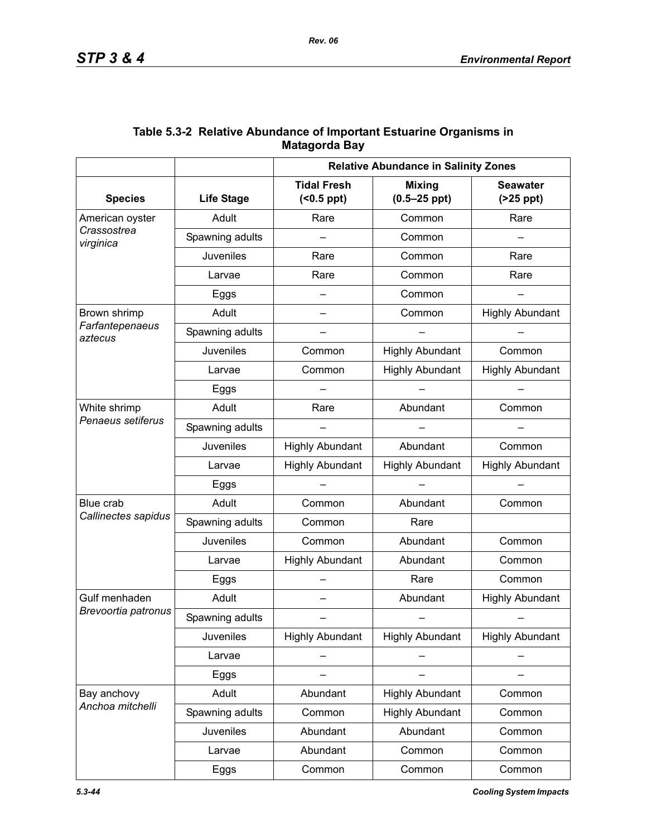|                            |                   | <b>Relative Abundance in Salinity Zones</b> |                                   |                               |  |
|----------------------------|-------------------|---------------------------------------------|-----------------------------------|-------------------------------|--|
| <b>Species</b>             | <b>Life Stage</b> | <b>Tidal Fresh</b><br>$( <0.5$ ppt $)$      | <b>Mixing</b><br>$(0.5 - 25$ ppt) | <b>Seawater</b><br>$(25$ ppt) |  |
| American oyster            | Adult             | Rare                                        | Common                            |                               |  |
| Crassostrea<br>virginica   | Spawning adults   | Common                                      |                                   |                               |  |
|                            | Juveniles         | Rare<br>Common                              |                                   | Rare                          |  |
|                            | Larvae            | Rare                                        | Common                            | Rare                          |  |
|                            | Eggs              |                                             | Common                            |                               |  |
| Brown shrimp               | Adult             | $\overline{\phantom{0}}$                    | Common                            | <b>Highly Abundant</b>        |  |
| Farfantepenaeus<br>aztecus | Spawning adults   |                                             |                                   |                               |  |
|                            | Juveniles         | Common                                      | <b>Highly Abundant</b>            | Common                        |  |
|                            | Larvae            | Common                                      | <b>Highly Abundant</b>            | <b>Highly Abundant</b>        |  |
|                            | Eggs              |                                             |                                   |                               |  |
| White shrimp               | Adult             | Rare                                        | Abundant                          | Common                        |  |
| Penaeus setiferus          | Spawning adults   |                                             |                                   |                               |  |
|                            | Juveniles         | <b>Highly Abundant</b>                      | Abundant                          | Common                        |  |
|                            | Larvae            | <b>Highly Abundant</b>                      | <b>Highly Abundant</b>            | <b>Highly Abundant</b>        |  |
|                            | Eggs              |                                             |                                   |                               |  |
| Blue crab                  | Adult             | Common                                      | Abundant                          | Common                        |  |
| Callinectes sapidus        | Spawning adults   | Common                                      | Rare                              |                               |  |
|                            | Juveniles         | Common                                      | Abundant                          | Common                        |  |
|                            | Larvae            | <b>Highly Abundant</b>                      | Abundant                          | Common                        |  |
|                            | Eggs              |                                             | Rare                              | Common                        |  |
| Gulf menhaden              | Adult             |                                             | Abundant                          | <b>Highly Abundant</b>        |  |
| Brevoortia patronus        | Spawning adults   |                                             |                                   |                               |  |
|                            | <b>Juveniles</b>  | <b>Highly Abundant</b>                      | <b>Highly Abundant</b>            | <b>Highly Abundant</b>        |  |
|                            | Larvae            |                                             |                                   |                               |  |
|                            | Eggs              |                                             |                                   |                               |  |
| Bay anchovy                | Adult             | Abundant                                    | <b>Highly Abundant</b>            | Common                        |  |
| Anchoa mitchelli           | Spawning adults   | Common                                      | <b>Highly Abundant</b>            | Common                        |  |
|                            | Juveniles         | Abundant                                    | Abundant                          | Common                        |  |
|                            | Larvae            | Abundant                                    | Common                            | Common                        |  |
|                            | Eggs              | Common                                      | Common                            | Common                        |  |

# **Table 5.3-2 Relative Abundance of Important Estuarine Organisms in Matagorda Bay**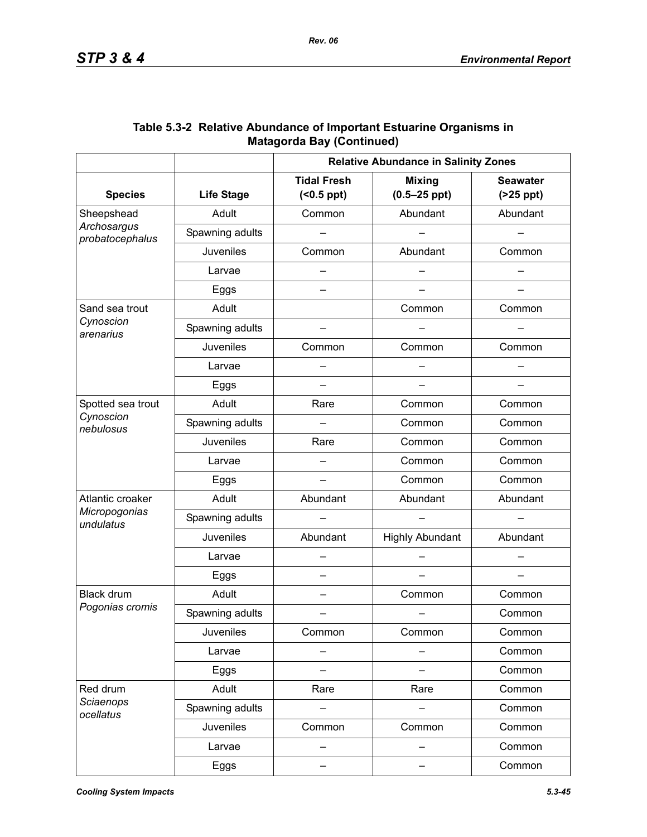|                                |                   | <b>Relative Abundance in Salinity Zones</b> |                                   |                               |  |
|--------------------------------|-------------------|---------------------------------------------|-----------------------------------|-------------------------------|--|
| <b>Species</b>                 | <b>Life Stage</b> | <b>Tidal Fresh</b><br>$( < 0.5$ ppt $)$     | <b>Mixing</b><br>$(0.5 - 25$ ppt) | <b>Seawater</b><br>$(25$ ppt) |  |
| Sheepshead                     | Adult             | Common                                      | Abundant                          | Abundant                      |  |
| Archosargus<br>probatocephalus | Spawning adults   |                                             |                                   |                               |  |
|                                | <b>Juveniles</b>  | Common                                      | Abundant                          | Common                        |  |
|                                | Larvae            |                                             |                                   |                               |  |
|                                | Eggs              |                                             |                                   |                               |  |
| Sand sea trout                 | Adult             |                                             | Common                            | Common                        |  |
| Cynoscion<br>arenarius         | Spawning adults   |                                             |                                   |                               |  |
|                                | Juveniles         | Common                                      | Common                            | Common                        |  |
|                                | Larvae            |                                             |                                   |                               |  |
|                                | Eggs              | —                                           |                                   |                               |  |
| Spotted sea trout              | Adult             | Rare                                        | Common                            | Common                        |  |
| Cynoscion<br>nebulosus         | Spawning adults   |                                             | Common                            | Common                        |  |
|                                | Juveniles         | Rare                                        | Common                            | Common                        |  |
|                                | Larvae            |                                             | Common                            | Common                        |  |
|                                | Eggs              |                                             | Common                            | Common                        |  |
| Atlantic croaker               | Adult             | Abundant                                    | Abundant                          | Abundant                      |  |
| Micropogonias<br>undulatus     | Spawning adults   |                                             |                                   |                               |  |
|                                | Juveniles         | Abundant                                    | <b>Highly Abundant</b>            | Abundant                      |  |
|                                | Larvae            |                                             |                                   |                               |  |
|                                | Eggs              |                                             |                                   |                               |  |
| <b>Black drum</b>              | Adult             | $\overline{\phantom{0}}$                    | Common                            | Common                        |  |
| Pogonias cromis                | Spawning adults   |                                             |                                   | Common                        |  |
|                                | <b>Juveniles</b>  | Common                                      | Common                            | Common                        |  |
|                                | Larvae            |                                             |                                   | Common                        |  |
|                                | Eggs              |                                             |                                   | Common                        |  |
| Red drum                       | Adult             | Rare                                        | Rare                              | Common                        |  |
| Sciaenops<br>ocellatus         | Spawning adults   |                                             |                                   | Common                        |  |
|                                | <b>Juveniles</b>  | Common                                      | Common                            | Common                        |  |
|                                | Larvae            |                                             |                                   | Common                        |  |
|                                | Eggs              | —                                           |                                   | Common                        |  |

## **Table 5.3-2 Relative Abundance of Important Estuarine Organisms in Matagorda Bay (Continued)**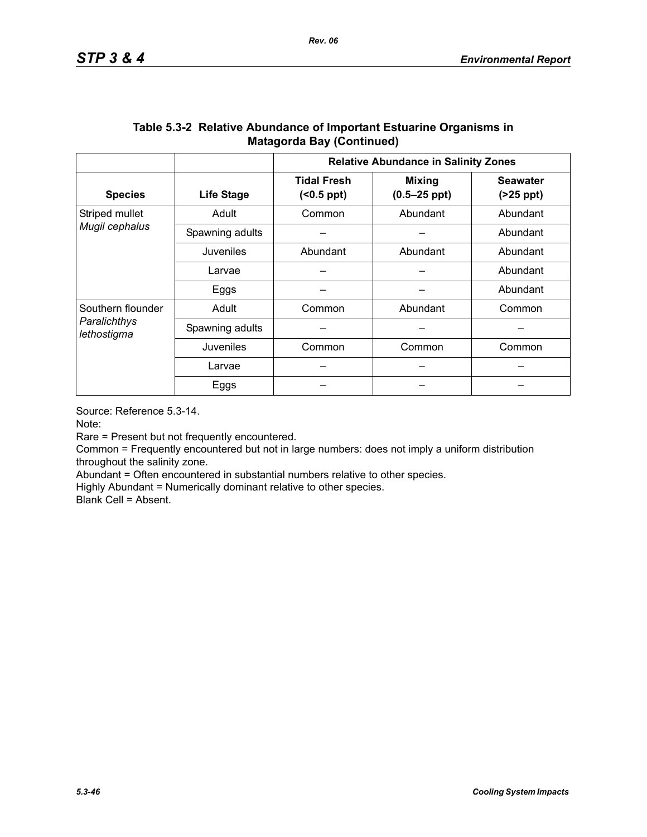|                                                  |                   | <b>Relative Abundance in Salinity Zones</b> |                                   |                               |  |
|--------------------------------------------------|-------------------|---------------------------------------------|-----------------------------------|-------------------------------|--|
| <b>Species</b>                                   | <b>Life Stage</b> | <b>Tidal Fresh</b><br>$( <0.5$ ppt $)$      | <b>Mixing</b><br>$(0.5 - 25$ ppt) | <b>Seawater</b><br>$(25$ ppt) |  |
| Striped mullet                                   | Adult             | Abundant<br>Common                          |                                   | Abundant                      |  |
| Mugil cephalus                                   | Spawning adults   |                                             |                                   | Abundant                      |  |
|                                                  | Juveniles         | Abundant<br>Abundant                        |                                   | Abundant                      |  |
|                                                  | Larvae            |                                             |                                   | Abundant                      |  |
|                                                  | Eggs              |                                             |                                   | Abundant                      |  |
| Southern flounder<br>Paralichthys<br>lethostigma | Adult             | Common                                      | Abundant                          |                               |  |
|                                                  | Spawning adults   |                                             |                                   |                               |  |
|                                                  | Juveniles         | Common                                      | Common                            | Common                        |  |
|                                                  | Larvae            |                                             |                                   |                               |  |
|                                                  | Eggs              |                                             |                                   |                               |  |

### **Table 5.3-2 Relative Abundance of Important Estuarine Organisms in Matagorda Bay (Continued)**

Source: Reference 5.3-14.

Note:

Rare = Present but not frequently encountered.

Common = Frequently encountered but not in large numbers: does not imply a uniform distribution throughout the salinity zone.

Abundant = Often encountered in substantial numbers relative to other species.

Highly Abundant = Numerically dominant relative to other species.

Blank Cell = Absent.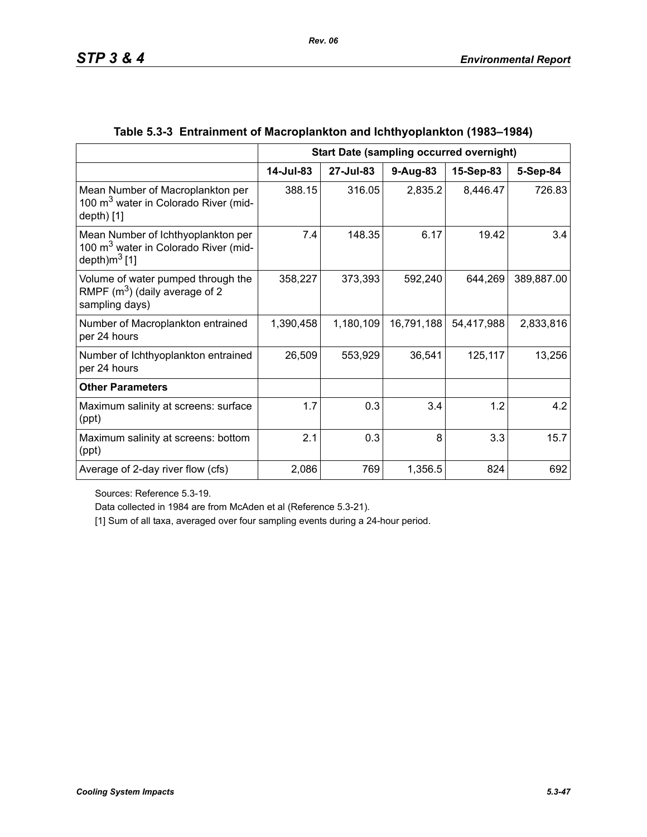|                                                                                                            | <b>Start Date (sampling occurred overnight)</b> |           |            |            |            |
|------------------------------------------------------------------------------------------------------------|-------------------------------------------------|-----------|------------|------------|------------|
|                                                                                                            | 14-Jul-83                                       | 27-Jul-83 | $9-Aug-83$ | 15-Sep-83  | 5-Sep-84   |
| Mean Number of Macroplankton per<br>100 m <sup>3</sup> water in Colorado River (mid-<br>$depth)$ [1]       | 388.15                                          | 316.05    | 2,835.2    | 8,446.47   | 726.83     |
| Mean Number of Ichthyoplankton per<br>100 m <sup>3</sup> water in Colorado River (mid-<br>depth) $m^3$ [1] | 7.4                                             | 148.35    | 6.17       | 19.42      | 3.4        |
| Volume of water pumped through the<br>RMPF $(m^3)$ (daily average of 2<br>sampling days)                   | 358,227                                         | 373,393   | 592,240    | 644,269    | 389,887.00 |
| Number of Macroplankton entrained<br>per 24 hours                                                          | 1,390,458                                       | 1,180,109 | 16,791,188 | 54,417,988 | 2,833,816  |
| Number of Ichthyoplankton entrained<br>per 24 hours                                                        | 26,509                                          | 553,929   | 36,541     | 125,117    | 13,256     |
| <b>Other Parameters</b>                                                                                    |                                                 |           |            |            |            |
| Maximum salinity at screens: surface<br>(ppt)                                                              | 1.7                                             | 0.3       | 3.4        | 1.2        | 4.2        |
| Maximum salinity at screens: bottom<br>(ppt)                                                               | 2.1                                             | 0.3       | 8          | 3.3        | 15.7       |
| Average of 2-day river flow (cfs)                                                                          | 2,086                                           | 769       | 1,356.5    | 824        | 692        |

# **Table 5.3-3 Entrainment of Macroplankton and Ichthyoplankton (1983–1984)**

Sources: Reference 5.3-19.

Data collected in 1984 are from McAden et al (Reference 5.3-21).

[1] Sum of all taxa, averaged over four sampling events during a 24-hour period.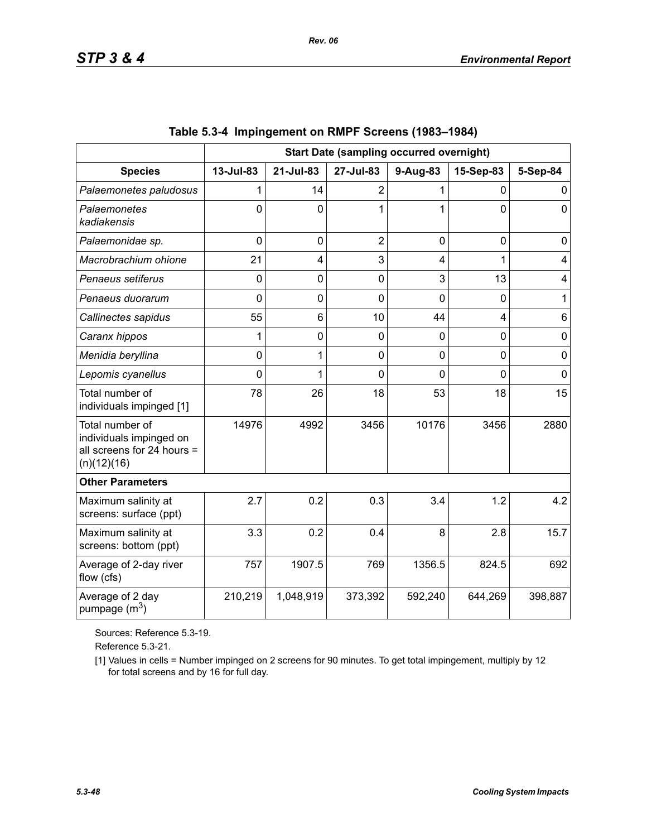|                                                                                         | <b>Start Date (sampling occurred overnight)</b> |                |                |          |                |             |
|-----------------------------------------------------------------------------------------|-------------------------------------------------|----------------|----------------|----------|----------------|-------------|
| <b>Species</b>                                                                          | 13-Jul-83                                       | 21-Jul-83      | 27-Jul-83      | 9-Aug-83 | 15-Sep-83      | 5-Sep-84    |
| Palaemonetes paludosus                                                                  |                                                 | 14             | $\overline{2}$ |          | 0              | 0           |
| Palaemonetes<br>kadiakensis                                                             | $\Omega$                                        | $\Omega$       | 1              | 1        | $\overline{0}$ | $\mathbf 0$ |
| Palaemonidae sp.                                                                        | $\overline{0}$                                  | $\mathbf 0$    | $\overline{2}$ | 0        | $\mathbf 0$    | 0           |
| Macrobrachium ohione                                                                    | 21                                              | 4              | 3              | 4        | 1              | 4           |
| Penaeus setiferus                                                                       | 0                                               | $\mathbf 0$    | 0              | 3        | 13             | 4           |
| Penaeus duorarum                                                                        | 0                                               | $\overline{0}$ | $\overline{0}$ | 0        | $\mathbf 0$    | 1           |
| Callinectes sapidus                                                                     | 55                                              | 6              | 10             | 44       | 4              | 6           |
| Caranx hippos                                                                           | 1                                               | $\overline{0}$ | 0              | 0        | $\mathbf 0$    | $\mathbf 0$ |
| Menidia beryllina                                                                       | 0                                               | 1              | 0              | 0        | $\mathbf 0$    | $\mathbf 0$ |
| Lepomis cyanellus                                                                       | $\Omega$                                        | 1              | $\overline{0}$ | $\Omega$ | $\Omega$       | $\mathbf 0$ |
| Total number of<br>individuals impinged [1]                                             | 78                                              | 26             | 18             | 53       | 18             | 15          |
| Total number of<br>individuals impinged on<br>all screens for 24 hours =<br>(n)(12)(16) | 14976                                           | 4992           | 3456           | 10176    | 3456           | 2880        |
| <b>Other Parameters</b>                                                                 |                                                 |                |                |          |                |             |
| Maximum salinity at<br>screens: surface (ppt)                                           | 2.7                                             | 0.2            | 0.3            | 3.4      | 1.2            | 4.2         |
| Maximum salinity at<br>screens: bottom (ppt)                                            | 3.3                                             | 0.2            | 0.4            | 8        | 2.8            | 15.7        |
| Average of 2-day river<br>flow (cfs)                                                    | 757                                             | 1907.5         | 769            | 1356.5   | 824.5          | 692         |
| Average of 2 day<br>pumpage $(m^3)$                                                     | 210,219                                         | 1,048,919      | 373,392        | 592,240  | 644,269        | 398,887     |

|  | Table 5.3-4 Impingement on RMPF Screens (1983–1984) |  |  |  |
|--|-----------------------------------------------------|--|--|--|
|--|-----------------------------------------------------|--|--|--|

Sources: Reference 5.3-19.

Reference 5.3-21.

[1] Values in cells = Number impinged on 2 screens for 90 minutes. To get total impingement, multiply by 12 for total screens and by 16 for full day.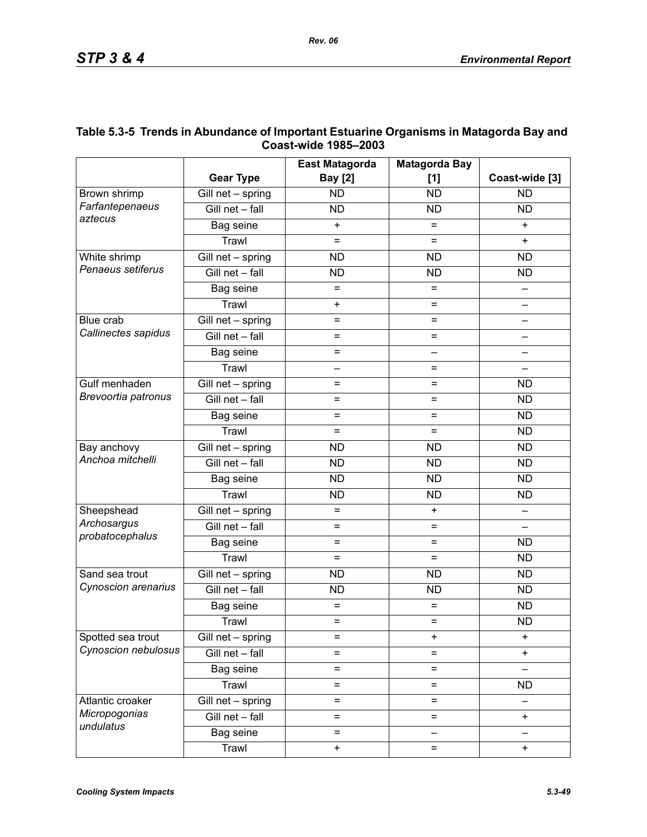|                           |                                 | <b>East Matagorda</b>  | <b>Matagorda Bay</b> |                |
|---------------------------|---------------------------------|------------------------|----------------------|----------------|
|                           | <b>Gear Type</b>                | <b>Bay [2]</b>         | [1]                  | Coast-wide [3] |
| Brown shrimp              | Gill net - spring               | <b>ND</b>              | <b>ND</b>            | <b>ND</b>      |
| Farfantepenaeus           | Gill net - fall                 | <b>ND</b>              | <b>ND</b>            | <b>ND</b>      |
| aztecus                   | Bag seine                       | $\ddot{}$              | $=$                  | $\ddot{}$      |
|                           | Trawl                           | $=$                    | $=$                  | $\ddot{}$      |
| White shrimp              | $\overline{G}$ ill net - spring | <b>ND</b><br><b>ND</b> |                      | <b>ND</b>      |
| Penaeus setiferus         | Gill net - fall                 | <b>ND</b>              | <b>ND</b>            | <b>ND</b>      |
|                           | Bag seine                       | $=$                    | $=$                  |                |
|                           | Trawl                           | $\ddot{}$              | $=$                  |                |
| Blue crab                 | $\overline{G}$ ill net - spring | $=$                    | $\equiv$             |                |
| Callinectes sapidus       | Gill net - fall                 | $=$                    | $=$                  |                |
|                           | Bag seine                       | $=$                    | —                    |                |
|                           | Trawl                           | —                      | $=$                  |                |
| Gulf menhaden             | $\overline{G}$ ill net - spring | $=$                    | $=$                  | <b>ND</b>      |
| Brevoortia patronus       | Gill net - fall                 | $=$                    | $=$                  | <b>ND</b>      |
|                           | Bag seine                       | $=$                    | $=$                  | <b>ND</b>      |
|                           | Trawl                           | $=$                    | $=$                  | <b>ND</b>      |
| Bay anchovy               | $\overline{G}$ ill net - spring | <b>ND</b>              | <b>ND</b>            | <b>ND</b>      |
| Anchoa mitchelli          | Gill net - fall                 | <b>ND</b>              | <b>ND</b>            | <b>ND</b>      |
|                           | Bag seine                       | <b>ND</b>              | <b>ND</b>            | <b>ND</b>      |
|                           | Trawl                           | <b>ND</b>              | <b>ND</b>            | <b>ND</b>      |
| Sheepshead<br>Archosargus | $\overline{G}$ ill net - spring | $=$                    | $\ddot{}$            |                |
|                           | Gill net - fall                 | $=$                    | $=$                  |                |
| probatocephalus           | Bag seine                       | $=$                    | $\equiv$             | <b>ND</b>      |
|                           | Trawl                           | $=$                    | $=$                  | <b>ND</b>      |
| Sand sea trout            | Gill net - spring               | <b>ND</b>              | <b>ND</b>            | <b>ND</b>      |
| Cynoscion arenarius       | Gill net - fall                 | <b>ND</b>              | <b>ND</b>            | <b>ND</b>      |
|                           | Bag seine                       | $=$                    | $=$                  | <b>ND</b>      |
|                           | Trawl                           | $=$                    | $=$                  | <b>ND</b>      |
| Spotted sea trout         | Gill net - spring               | $=$                    | +                    | $\ddot{}$      |
| Cynoscion nebulosus       | Gill net - fall                 | $=$                    | $=$                  | $\ddot{}$      |
|                           | Bag seine                       | $=$                    | $=$                  |                |
|                           | Trawl                           | $=$                    | $=$                  | <b>ND</b>      |
| Atlantic croaker          | Gill net - spring               | $=$                    | $=$                  |                |
| Micropogonias             | Gill net - fall                 | $=$                    | $=$                  | $\ddot{}$      |
| undulatus                 | Bag seine                       | $=$                    |                      |                |
|                           | Trawl                           | $\ddot{}$              | $=$                  | $\ddot{}$      |

## **Table 5.3-5 Trends in Abundance of Important Estuarine Organisms in Matagorda Bay and Coast-wide 1985–2003**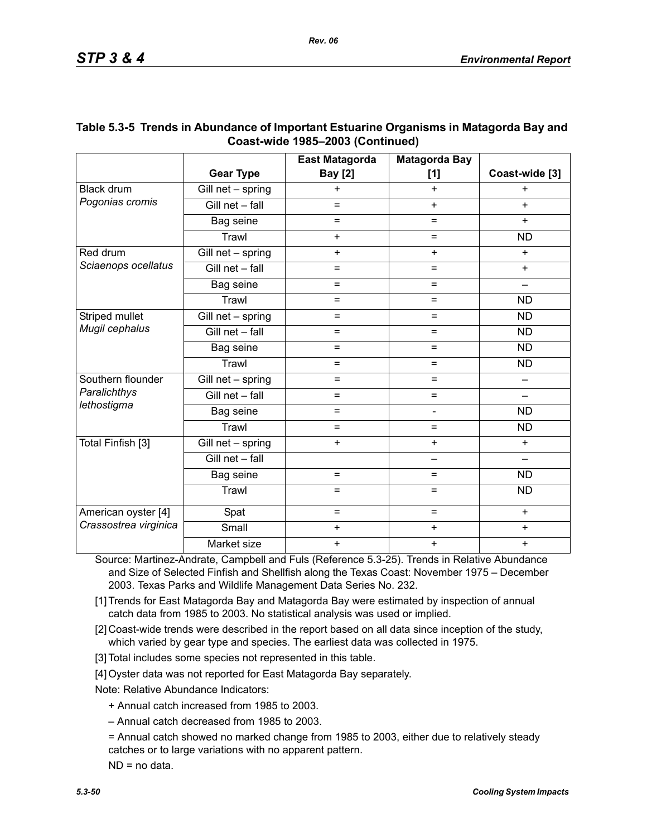|                                   |                                 | <b>East Matagorda</b> | <b>Matagorda Bay</b>     |                 |
|-----------------------------------|---------------------------------|-----------------------|--------------------------|-----------------|
|                                   | <b>Gear Type</b>                | <b>Bay</b> [2]        | [1]                      | Coast-wide [3]  |
| Black drum                        | Gill net - spring               | $\ddot{}$             | $+$                      | $\ddot{}$       |
| Pogonias cromis                   | Gill net - fall                 | $=$                   | $+$                      | $+$             |
|                                   | Bag seine                       | $=$                   | $\equiv$                 | $+$             |
|                                   | Trawl                           | $+$                   | $=$                      | <b>ND</b>       |
| Red drum                          | Gill net - spring               | $+$                   | $+$                      | $+$             |
| Sciaenops ocellatus               | Gill net - fall                 | $=$                   | $=$                      | $+$             |
|                                   | Bag seine                       | $=$                   | $\equiv$                 | $\qquad \qquad$ |
|                                   | Trawl                           | $=$                   | $=$                      | <b>ND</b>       |
| Striped mullet                    | Gill net - spring               | $=$                   | $\equiv$                 | <b>ND</b>       |
| Mugil cephalus                    | Gill net - fall                 | $=$                   | $\equiv$                 | <b>ND</b>       |
|                                   | Bag seine                       | $=$                   | $=$                      | <b>ND</b>       |
|                                   | Trawl                           | $=$                   | $=$                      | <b>ND</b>       |
| Southern flounder<br>Paralichthys | Gill net - spring               | $=$                   | $=$                      |                 |
|                                   | Gill net - fall                 | $=$                   | $=$                      |                 |
| lethostigma                       | Bag seine                       | $=$                   | $\overline{\phantom{0}}$ | <b>ND</b>       |
|                                   | Trawl                           | $=$                   | $=$                      | <b>ND</b>       |
| Total Finfish [3]                 | $\overline{G}$ ill net - spring | $+$                   | $\ddot{}$                | $+$             |
|                                   | Gill net - fall                 |                       | <u>.</u>                 |                 |
|                                   | Bag seine                       | $=$                   | $=$                      | ND              |
|                                   | Trawl                           | $=$                   | $=$                      | <b>ND</b>       |
| American oyster [4]               | Spat                            | $=$                   | $=$                      | $\ddot{}$       |
| Crassostrea virginica             | Small                           | $\ddot{}$             | $\ddot{}$                | $\ddot{}$       |
|                                   | Market size                     | $\ddot{}$             | $\ddot{}$                | $\ddot{}$       |

## **Table 5.3-5 Trends in Abundance of Important Estuarine Organisms in Matagorda Bay and Coast-wide 1985–2003 (Continued)**

Source: Martinez-Andrate, Campbell and Fuls (Reference 5.3-25). Trends in Relative Abundance and Size of Selected Finfish and Shellfish along the Texas Coast: November 1975 – December 2003. Texas Parks and Wildlife Management Data Series No. 232.

- [1] Trends for East Matagorda Bay and Matagorda Bay were estimated by inspection of annual catch data from 1985 to 2003. No statistical analysis was used or implied.
- [2] Coast-wide trends were described in the report based on all data since inception of the study, which varied by gear type and species. The earliest data was collected in 1975.
- [3] Total includes some species not represented in this table.
- [4] Oyster data was not reported for East Matagorda Bay separately.

Note: Relative Abundance Indicators:

- + Annual catch increased from 1985 to 2003.
- Annual catch decreased from 1985 to 2003.
- = Annual catch showed no marked change from 1985 to 2003, either due to relatively steady catches or to large variations with no apparent pattern.

ND = no data.